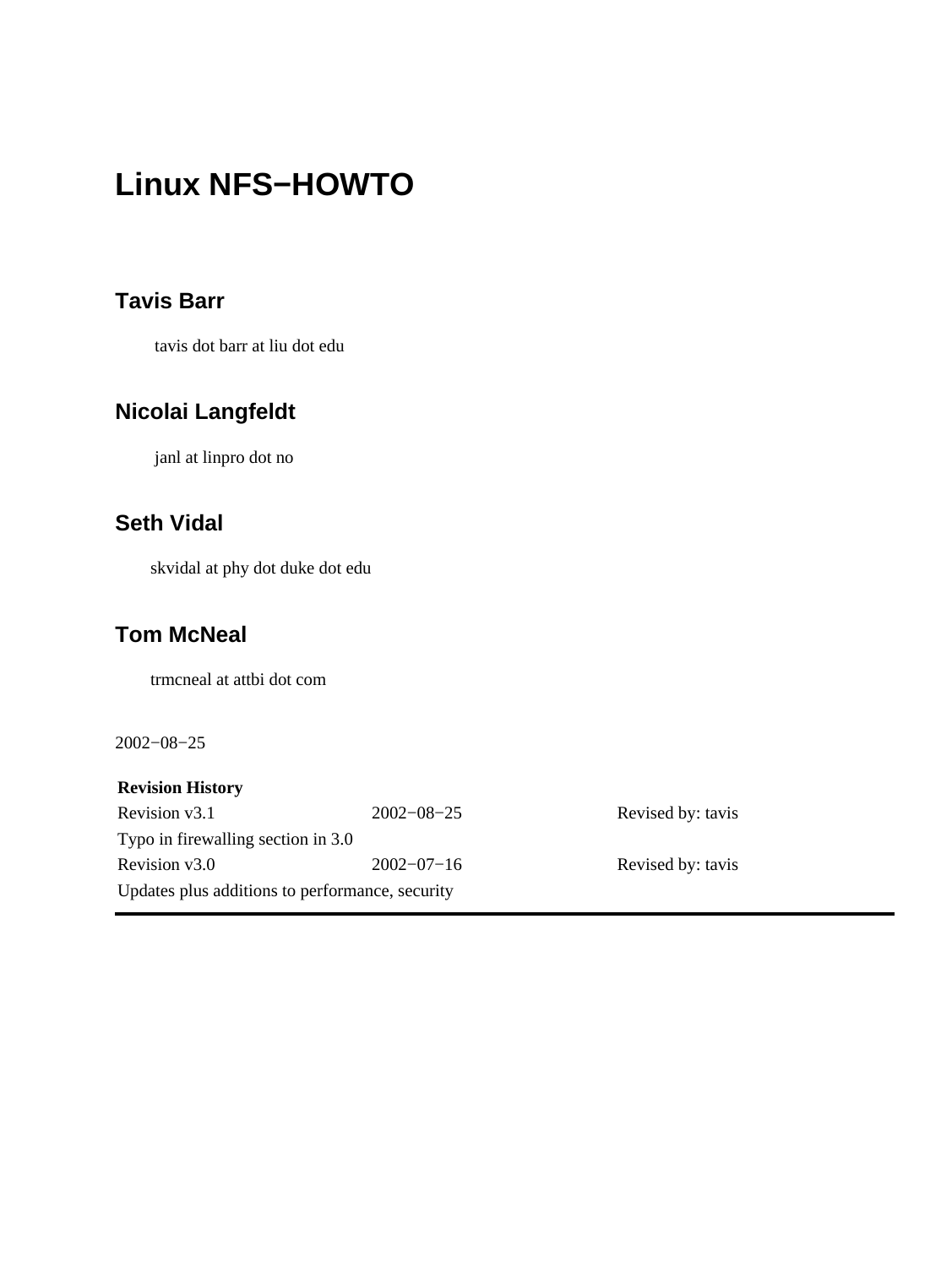### **Tavis Barr**

tavis dot barr at liu dot edu

### **Nicolai Langfeldt**

janl at linpro dot no

## **Seth Vidal**

skvidal at phy dot duke dot edu

### **Tom McNeal**

trmcneal at attbi dot com

2002−08−25

**Revision History** Revision v3.1 2002−08−25 Revised by: tavis Typo in firewalling section in 3.0 Revision v3.0 2002−07−16 Revised by: tavis Updates plus additions to performance, security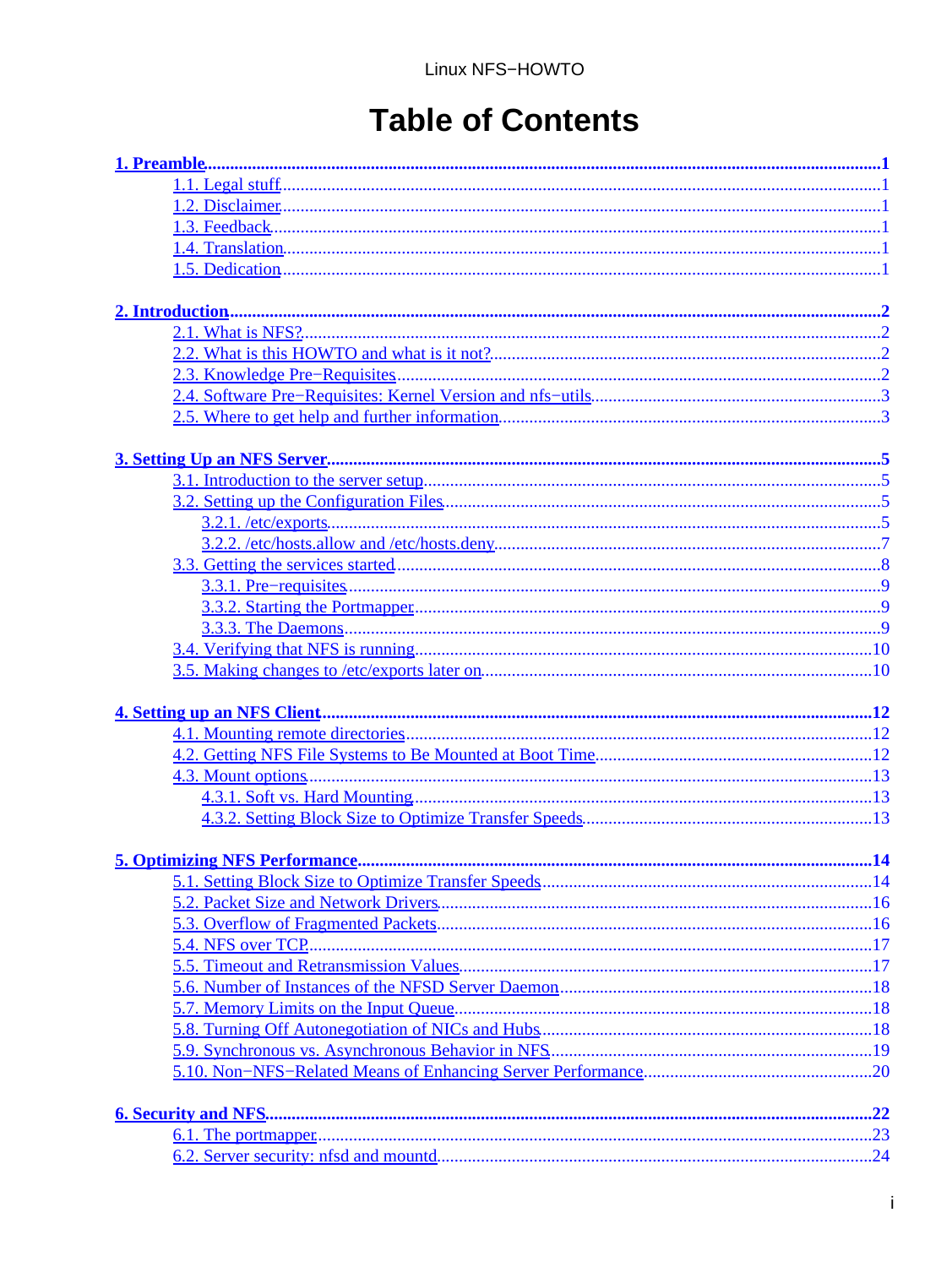# **Table of Contents**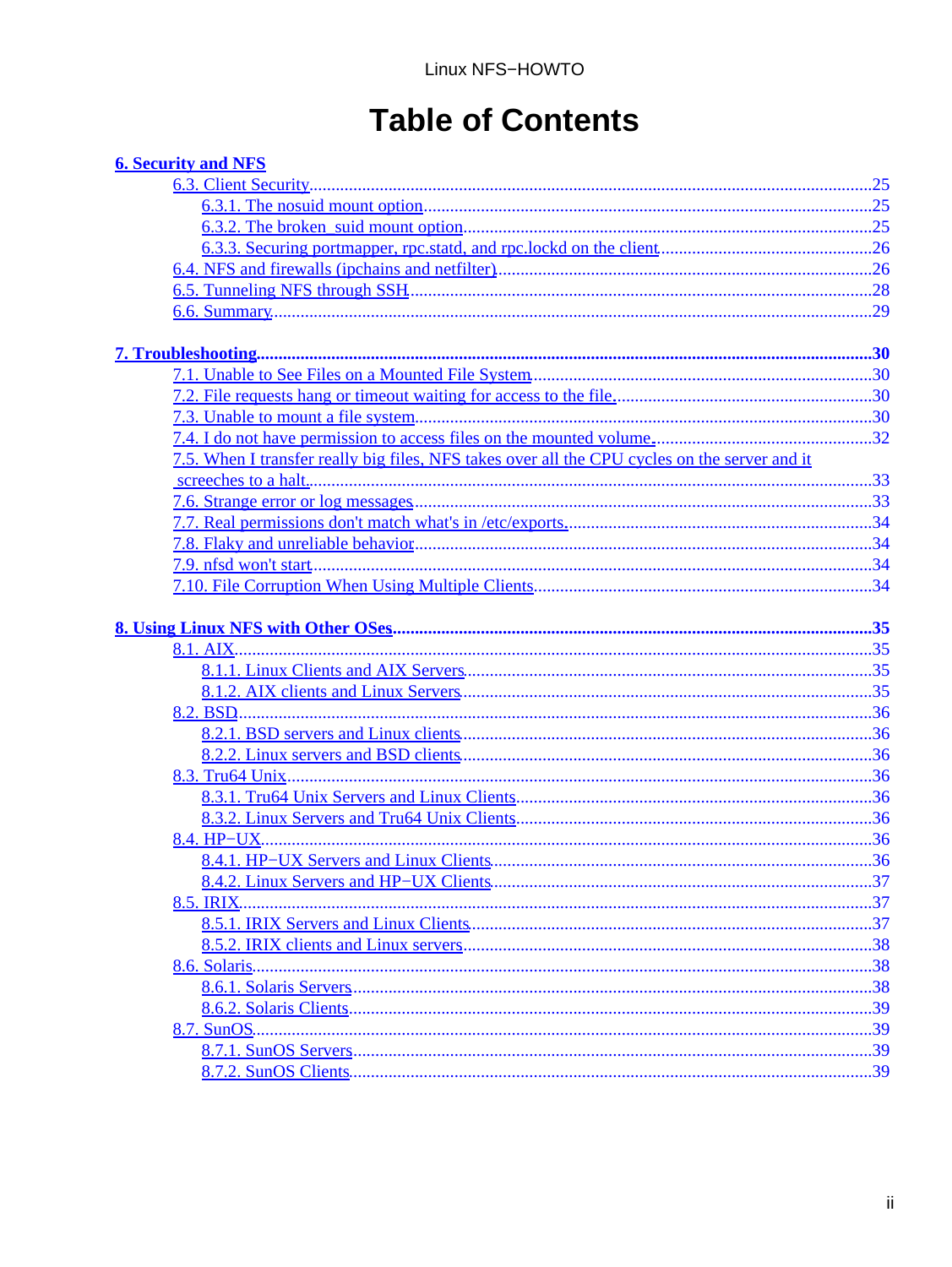# **Table of Contents**

| <b>6. Security and NFS</b>                                                                    |  |
|-----------------------------------------------------------------------------------------------|--|
|                                                                                               |  |
|                                                                                               |  |
|                                                                                               |  |
|                                                                                               |  |
|                                                                                               |  |
|                                                                                               |  |
|                                                                                               |  |
|                                                                                               |  |
|                                                                                               |  |
|                                                                                               |  |
|                                                                                               |  |
|                                                                                               |  |
|                                                                                               |  |
| 7.5. When I transfer really big files, NFS takes over all the CPU cycles on the server and it |  |
|                                                                                               |  |
|                                                                                               |  |
|                                                                                               |  |
|                                                                                               |  |
|                                                                                               |  |
|                                                                                               |  |
|                                                                                               |  |
|                                                                                               |  |
|                                                                                               |  |
|                                                                                               |  |
|                                                                                               |  |
|                                                                                               |  |
|                                                                                               |  |
|                                                                                               |  |
|                                                                                               |  |
|                                                                                               |  |
|                                                                                               |  |
|                                                                                               |  |
|                                                                                               |  |
|                                                                                               |  |
| 8.5. IRIX.                                                                                    |  |
|                                                                                               |  |
|                                                                                               |  |
|                                                                                               |  |
|                                                                                               |  |
|                                                                                               |  |
| 8.7. SunOS.                                                                                   |  |
|                                                                                               |  |
|                                                                                               |  |
|                                                                                               |  |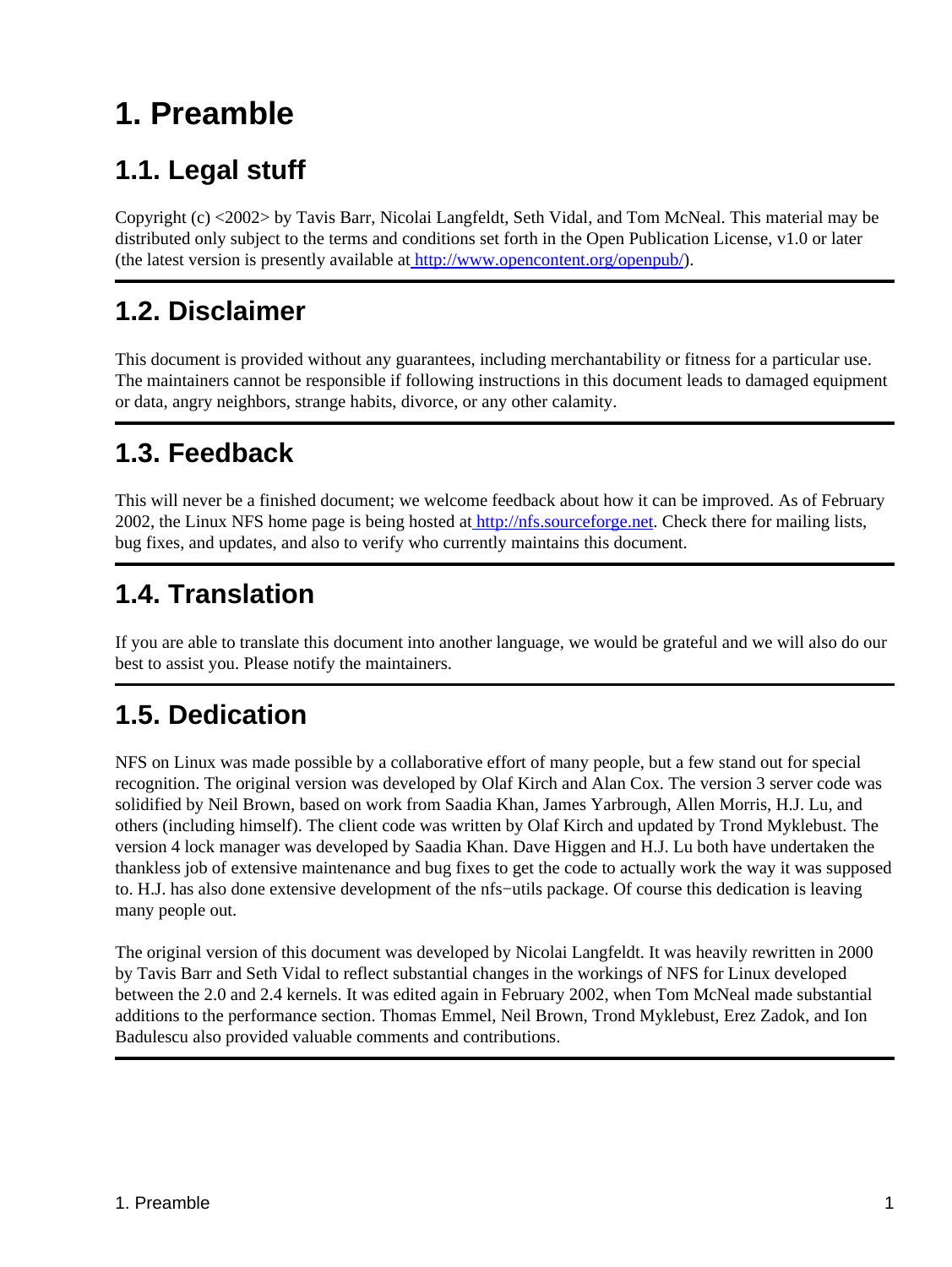# <span id="page-3-0"></span>**1. Preamble**

# <span id="page-3-1"></span>**1.1. Legal stuff**

Copyright (c) <2002> by Tavis Barr, Nicolai Langfeldt, Seth Vidal, and Tom McNeal. This material may be distributed only subject to the terms and conditions set forth in the Open Publication License, v1.0 or later (the latest version is presently available a[t http://www.opencontent.org/openpub/](http://www.opencontent.org/openpub/)).

# <span id="page-3-2"></span>**1.2. Disclaimer**

This document is provided without any guarantees, including merchantability or fitness for a particular use. The maintainers cannot be responsible if following instructions in this document leads to damaged equipment or data, angry neighbors, strange habits, divorce, or any other calamity.

# <span id="page-3-3"></span>**1.3. Feedback**

This will never be a finished document; we welcome feedback about how it can be improved. As of February 2002, the Linux NFS home page is being hosted a[t http://nfs.sourceforge.net](http://nfs.sourceforge.net). Check there for mailing lists, bug fixes, and updates, and also to verify who currently maintains this document.

## <span id="page-3-4"></span>**1.4. Translation**

If you are able to translate this document into another language, we would be grateful and we will also do our best to assist you. Please notify the maintainers.

# <span id="page-3-5"></span>**1.5. Dedication**

NFS on Linux was made possible by a collaborative effort of many people, but a few stand out for special recognition. The original version was developed by Olaf Kirch and Alan Cox. The version 3 server code was solidified by Neil Brown, based on work from Saadia Khan, James Yarbrough, Allen Morris, H.J. Lu, and others (including himself). The client code was written by Olaf Kirch and updated by Trond Myklebust. The version 4 lock manager was developed by Saadia Khan. Dave Higgen and H.J. Lu both have undertaken the thankless job of extensive maintenance and bug fixes to get the code to actually work the way it was supposed to. H.J. has also done extensive development of the nfs−utils package. Of course this dedication is leaving many people out.

The original version of this document was developed by Nicolai Langfeldt. It was heavily rewritten in 2000 by Tavis Barr and Seth Vidal to reflect substantial changes in the workings of NFS for Linux developed between the 2.0 and 2.4 kernels. It was edited again in February 2002, when Tom McNeal made substantial additions to the performance section. Thomas Emmel, Neil Brown, Trond Myklebust, Erez Zadok, and Ion Badulescu also provided valuable comments and contributions.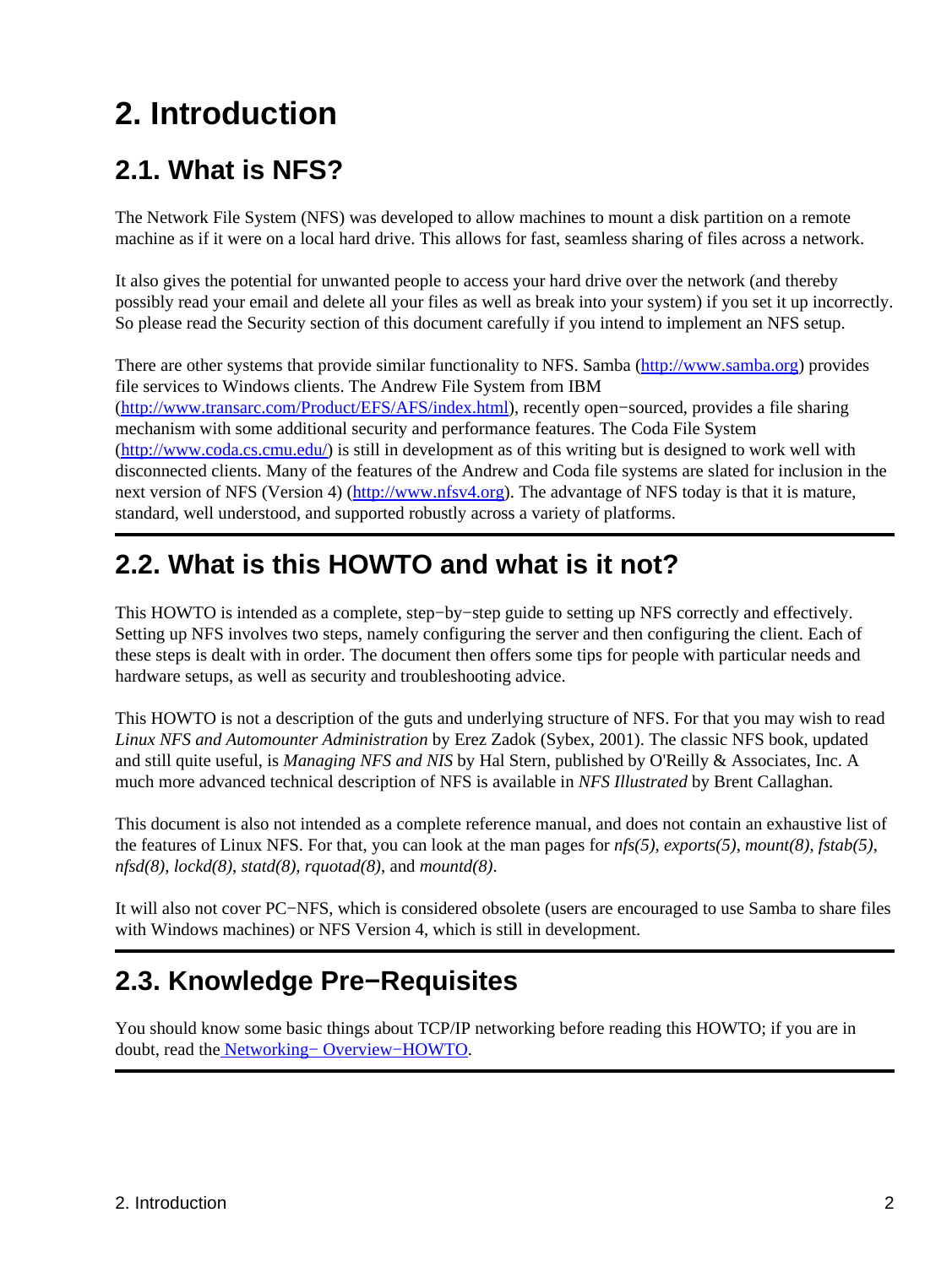# <span id="page-4-0"></span>**2. Introduction**

## <span id="page-4-1"></span>**2.1. What is NFS?**

The Network File System (NFS) was developed to allow machines to mount a disk partition on a remote machine as if it were on a local hard drive. This allows for fast, seamless sharing of files across a network.

It also gives the potential for unwanted people to access your hard drive over the network (and thereby possibly read your email and delete all your files as well as break into your system) if you set it up incorrectly. So please read the Security section of this document carefully if you intend to implement an NFS setup.

There are other systems that provide similar functionality to NFS. Samba (<http://www.samba.org>) provides file services to Windows clients. The Andrew File System from IBM ([http://www.transarc.com/Product/EFS/AFS/index.html\)](http://www.transarc.com/Product/EFS/AFS/index.html), recently open−sourced, provides a file sharing mechanism with some additional security and performance features. The Coda File System ([http://www.coda.cs.cmu.edu/\)](http://www.coda.cs.cmu.edu/) is still in development as of this writing but is designed to work well with disconnected clients. Many of the features of the Andrew and Coda file systems are slated for inclusion in the next version of NFS (Version 4) [\(http://www.nfsv4.org](http://www.nfsv4.org)). The advantage of NFS today is that it is mature, standard, well understood, and supported robustly across a variety of platforms.

## <span id="page-4-2"></span>**2.2. What is this HOWTO and what is it not?**

This HOWTO is intended as a complete, step−by−step guide to setting up NFS correctly and effectively. Setting up NFS involves two steps, namely configuring the server and then configuring the client. Each of these steps is dealt with in order. The document then offers some tips for people with particular needs and hardware setups, as well as security and troubleshooting advice.

This HOWTO is not a description of the guts and underlying structure of NFS. For that you may wish to read *Linux NFS and Automounter Administration* by Erez Zadok (Sybex, 2001). The classic NFS book, updated and still quite useful, is *Managing NFS and NIS* by Hal Stern, published by O'Reilly & Associates, Inc. A much more advanced technical description of NFS is available in *NFS Illustrated* by Brent Callaghan.

This document is also not intended as a complete reference manual, and does not contain an exhaustive list of the features of Linux NFS. For that, you can look at the man pages for *nfs(5)*, *exports(5)*, *mount(8)*, *fstab(5)*, *nfsd(8)*, *lockd(8)*, *statd(8)*, *rquotad(8)*, and *mountd(8)*.

It will also not cover PC−NFS, which is considered obsolete (users are encouraged to use Samba to share files with Windows machines) or NFS Version 4, which is still in development.

# <span id="page-4-3"></span>**2.3. Knowledge Pre−Requisites**

You should know some basic things about TCP/IP networking before reading this HOWTO; if you are in doubt, read the [Networking− Overview−HOWTO](http://www.linuxdoc.org/HOWTO/Networking-Overview-HOWTO.html).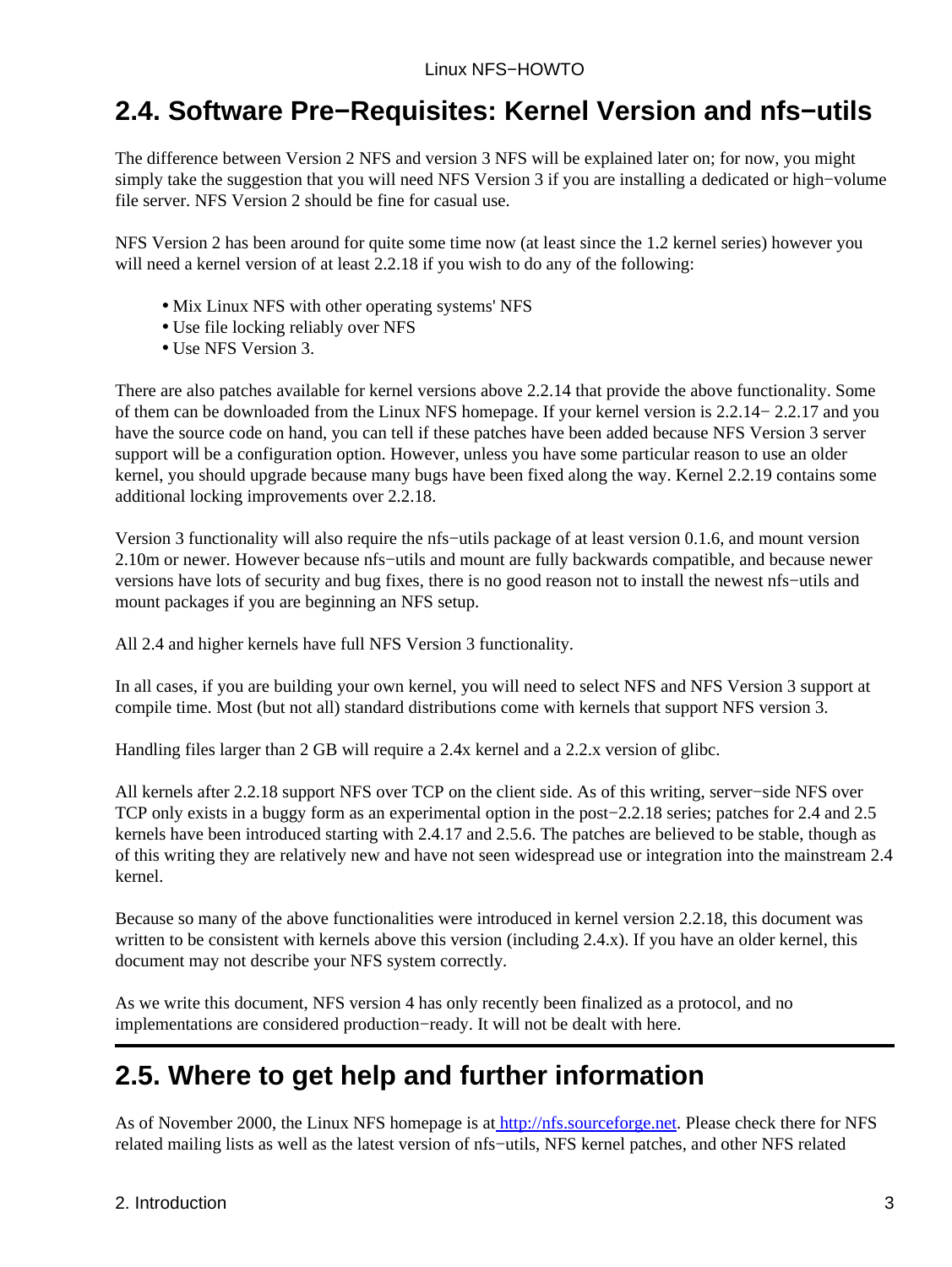## <span id="page-5-0"></span>**2.4. Software Pre−Requisites: Kernel Version and nfs−utils**

The difference between Version 2 NFS and version 3 NFS will be explained later on; for now, you might simply take the suggestion that you will need NFS Version 3 if you are installing a dedicated or high−volume file server. NFS Version 2 should be fine for casual use.

NFS Version 2 has been around for quite some time now (at least since the 1.2 kernel series) however you will need a kernel version of at least 2.2.18 if you wish to do any of the following:

- Mix Linux NFS with other operating systems' NFS
- Use file locking reliably over NFS
- Use NFS Version 3.

There are also patches available for kernel versions above 2.2.14 that provide the above functionality. Some of them can be downloaded from the Linux NFS homepage. If your kernel version is 2.2.14− 2.2.17 and you have the source code on hand, you can tell if these patches have been added because NFS Version 3 server support will be a configuration option. However, unless you have some particular reason to use an older kernel, you should upgrade because many bugs have been fixed along the way. Kernel 2.2.19 contains some additional locking improvements over 2.2.18.

Version 3 functionality will also require the nfs−utils package of at least version 0.1.6, and mount version 2.10m or newer. However because nfs−utils and mount are fully backwards compatible, and because newer versions have lots of security and bug fixes, there is no good reason not to install the newest nfs−utils and mount packages if you are beginning an NFS setup.

All 2.4 and higher kernels have full NFS Version 3 functionality.

In all cases, if you are building your own kernel, you will need to select NFS and NFS Version 3 support at compile time. Most (but not all) standard distributions come with kernels that support NFS version 3.

Handling files larger than 2 GB will require a 2.4x kernel and a 2.2.x version of glibc.

All kernels after 2.2.18 support NFS over TCP on the client side. As of this writing, server−side NFS over TCP only exists in a buggy form as an experimental option in the post−2.2.18 series; patches for 2.4 and 2.5 kernels have been introduced starting with 2.4.17 and 2.5.6. The patches are believed to be stable, though as of this writing they are relatively new and have not seen widespread use or integration into the mainstream 2.4 kernel.

Because so many of the above functionalities were introduced in kernel version 2.2.18, this document was written to be consistent with kernels above this version (including 2.4.x). If you have an older kernel, this document may not describe your NFS system correctly.

As we write this document, NFS version 4 has only recently been finalized as a protocol, and no implementations are considered production−ready. It will not be dealt with here.

## <span id="page-5-1"></span>**2.5. Where to get help and further information**

As of November 2000, the Linux NFS homepage is at<http://nfs.sourceforge.net>. Please check there for NFS related mailing lists as well as the latest version of nfs−utils, NFS kernel patches, and other NFS related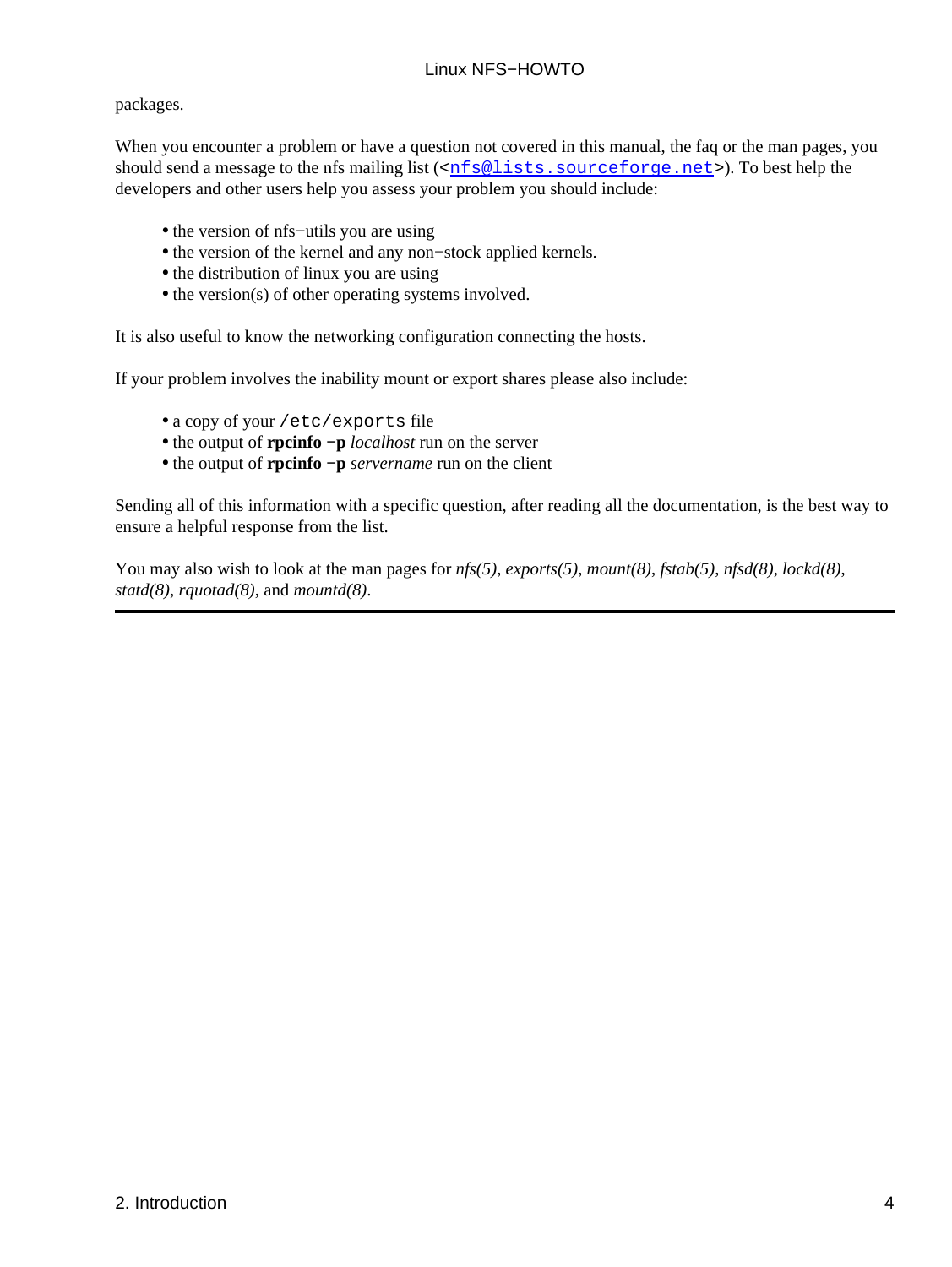#### packages.

When you encounter a problem or have a question not covered in this manual, the faq or the man pages, you should send a message to the nfs mailing list  $(\langle \text{nf} s@lists \text{ is} \text{ourcefore}, \text{net}\rangle)$ . To best help the developers and other users help you assess your problem you should include:

- the version of nfs−utils you are using
- the version of the kernel and any non−stock applied kernels.
- the distribution of linux you are using
- the version(s) of other operating systems involved.

It is also useful to know the networking configuration connecting the hosts.

If your problem involves the inability mount or export shares please also include:

- a copy of your /etc/exports file
- the output of **rpcinfo −p** *localhost* run on the server
- the output of **rpcinfo −p** *servername* run on the client

Sending all of this information with a specific question, after reading all the documentation, is the best way to ensure a helpful response from the list.

You may also wish to look at the man pages for *nfs(5)*, *exports(5)*, *mount(8)*, *fstab(5)*, *nfsd(8)*, *lockd(8)*, *statd(8)*, *rquotad(8)*, and *mountd(8)*.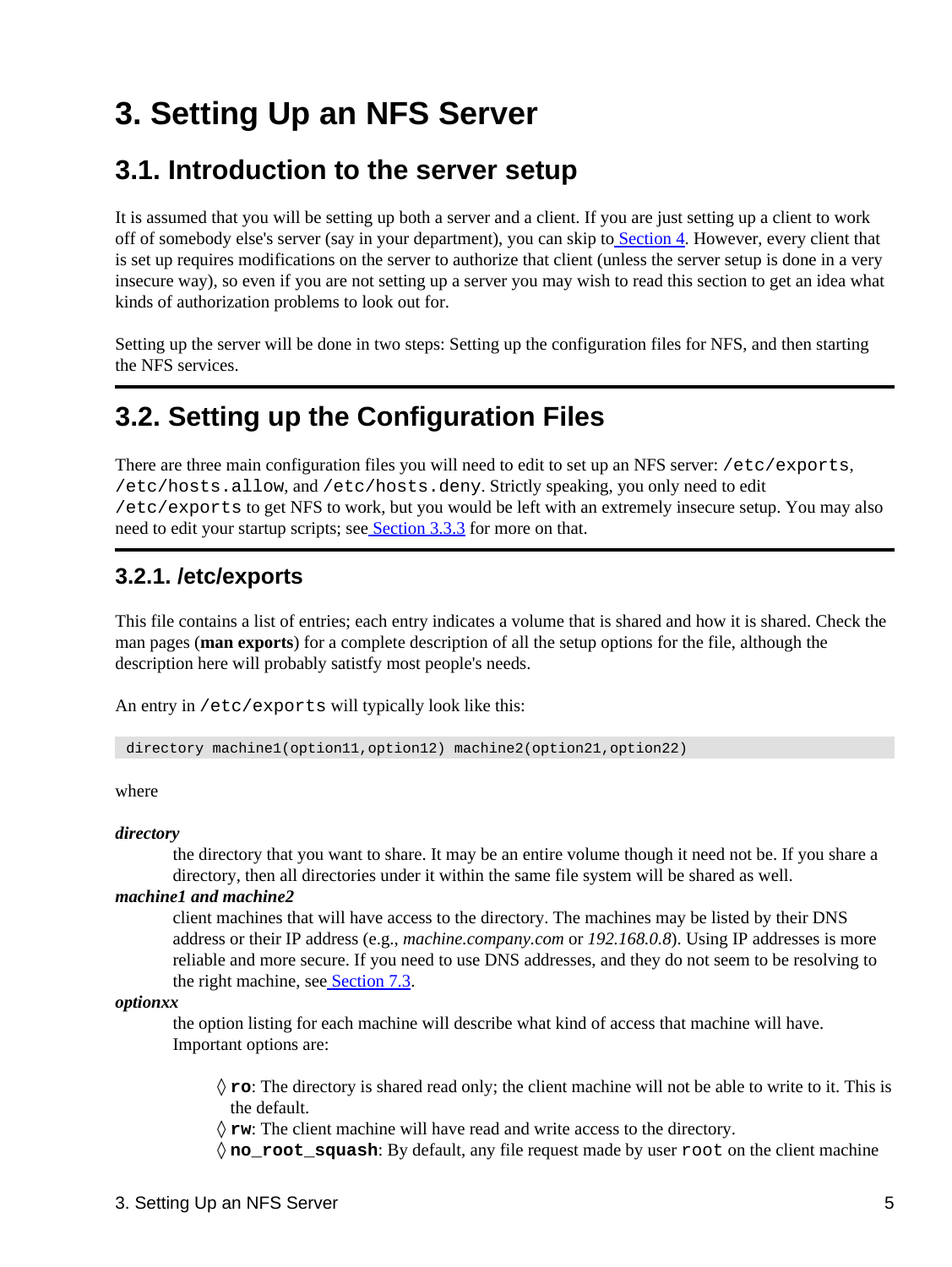# <span id="page-7-0"></span>**3. Setting Up an NFS Server**

## <span id="page-7-1"></span>**3.1. Introduction to the server setup**

It is assumed that you will be setting up both a server and a client. If you are just setting up a client to work off of somebody else's server (say in your department), you can skip t[o Section 4](#page-14-0). However, every client that is set up requires modifications on the server to authorize that client (unless the server setup is done in a very insecure way), so even if you are not setting up a server you may wish to read this section to get an idea what kinds of authorization problems to look out for.

Setting up the server will be done in two steps: Setting up the configuration files for NFS, and then starting the NFS services.

## <span id="page-7-2"></span>**3.2. Setting up the Configuration Files**

There are three main configuration files you will need to edit to set up an NFS server: /etc/exports, /etc/hosts.allow, and /etc/hosts.deny. Strictly speaking, you only need to edit /etc/exports to get NFS to work, but you would be left with an extremely insecure setup. You may also need to edit your startup scripts; se[e Section 3.3.3](#page-11-2) for more on that.

### <span id="page-7-3"></span>**3.2.1. /etc/exports**

This file contains a list of entries; each entry indicates a volume that is shared and how it is shared. Check the man pages (**man exports**) for a complete description of all the setup options for the file, although the description here will probably satistfy most people's needs.

An entry in /etc/exports will typically look like this:

directory machine1(option11,option12) machine2(option21,option22)

where

*directory*

the directory that you want to share. It may be an entire volume though it need not be. If you share a directory, then all directories under it within the same file system will be shared as well.

#### *machine1 and machine2*

client machines that will have access to the directory. The machines may be listed by their DNS address or their IP address (e.g., *machine.company.com* or *192.168.0.8*). Using IP addresses is more reliable and more secure. If you need to use DNS addresses, and they do not seem to be resolving to the right machine, se[e Section 7.3.](#page-32-3)

*optionxx*

the option listing for each machine will describe what kind of access that machine will have. Important options are:

**ro**: The directory is shared read only; the client machine will not be able to write to it. This is ◊ the default.

◊ **rw**: The client machine will have read and write access to the directory.

◊ **no\_root\_squash**: By default, any file request made by user root on the client machine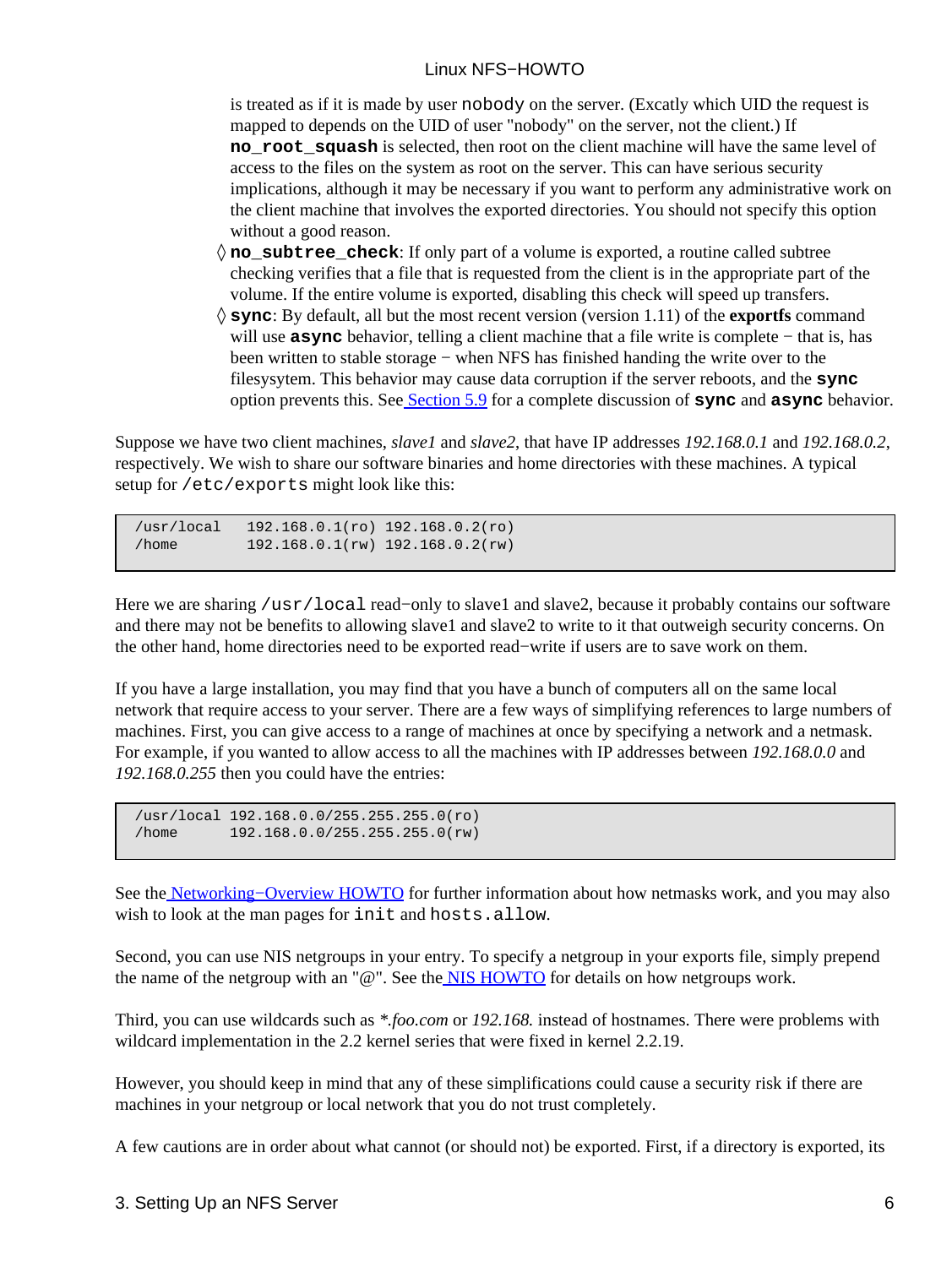is treated as if it is made by user nobody on the server. (Excatly which UID the request is mapped to depends on the UID of user "nobody" on the server, not the client.) If **no** root squash is selected, then root on the client machine will have the same level of access to the files on the system as root on the server. This can have serious security implications, although it may be necessary if you want to perform any administrative work on the client machine that involves the exported directories. You should not specify this option without a good reason.

- **no\_subtree\_check**: If only part of a volume is exported, a routine called subtree ◊ checking verifies that a file that is requested from the client is in the appropriate part of the volume. If the entire volume is exported, disabling this check will speed up transfers.
- **sync**: By default, all but the most recent version (version 1.11) of the **exportfs** command ◊ will use **async** behavior, telling a client machine that a file write is complete − that is, has been written to stable storage − when NFS has finished handing the write over to the filesysytem. This behavior may cause data corruption if the server reboots, and the **sync** option prevents this. Se[e Section 5.9](#page-21-0) for a complete discussion of **sync** and **async** behavior.

Suppose we have two client machines, *slave1* and *slave2*, that have IP addresses *192.168.0.1* and *192.168.0.2*, respectively. We wish to share our software binaries and home directories with these machines. A typical setup for /etc/exports might look like this:

 /usr/local 192.168.0.1(ro) 192.168.0.2(ro) /home 192.168.0.1(rw) 192.168.0.2(rw)

Here we are sharing /usr/local read−only to slave1 and slave2, because it probably contains our software and there may not be benefits to allowing slave1 and slave2 to write to it that outweigh security concerns. On the other hand, home directories need to be exported read−write if users are to save work on them.

If you have a large installation, you may find that you have a bunch of computers all on the same local network that require access to your server. There are a few ways of simplifying references to large numbers of machines. First, you can give access to a range of machines at once by specifying a network and a netmask. For example, if you wanted to allow access to all the machines with IP addresses between *192.168.0.0* and *192.168.0.255* then you could have the entries:

```
 /usr/local 192.168.0.0/255.255.255.0(ro)
 /home 192.168.0.0/255.255.255.0(rw)
```
See the Networking–Overview HOWTO for further information about how netmasks work, and you may also wish to look at the man pages for init and hosts.allow.

Second, you can use NIS netgroups in your entry. To specify a netgroup in your exports file, simply prepend the name of the netgroup with an "@". See the **NIS HOWTO** for details on how netgroups work.

Third, you can use wildcards such as *\*.foo.com* or *192.168.* instead of hostnames. There were problems with wildcard implementation in the 2.2 kernel series that were fixed in kernel 2.2.19.

However, you should keep in mind that any of these simplifications could cause a security risk if there are machines in your netgroup or local network that you do not trust completely.

A few cautions are in order about what cannot (or should not) be exported. First, if a directory is exported, its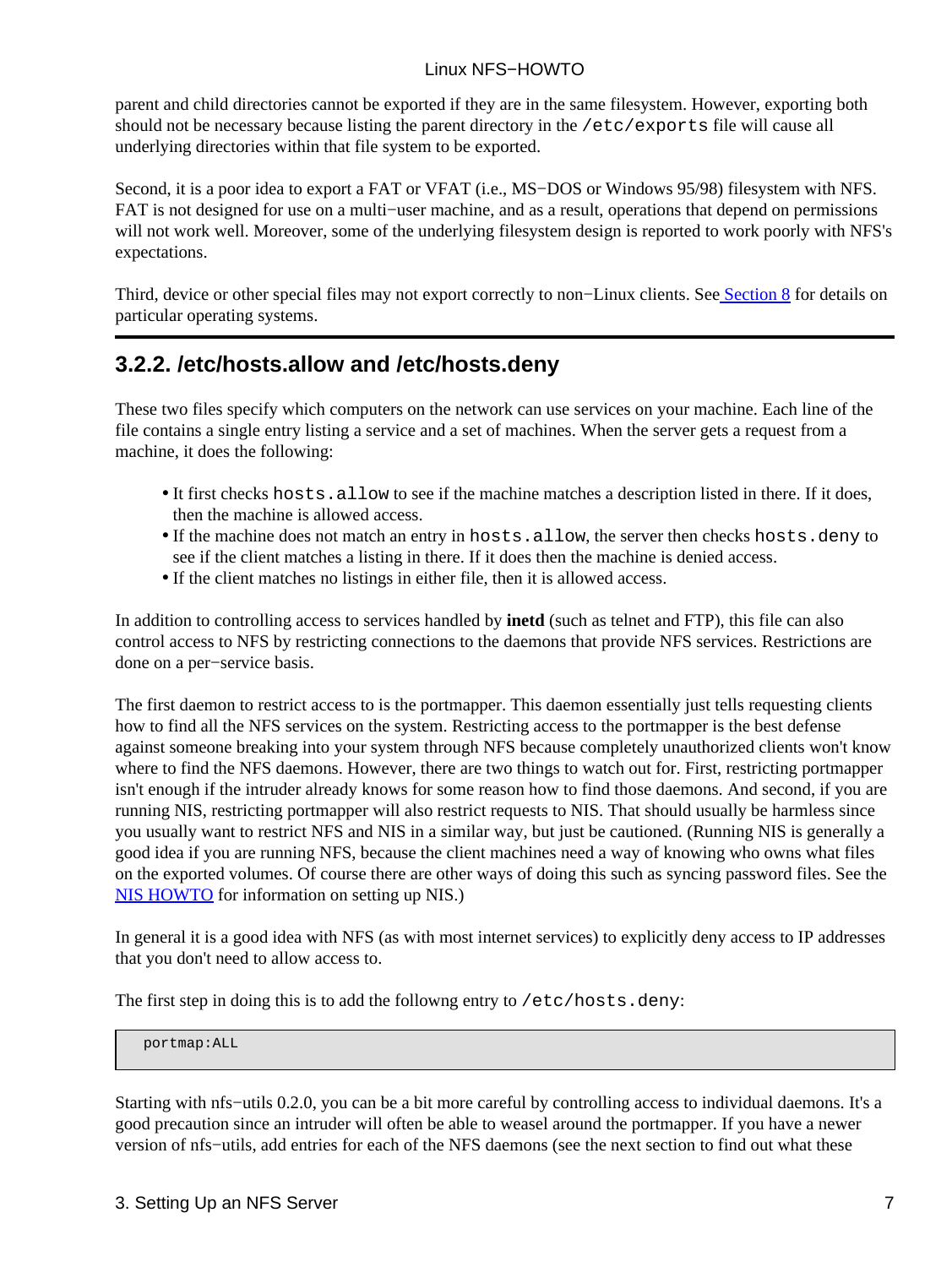parent and child directories cannot be exported if they are in the same filesystem. However, exporting both should not be necessary because listing the parent directory in the /etc/exports file will cause all underlying directories within that file system to be exported.

Second, it is a poor idea to export a FAT or VFAT (i.e., MS−DOS or Windows 95/98) filesystem with NFS. FAT is not designed for use on a multi−user machine, and as a result, operations that depend on permissions will not work well. Moreover, some of the underlying filesystem design is reported to work poorly with NFS's expectations.

Third, device or other special files may not export correctly to non–Linux clients. Se[e Section 8](#page-37-0) for details on particular operating systems.

## <span id="page-9-0"></span>**3.2.2. /etc/hosts.allow and /etc/hosts.deny**

These two files specify which computers on the network can use services on your machine. Each line of the file contains a single entry listing a service and a set of machines. When the server gets a request from a machine, it does the following:

- It first checks hosts.allow to see if the machine matches a description listed in there. If it does, then the machine is allowed access.
- If the machine does not match an entry in hosts.allow, the server then checks hosts.deny to see if the client matches a listing in there. If it does then the machine is denied access.
- If the client matches no listings in either file, then it is allowed access.

In addition to controlling access to services handled by **inetd** (such as telnet and FTP), this file can also control access to NFS by restricting connections to the daemons that provide NFS services. Restrictions are done on a per−service basis.

The first daemon to restrict access to is the portmapper. This daemon essentially just tells requesting clients how to find all the NFS services on the system. Restricting access to the portmapper is the best defense against someone breaking into your system through NFS because completely unauthorized clients won't know where to find the NFS daemons. However, there are two things to watch out for. First, restricting portmapper isn't enough if the intruder already knows for some reason how to find those daemons. And second, if you are running NIS, restricting portmapper will also restrict requests to NIS. That should usually be harmless since you usually want to restrict NFS and NIS in a similar way, but just be cautioned. (Running NIS is generally a good idea if you are running NFS, because the client machines need a way of knowing who owns what files on the exported volumes. Of course there are other ways of doing this such as syncing password files. See the [NIS HOWTO](http://www.linuxdoc.org/HOWTO/NIS-HOWTO.html) for information on setting up NIS.)

In general it is a good idea with NFS (as with most internet services) to explicitly deny access to IP addresses that you don't need to allow access to.

The first step in doing this is to add the followng entry to /etc/hosts.deny:

portmap:ALL

Starting with nfs−utils 0.2.0, you can be a bit more careful by controlling access to individual daemons. It's a good precaution since an intruder will often be able to weasel around the portmapper. If you have a newer version of nfs−utils, add entries for each of the NFS daemons (see the next section to find out what these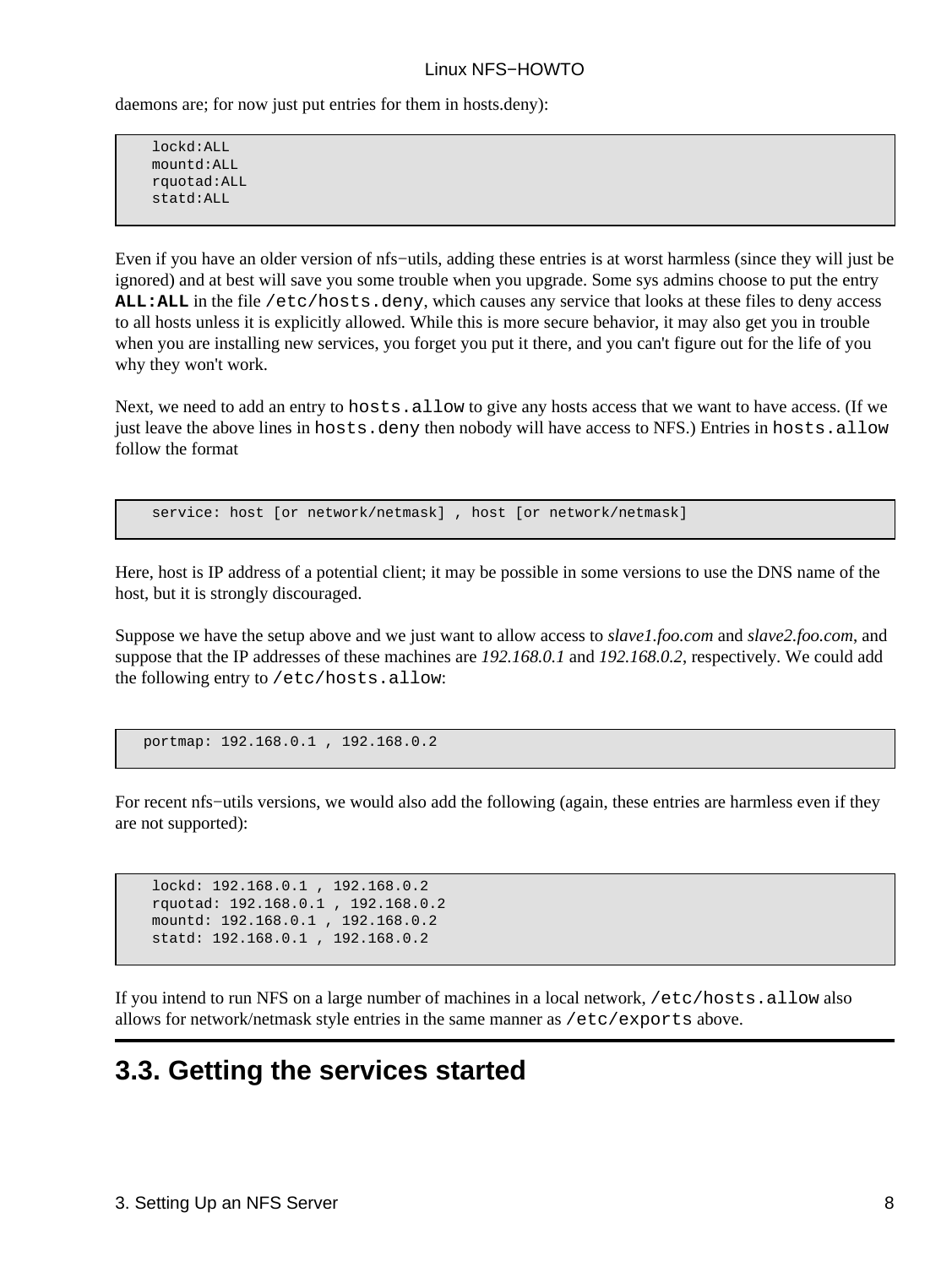daemons are; for now just put entries for them in hosts.deny):

 lockd:ALL mountd:ALL rquotad:ALL statd:ALL

Even if you have an older version of nfs−utils, adding these entries is at worst harmless (since they will just be ignored) and at best will save you some trouble when you upgrade. Some sys admins choose to put the entry **ALL:ALL** in the file /etc/hosts.deny, which causes any service that looks at these files to deny access to all hosts unless it is explicitly allowed. While this is more secure behavior, it may also get you in trouble when you are installing new services, you forget you put it there, and you can't figure out for the life of you why they won't work.

Next, we need to add an entry to hosts.allow to give any hosts access that we want to have access. (If we just leave the above lines in hosts.deny then nobody will have access to NFS.) Entries in hosts.allow follow the format

service: host [or network/netmask] , host [or network/netmask]

Here, host is IP address of a potential client; it may be possible in some versions to use the DNS name of the host, but it is strongly discouraged.

Suppose we have the setup above and we just want to allow access to *slave1.foo.com* and *slave2.foo.com*, and suppose that the IP addresses of these machines are *192.168.0.1* and *192.168.0.2*, respectively. We could add the following entry to /etc/hosts.allow:

portmap: 192.168.0.1 , 192.168.0.2

For recent nfs−utils versions, we would also add the following (again, these entries are harmless even if they are not supported):

```
 lockd: 192.168.0.1 , 192.168.0.2
 rquotad: 192.168.0.1 , 192.168.0.2
 mountd: 192.168.0.1 , 192.168.0.2
 statd: 192.168.0.1 , 192.168.0.2
```
If you intend to run NFS on a large number of machines in a local network, /etc/hosts.allow also allows for network/netmask style entries in the same manner as /etc/exports above.

## <span id="page-10-0"></span>**3.3. Getting the services started**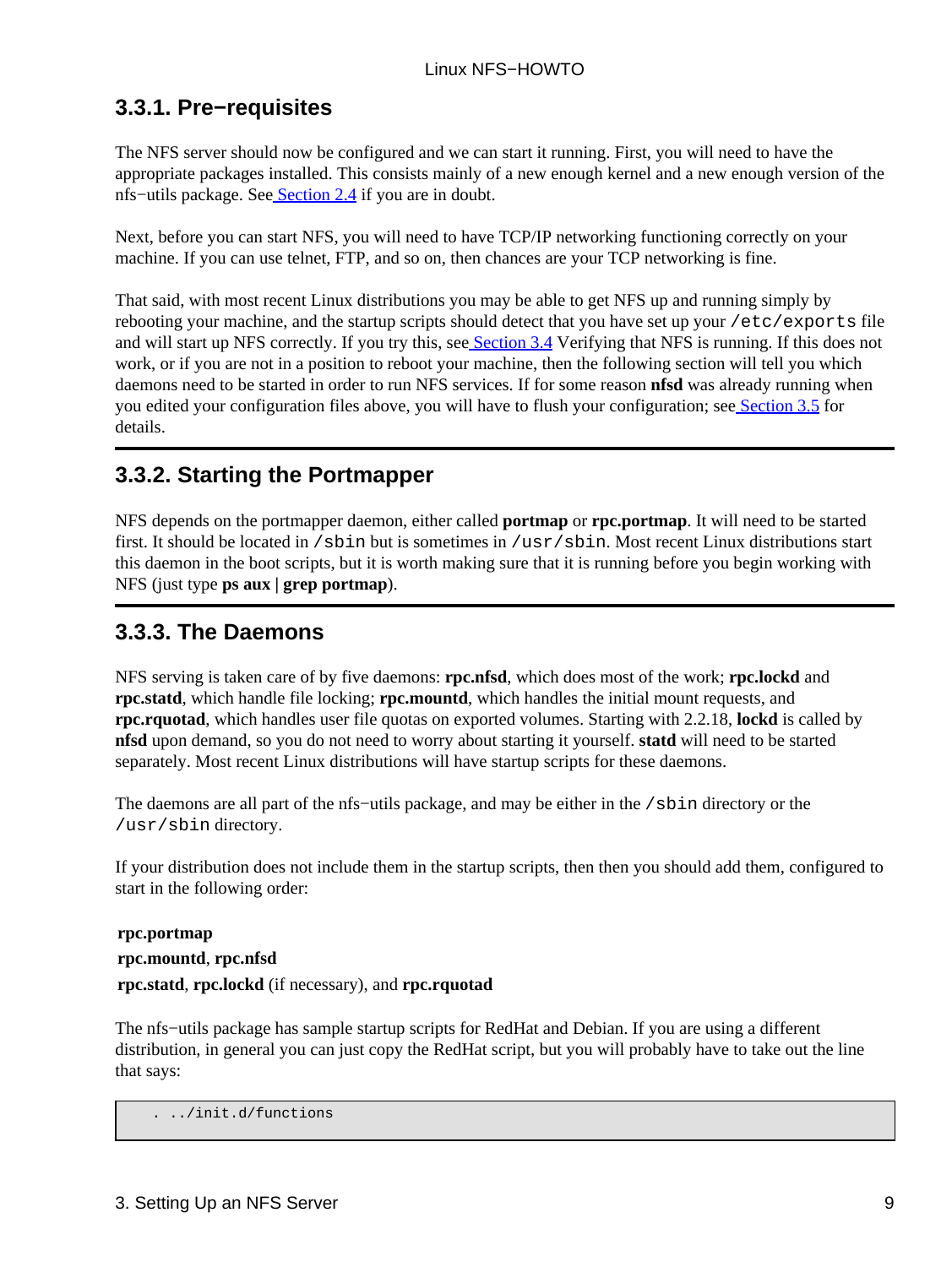## <span id="page-11-0"></span>**3.3.1. Pre−requisites**

The NFS server should now be configured and we can start it running. First, you will need to have the appropriate packages installed. This consists mainly of a new enough kernel and a new enough version of the nfs−utils package. See [Section 2.4](#page-5-0) if you are in doubt.

Next, before you can start NFS, you will need to have TCP/IP networking functioning correctly on your machine. If you can use telnet, FTP, and so on, then chances are your TCP networking is fine.

That said, with most recent Linux distributions you may be able to get NFS up and running simply by rebooting your machine, and the startup scripts should detect that you have set up your /etc/exports file and will start up NFS correctly. If you try this, se[e Section 3.4](#page-12-0) Verifying that NFS is running. If this does not work, or if you are not in a position to reboot your machine, then the following section will tell you which daemons need to be started in order to run NFS services. If for some reason **nfsd** was already running when you edited your configuration files above, you will have to flush your configuration; se[e Section 3.5](#page-12-1) for details.

### <span id="page-11-1"></span>**3.3.2. Starting the Portmapper**

NFS depends on the portmapper daemon, either called **portmap** or **rpc.portmap**. It will need to be started first. It should be located in /sbin but is sometimes in /usr/sbin. Most recent Linux distributions start this daemon in the boot scripts, but it is worth making sure that it is running before you begin working with NFS (just type **ps aux | grep portmap**).

### <span id="page-11-2"></span>**3.3.3. The Daemons**

NFS serving is taken care of by five daemons: **rpc.nfsd**, which does most of the work; **rpc.lockd** and **rpc.statd**, which handle file locking; **rpc.mountd**, which handles the initial mount requests, and **rpc.rquotad**, which handles user file quotas on exported volumes. Starting with 2.2.18, **lockd** is called by **nfsd** upon demand, so you do not need to worry about starting it yourself. **statd** will need to be started separately. Most recent Linux distributions will have startup scripts for these daemons.

The daemons are all part of the nfs−utils package, and may be either in the /sbin directory or the /usr/sbin directory.

If your distribution does not include them in the startup scripts, then then you should add them, configured to start in the following order:

```
rpc.portmap
rpc.mountd, rpc.nfsd
rpc.statd, rpc.lockd (if necessary), and rpc.rquotad
```
The nfs−utils package has sample startup scripts for RedHat and Debian. If you are using a different distribution, in general you can just copy the RedHat script, but you will probably have to take out the line that says:

```
 . ../init.d/functions
```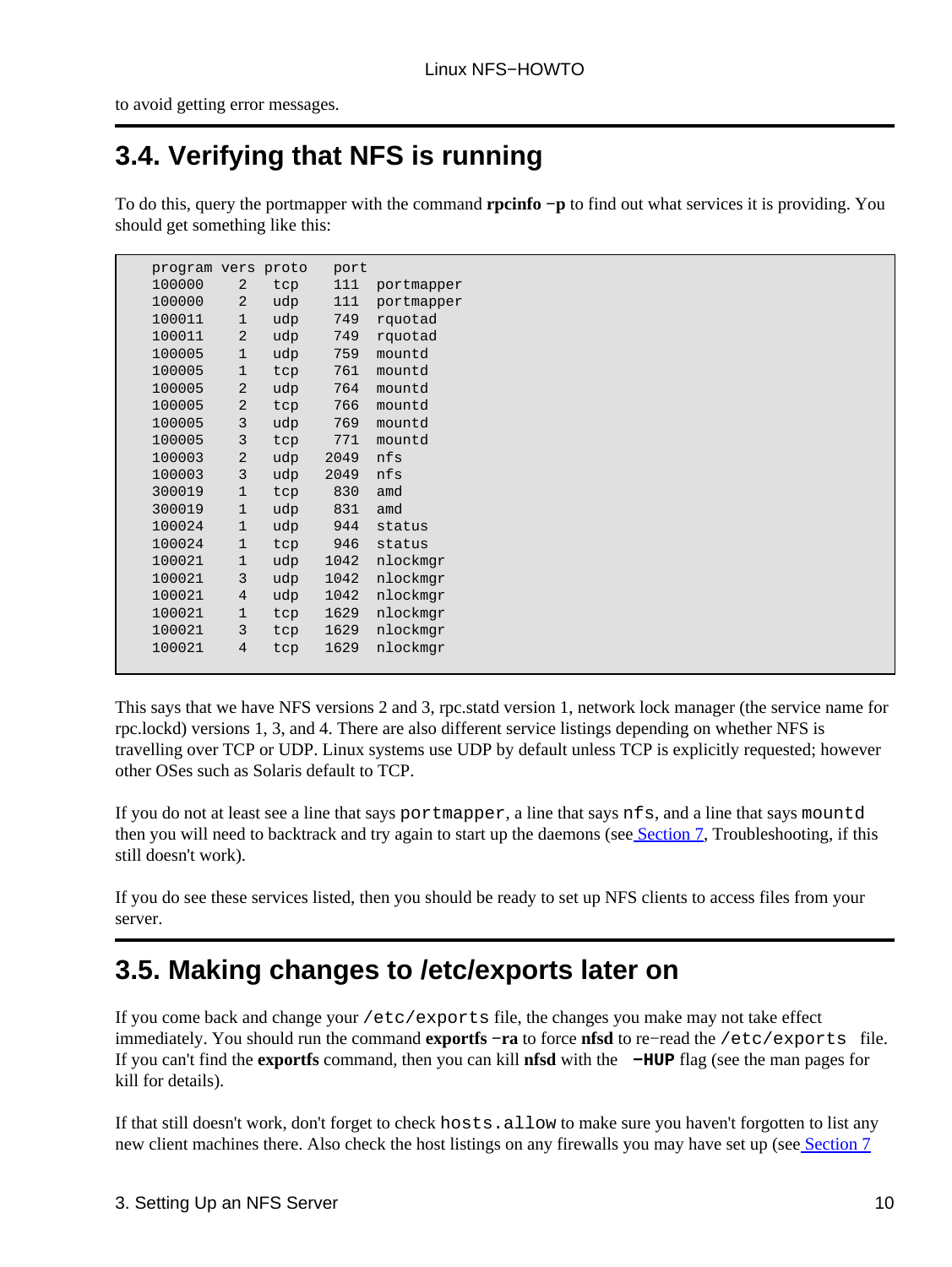to avoid getting error messages.

# <span id="page-12-0"></span>**3.4. Verifying that NFS is running**

To do this, query the portmapper with the command **rpcinfo −p** to find out what services it is providing. You should get something like this:

| program vers proto |                |     | port |            |
|--------------------|----------------|-----|------|------------|
| 100000             | 2              | tcp | 111  | portmapper |
| 100000             | 2              | udp | 111  | portmapper |
| 100011             | $\mathbf{1}$   | udp | 749  | rquotad    |
| 100011             | 2              | udp | 749  | rquotad    |
| 100005             | $\mathbf{1}$   | udp | 759  | mountd     |
| 100005             | $\mathbf{1}$   | tcp | 761  | mountd     |
| 100005             | 2              | udp | 764  | mountd     |
| 100005             | 2              | tcp | 766  | mountd     |
| 100005             | 3              | udp | 769  | mountd     |
| 100005             | 3              | tcp | 771  | mountd     |
| 100003             | 2              | udp | 2049 | nfs        |
| 100003             | 3              | udp | 2049 | nfs        |
| 300019             | $\mathbf{1}$   | tcp | 830  | amd        |
| 300019             | $\mathbf 1$    | udp | 831  | amd        |
| 100024             | $\mathbf{1}$   | udp | 944  | status     |
| 100024             | $\mathbf{1}$   | tcp | 946  | status     |
| 100021             | 1              | udp | 1042 | nlockmgr   |
| 100021             | 3              | udp | 1042 | nlockmgr   |
| 100021             | 4              | udp | 1042 | nlockmgr   |
| 100021             | $\mathbf{1}$   | tcp | 1629 | nlockmqr   |
| 100021             | 3              | tcp | 1629 | nlockmgr   |
| 100021             | $\overline{4}$ | tcp | 1629 | nlockmqr   |
|                    |                |     |      |            |

This says that we have NFS versions 2 and 3, rpc.statd version 1, network lock manager (the service name for rpc.lockd) versions 1, 3, and 4. There are also different service listings depending on whether NFS is travelling over TCP or UDP. Linux systems use UDP by default unless TCP is explicitly requested; however other OSes such as Solaris default to TCP.

If you do not at least see a line that says portmapper, a line that says nfs, and a line that says mountd then you will need to backtrack and try again to start up the daemons (see [Section 7,](#page-32-0) Troubleshooting, if this still doesn't work).

If you do see these services listed, then you should be ready to set up NFS clients to access files from your server.

## <span id="page-12-1"></span>**3.5. Making changes to /etc/exports later on**

If you come back and change your /etc/exports file, the changes you make may not take effect immediately. You should run the command **exportfs −ra** to force **nfsd** to re−read the /etc/exports file. If you can't find the **exportfs** command, then you can kill **nfsd** with the **−HUP** flag (see the man pages for kill for details).

If that still doesn't work, don't forget to check hosts.allow to make sure you haven't forgotten to list any new client machines there. Also check the host listings on any firewalls you may have set up (se[e Section 7](#page-32-0)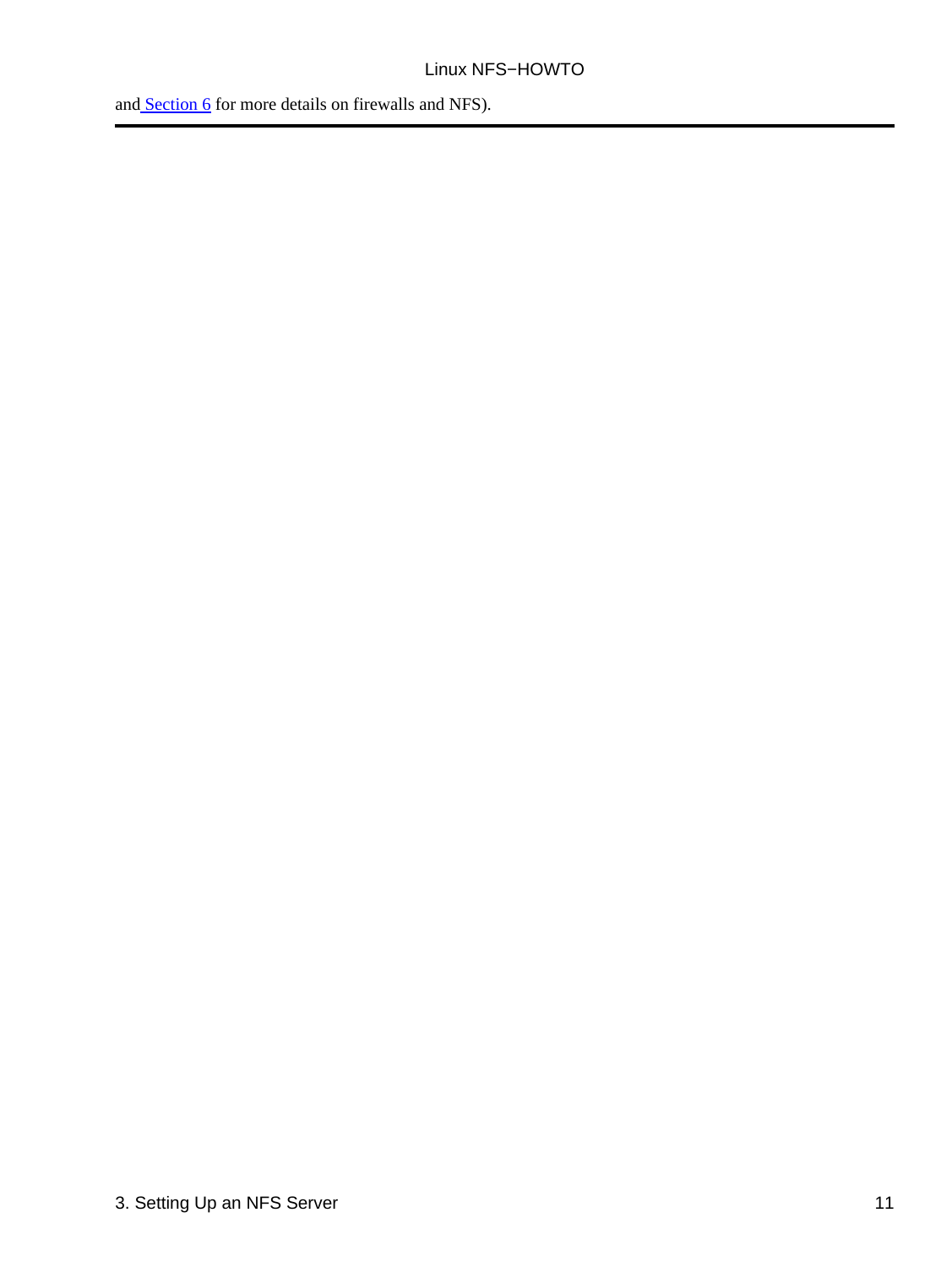and [Section 6](#page-24-0) for more details on firewalls and NFS).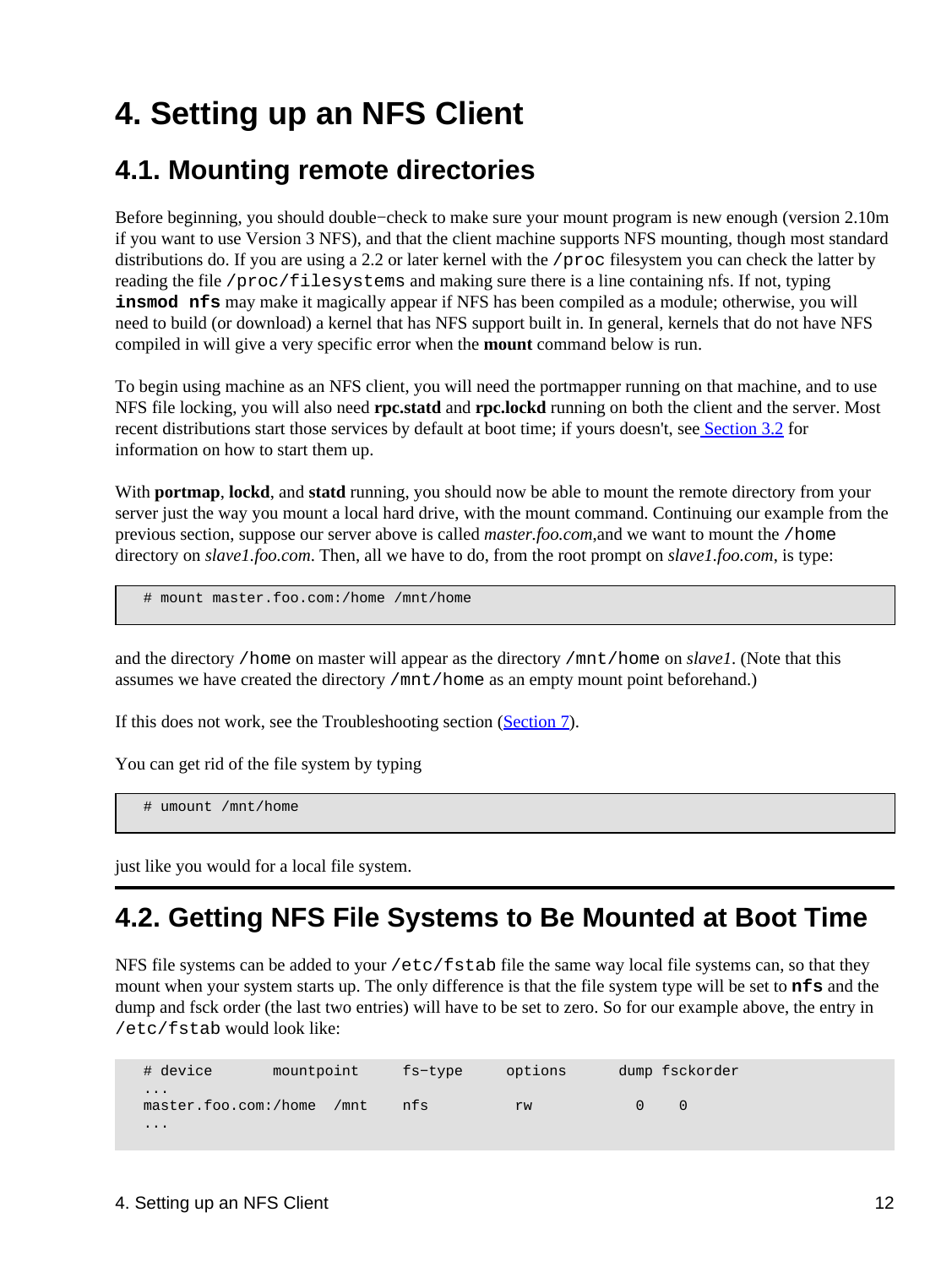# <span id="page-14-0"></span>**4. Setting up an NFS Client**

## <span id="page-14-1"></span>**4.1. Mounting remote directories**

Before beginning, you should double−check to make sure your mount program is new enough (version 2.10m if you want to use Version 3 NFS), and that the client machine supports NFS mounting, though most standard distributions do. If you are using a 2.2 or later kernel with the /proc filesystem you can check the latter by reading the file /proc/filesystems and making sure there is a line containing nfs. If not, typing **insmod nfs** may make it magically appear if NFS has been compiled as a module; otherwise, you will need to build (or download) a kernel that has NFS support built in. In general, kernels that do not have NFS compiled in will give a very specific error when the **mount** command below is run.

To begin using machine as an NFS client, you will need the portmapper running on that machine, and to use NFS file locking, you will also need **rpc.statd** and **rpc.lockd** running on both the client and the server. Most recent distributions start those services by default at boot time; if yours doesn't, see [Section 3.2](#page-7-2) for information on how to start them up.

With **portmap**, lockd, and statd running, you should now be able to mount the remote directory from your server just the way you mount a local hard drive, with the mount command. Continuing our example from the previous section, suppose our server above is called *master.foo.com*,and we want to mount the /home directory on *slave1.foo.com*. Then, all we have to do, from the root prompt on *slave1.foo.com*, is type:

# mount master.foo.com:/home /mnt/home

and the directory /home on master will appear as the directory /mnt/home on *slave1*. (Note that this assumes we have created the directory /mnt/home as an empty mount point beforehand.)

If this does not work, see the Troubleshooting section ([Section 7\)](#page-32-0).

You can get rid of the file system by typing

# umount /mnt/home

just like you would for a local file system.

## <span id="page-14-2"></span>**4.2. Getting NFS File Systems to Be Mounted at Boot Time**

NFS file systems can be added to your /etc/fstab file the same way local file systems can, so that they mount when your system starts up. The only difference is that the file system type will be set to **nfs** and the dump and fsck order (the last two entries) will have to be set to zero. So for our example above, the entry in /etc/fstab would look like:

 # device mountpoint fs−type options dump fsckorder ... master.foo.com:/home /mnt nfs rw 0 0 ...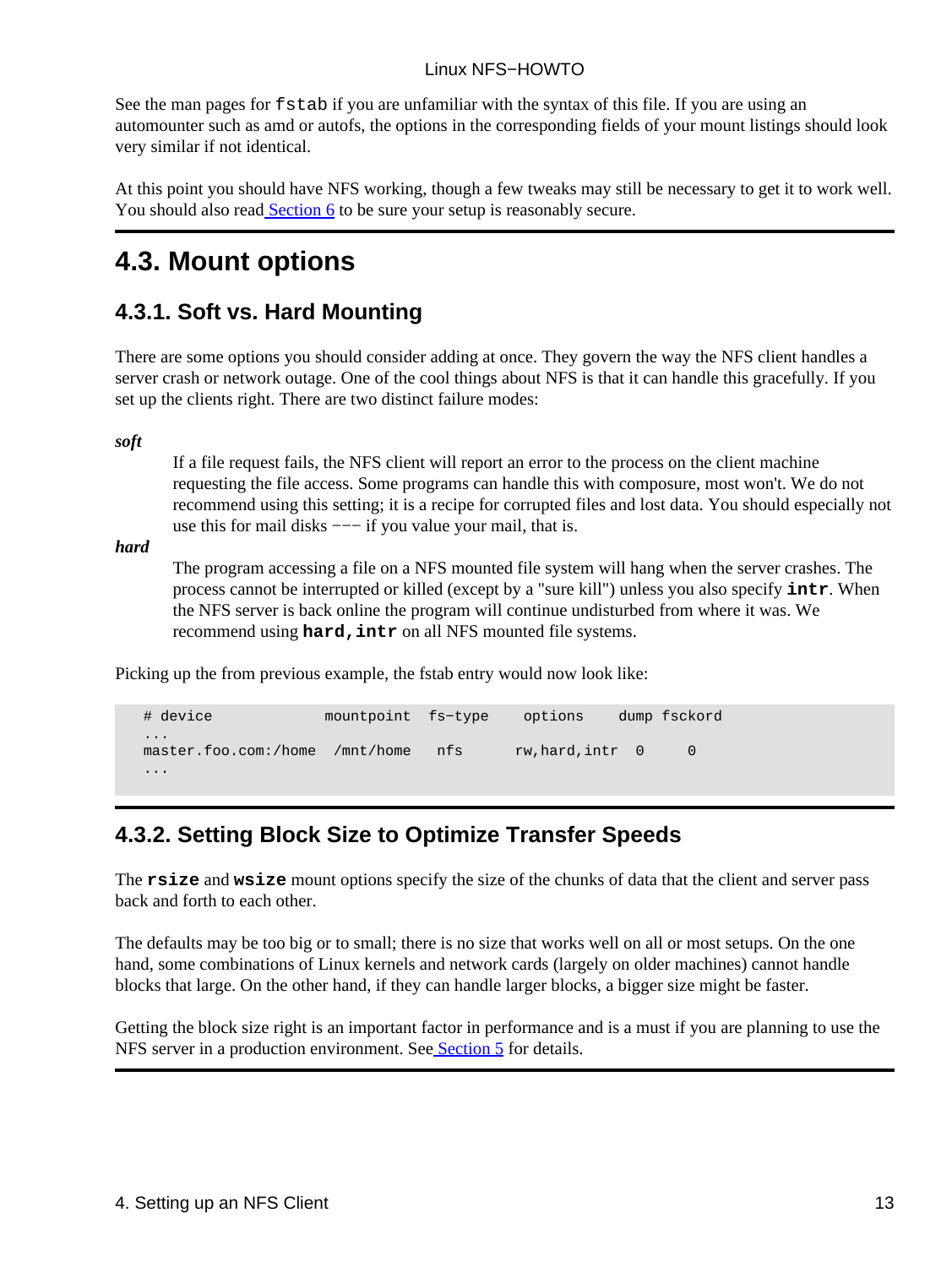See the man pages for fstab if you are unfamiliar with the syntax of this file. If you are using an automounter such as amd or autofs, the options in the corresponding fields of your mount listings should look very similar if not identical.

At this point you should have NFS working, though a few tweaks may still be necessary to get it to work well. You should also read **Section 6** to be sure your setup is reasonably secure.

## <span id="page-15-0"></span>**4.3. Mount options**

### <span id="page-15-1"></span>**4.3.1. Soft vs. Hard Mounting**

There are some options you should consider adding at once. They govern the way the NFS client handles a server crash or network outage. One of the cool things about NFS is that it can handle this gracefully. If you set up the clients right. There are two distinct failure modes:

*soft*

If a file request fails, the NFS client will report an error to the process on the client machine requesting the file access. Some programs can handle this with composure, most won't. We do not recommend using this setting; it is a recipe for corrupted files and lost data. You should especially not use this for mail disks −−− if you value your mail, that is.

*hard*

The program accessing a file on a NFS mounted file system will hang when the server crashes. The process cannot be interrupted or killed (except by a "sure kill") unless you also specify **intr**. When the NFS server is back online the program will continue undisturbed from where it was. We recommend using **hard, intr** on all NFS mounted file systems.

Picking up the from previous example, the fstab entry would now look like:

| # device                         | mountpoint fs-type |     | options          | dump fsckord |
|----------------------------------|--------------------|-----|------------------|--------------|
| $\cdots$<br>master.foo.com:/home | /mnt/home          | nfs | rw, hard, intr 0 | $\Omega$     |
| $\cdots$                         |                    |     |                  |              |

### <span id="page-15-2"></span>**4.3.2. Setting Block Size to Optimize Transfer Speeds**

The **rsize** and **wsize** mount options specify the size of the chunks of data that the client and server pass back and forth to each other.

The defaults may be too big or to small; there is no size that works well on all or most setups. On the one hand, some combinations of Linux kernels and network cards (largely on older machines) cannot handle blocks that large. On the other hand, if they can handle larger blocks, a bigger size might be faster.

Getting the block size right is an important factor in performance and is a must if you are planning to use the NFS server in a production environment. See [Section 5](#page-16-0) for details.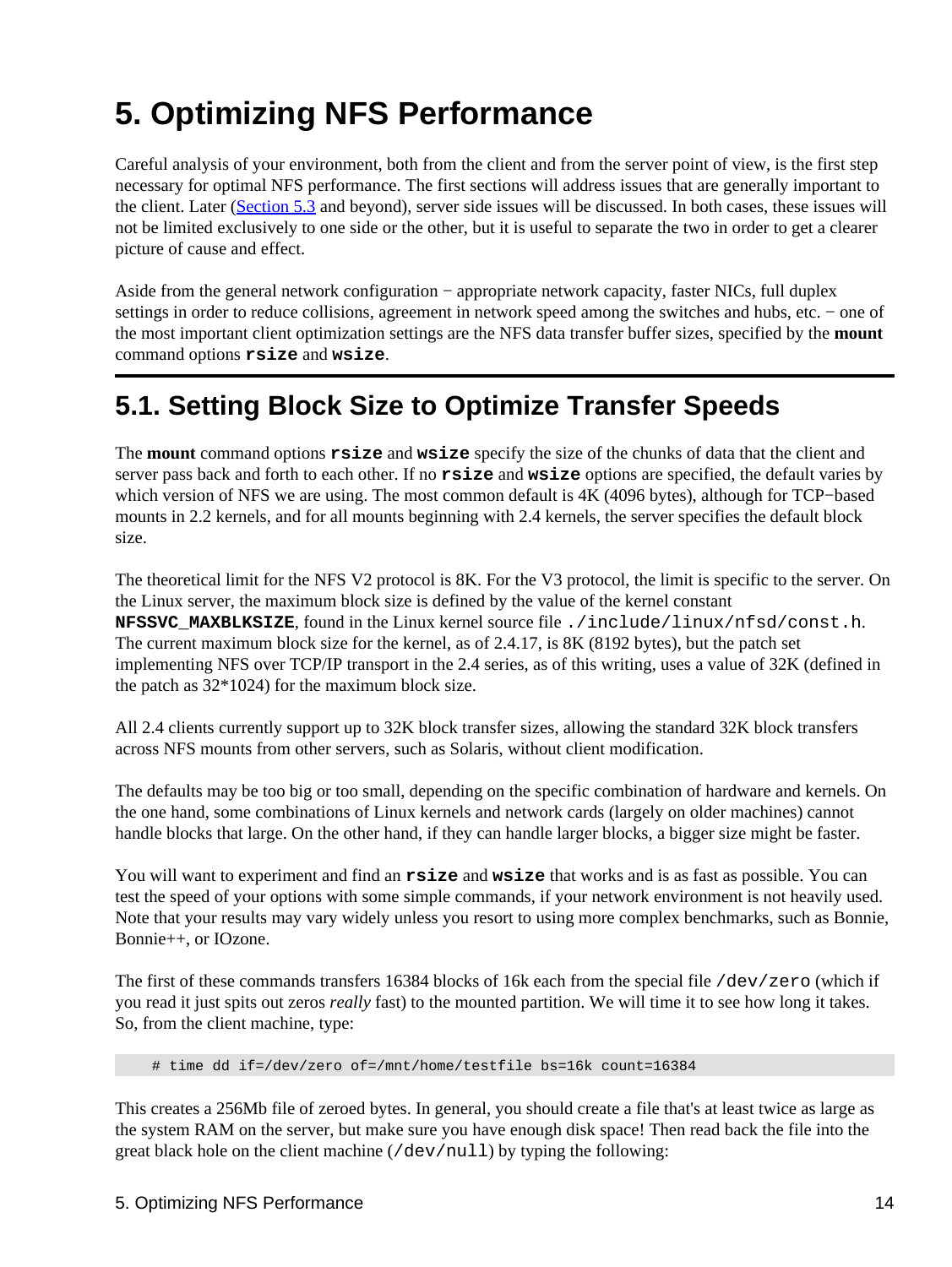# <span id="page-16-0"></span>**5. Optimizing NFS Performance**

Careful analysis of your environment, both from the client and from the server point of view, is the first step necessary for optimal NFS performance. The first sections will address issues that are generally important to the client. Later ([Section 5.3](#page-18-1) and beyond), server side issues will be discussed. In both cases, these issues will not be limited exclusively to one side or the other, but it is useful to separate the two in order to get a clearer picture of cause and effect.

Aside from the general network configuration − appropriate network capacity, faster NICs, full duplex settings in order to reduce collisions, agreement in network speed among the switches and hubs, etc. – one of the most important client optimization settings are the NFS data transfer buffer sizes, specified by the **mount** command options **rsize** and **wsize**.

## <span id="page-16-1"></span>**5.1. Setting Block Size to Optimize Transfer Speeds**

The **mount** command options **rsize** and **wsize** specify the size of the chunks of data that the client and server pass back and forth to each other. If no **rsize** and **wsize** options are specified, the default varies by which version of NFS we are using. The most common default is 4K (4096 bytes), although for TCP−based mounts in 2.2 kernels, and for all mounts beginning with 2.4 kernels, the server specifies the default block size.

The theoretical limit for the NFS V2 protocol is 8K. For the V3 protocol, the limit is specific to the server. On the Linux server, the maximum block size is defined by the value of the kernel constant **NFSSVC\_MAXBLKSIZE**, found in the Linux kernel source file ./include/linux/nfsd/const.h. The current maximum block size for the kernel, as of 2.4.17, is 8K (8192 bytes), but the patch set implementing NFS over TCP/IP transport in the 2.4 series, as of this writing, uses a value of 32K (defined in the patch as 32\*1024) for the maximum block size.

All 2.4 clients currently support up to 32K block transfer sizes, allowing the standard 32K block transfers across NFS mounts from other servers, such as Solaris, without client modification.

The defaults may be too big or too small, depending on the specific combination of hardware and kernels. On the one hand, some combinations of Linux kernels and network cards (largely on older machines) cannot handle blocks that large. On the other hand, if they can handle larger blocks, a bigger size might be faster.

You will want to experiment and find an **rsize** and **wsize** that works and is as fast as possible. You can test the speed of your options with some simple commands, if your network environment is not heavily used. Note that your results may vary widely unless you resort to using more complex benchmarks, such as Bonnie, Bonnie++, or IOzone.

The first of these commands transfers 16384 blocks of 16k each from the special file /dev/zero (which if you read it just spits out zeros *really* fast) to the mounted partition. We will time it to see how long it takes. So, from the client machine, type:

# time dd if=/dev/zero of=/mnt/home/testfile bs=16k count=16384

This creates a 256Mb file of zeroed bytes. In general, you should create a file that's at least twice as large as the system RAM on the server, but make sure you have enough disk space! Then read back the file into the great black hole on the client machine (/dev/null) by typing the following: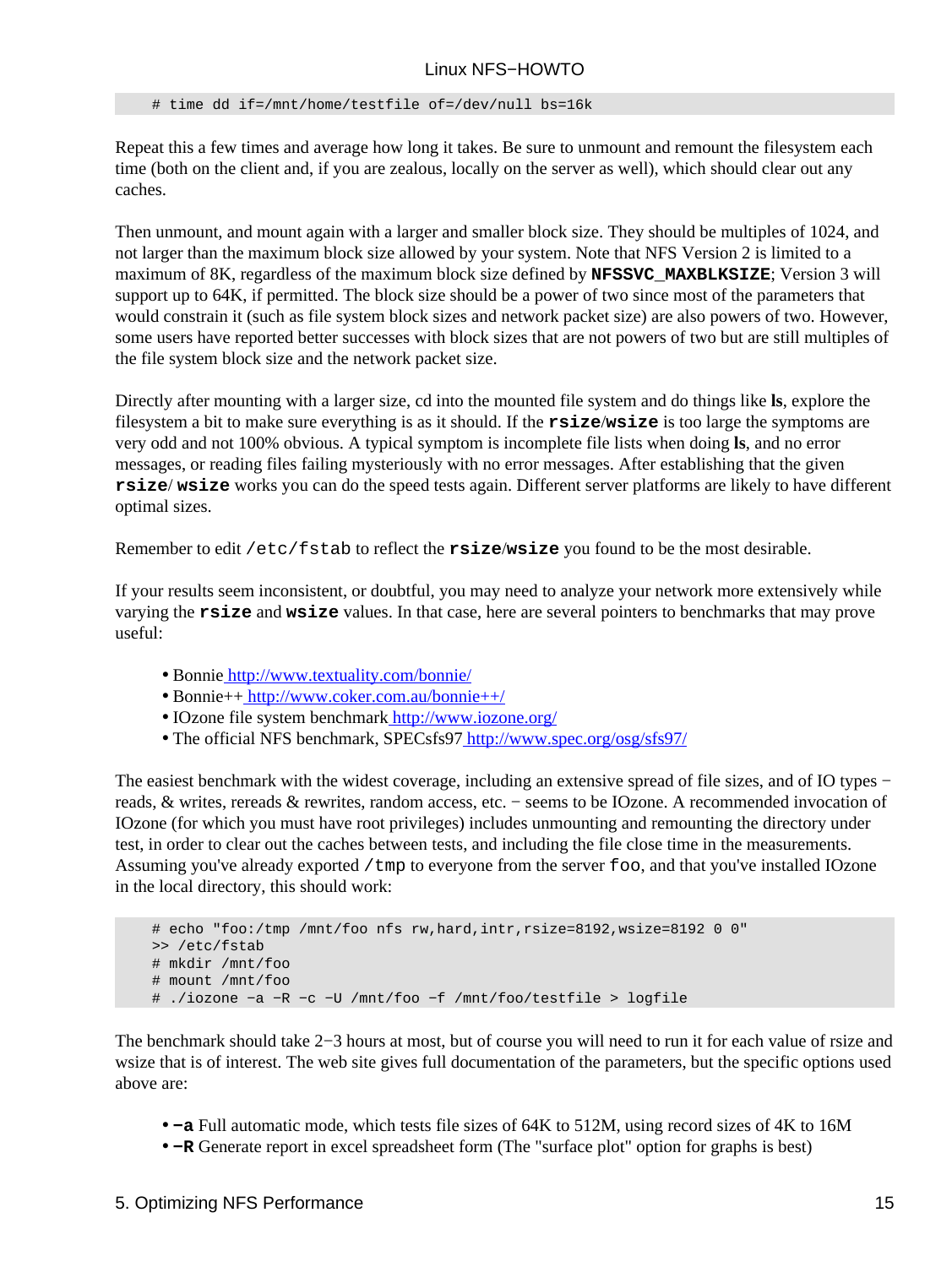# time dd if=/mnt/home/testfile of=/dev/null bs=16k

Repeat this a few times and average how long it takes. Be sure to unmount and remount the filesystem each time (both on the client and, if you are zealous, locally on the server as well), which should clear out any caches.

Then unmount, and mount again with a larger and smaller block size. They should be multiples of 1024, and not larger than the maximum block size allowed by your system. Note that NFS Version 2 is limited to a maximum of 8K, regardless of the maximum block size defined by **NFSSVC\_MAXBLKSIZE**; Version 3 will support up to 64K, if permitted. The block size should be a power of two since most of the parameters that would constrain it (such as file system block sizes and network packet size) are also powers of two. However, some users have reported better successes with block sizes that are not powers of two but are still multiples of the file system block size and the network packet size.

Directly after mounting with a larger size, cd into the mounted file system and do things like **ls**, explore the filesystem a bit to make sure everything is as it should. If the **rsize**/**wsize** is too large the symptoms are very odd and not 100% obvious. A typical symptom is incomplete file lists when doing **ls**, and no error messages, or reading files failing mysteriously with no error messages. After establishing that the given **rsize**/ **wsize** works you can do the speed tests again. Different server platforms are likely to have different optimal sizes.

Remember to edit /etc/fstab to reflect the **rsize**/**wsize** you found to be the most desirable.

If your results seem inconsistent, or doubtful, you may need to analyze your network more extensively while varying the **rsize** and **wsize** values. In that case, here are several pointers to benchmarks that may prove useful:

- Bonnie<http://www.textuality.com/bonnie/>
- Bonnie+[+ http://www.coker.com.au/bonnie++/](http://www.coker.com.au/bonnie++/)
- IOzone file system benchmark<http://www.iozone.org/>
- The official NFS benchmark, SPECsfs9[7 http://www.spec.org/osg/sfs97/](http://www.spec.org/osg/sfs97/)

The easiest benchmark with the widest coverage, including an extensive spread of file sizes, and of IO types − reads, & writes, rereads & rewrites, random access, etc. − seems to be IOzone. A recommended invocation of IOzone (for which you must have root privileges) includes unmounting and remounting the directory under test, in order to clear out the caches between tests, and including the file close time in the measurements. Assuming you've already exported /tmp to everyone from the server foo, and that you've installed IOzone in the local directory, this should work:

```
 # echo "foo:/tmp /mnt/foo nfs rw,hard,intr,rsize=8192,wsize=8192 0 0"
 >> /etc/fstab
 # mkdir /mnt/foo
 # mount /mnt/foo
 # ./iozone −a −R −c −U /mnt/foo −f /mnt/foo/testfile > logfile
```
The benchmark should take 2−3 hours at most, but of course you will need to run it for each value of rsize and wsize that is of interest. The web site gives full documentation of the parameters, but the specific options used above are:

- **−a** Full automatic mode, which tests file sizes of 64K to 512M, using record sizes of 4K to 16M
- **−R** Generate report in excel spreadsheet form (The "surface plot" option for graphs is best)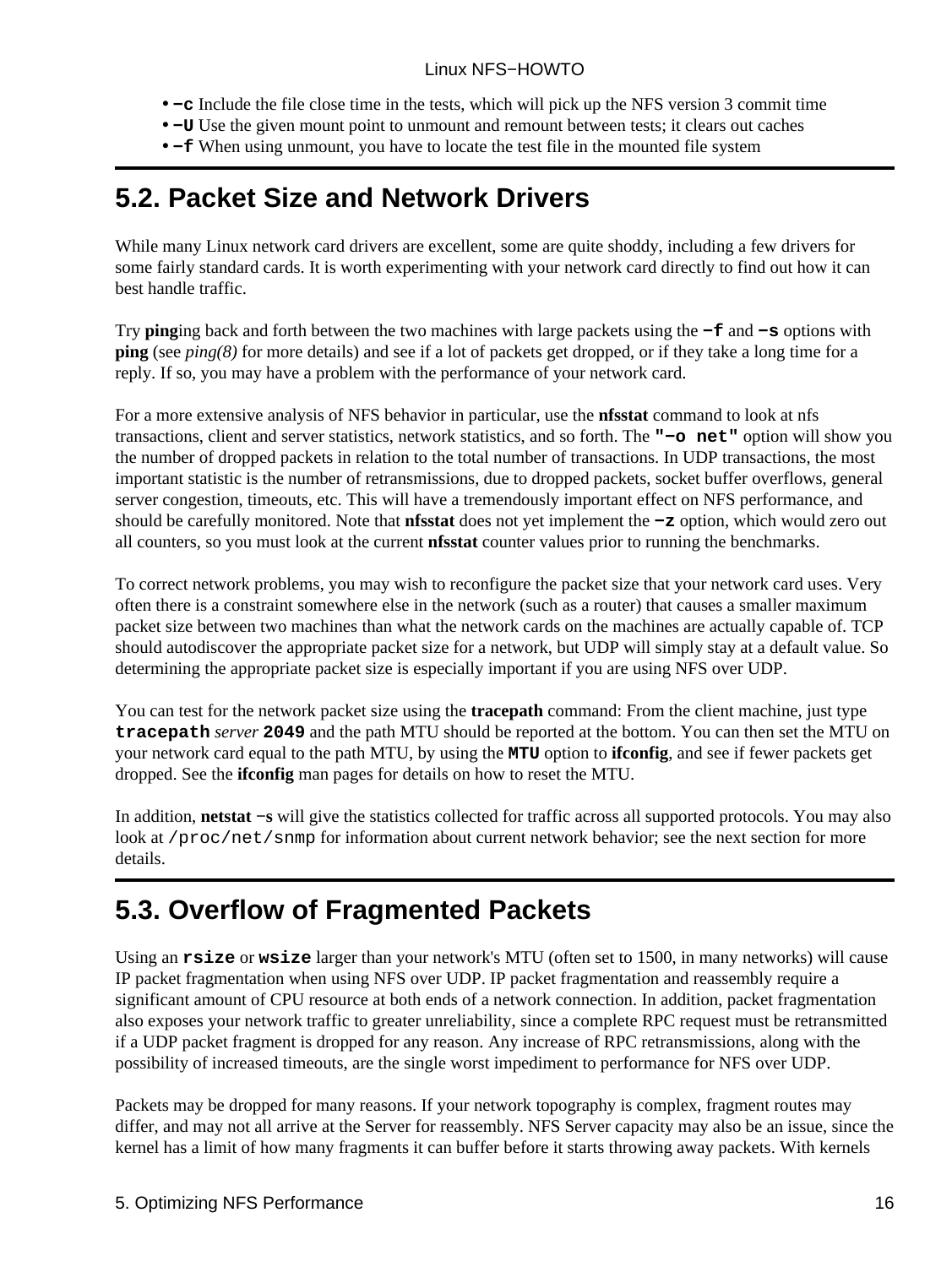- **−c** Include the file close time in the tests, which will pick up the NFS version 3 commit time
- **−U** Use the given mount point to unmount and remount between tests; it clears out caches
- **−f** When using unmount, you have to locate the test file in the mounted file system

## <span id="page-18-0"></span>**5.2. Packet Size and Network Drivers**

While many Linux network card drivers are excellent, some are quite shoddy, including a few drivers for some fairly standard cards. It is worth experimenting with your network card directly to find out how it can best handle traffic.

Try **ping**ing back and forth between the two machines with large packets using the **−f** and **−s** options with **ping** (see *ping(8)* for more details) and see if a lot of packets get dropped, or if they take a long time for a reply. If so, you may have a problem with the performance of your network card.

For a more extensive analysis of NFS behavior in particular, use the **nfsstat** command to look at nfs transactions, client and server statistics, network statistics, and so forth. The **"−o net"** option will show you the number of dropped packets in relation to the total number of transactions. In UDP transactions, the most important statistic is the number of retransmissions, due to dropped packets, socket buffer overflows, general server congestion, timeouts, etc. This will have a tremendously important effect on NFS performance, and should be carefully monitored. Note that **nfsstat** does not yet implement the **−z** option, which would zero out all counters, so you must look at the current **nfsstat** counter values prior to running the benchmarks.

To correct network problems, you may wish to reconfigure the packet size that your network card uses. Very often there is a constraint somewhere else in the network (such as a router) that causes a smaller maximum packet size between two machines than what the network cards on the machines are actually capable of. TCP should autodiscover the appropriate packet size for a network, but UDP will simply stay at a default value. So determining the appropriate packet size is especially important if you are using NFS over UDP.

You can test for the network packet size using the **tracepath** command: From the client machine, just type **tracepath** *server* **2049** and the path MTU should be reported at the bottom. You can then set the MTU on your network card equal to the path MTU, by using the **MTU** option to **ifconfig**, and see if fewer packets get dropped. See the **ifconfig** man pages for details on how to reset the MTU.

In addition, **netstat −s** will give the statistics collected for traffic across all supported protocols. You may also look at /proc/net/snmp for information about current network behavior; see the next section for more details.

## <span id="page-18-1"></span>**5.3. Overflow of Fragmented Packets**

Using an **rsize** or **wsize** larger than your network's MTU (often set to 1500, in many networks) will cause IP packet fragmentation when using NFS over UDP. IP packet fragmentation and reassembly require a significant amount of CPU resource at both ends of a network connection. In addition, packet fragmentation also exposes your network traffic to greater unreliability, since a complete RPC request must be retransmitted if a UDP packet fragment is dropped for any reason. Any increase of RPC retransmissions, along with the possibility of increased timeouts, are the single worst impediment to performance for NFS over UDP.

Packets may be dropped for many reasons. If your network topography is complex, fragment routes may differ, and may not all arrive at the Server for reassembly. NFS Server capacity may also be an issue, since the kernel has a limit of how many fragments it can buffer before it starts throwing away packets. With kernels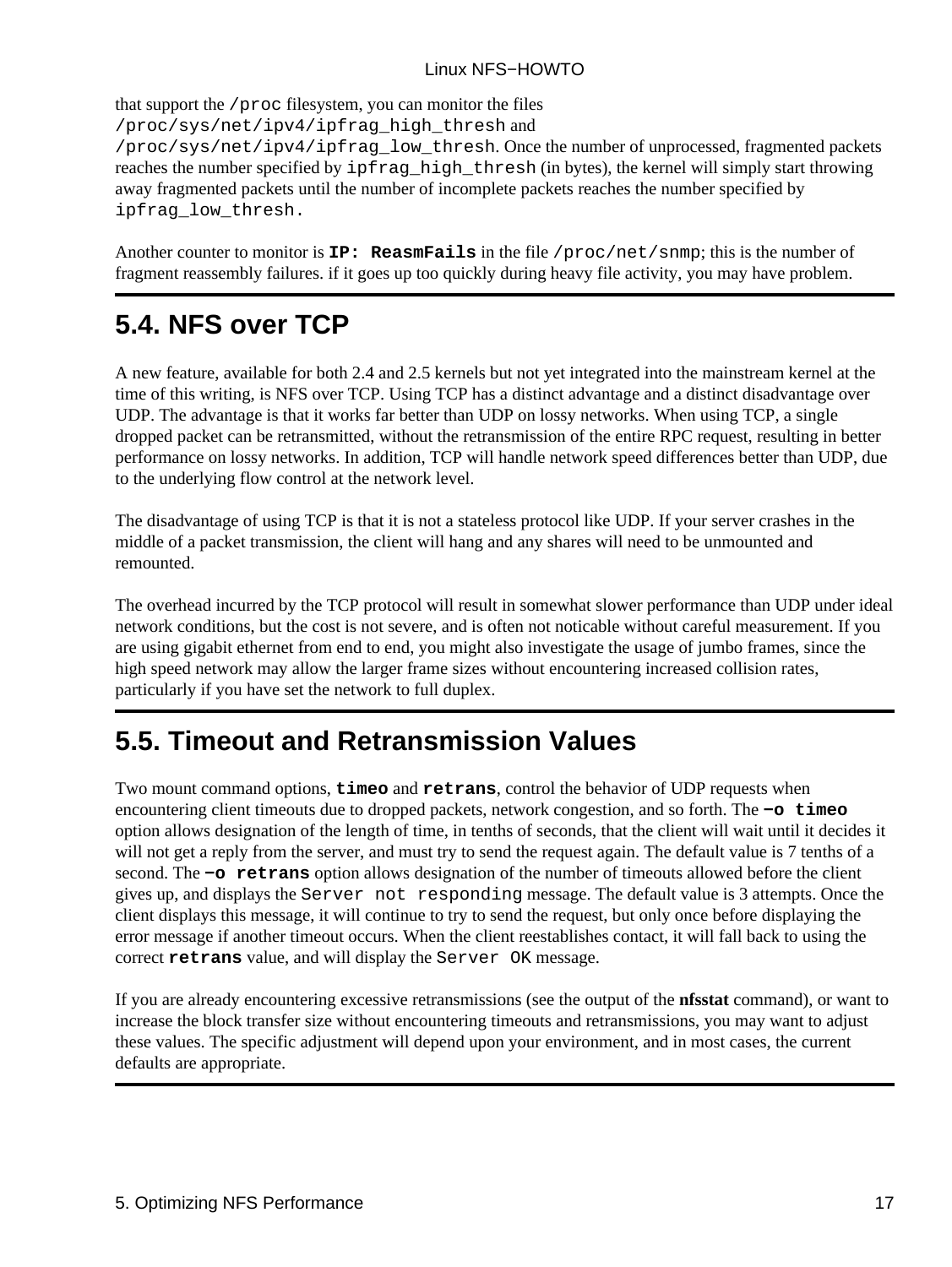that support the /proc filesystem, you can monitor the files

/proc/sys/net/ipv4/ipfrag\_high\_thresh and

/proc/sys/net/ipv4/ipfrag\_low\_thresh. Once the number of unprocessed, fragmented packets reaches the number specified by  $ipfrag$  high thresh (in bytes), the kernel will simply start throwing away fragmented packets until the number of incomplete packets reaches the number specified by ipfrag\_low\_thresh.

Another counter to monitor is **IP: ReasmFails** in the file /proc/net/snmp; this is the number of fragment reassembly failures. if it goes up too quickly during heavy file activity, you may have problem.

## <span id="page-19-0"></span>**5.4. NFS over TCP**

A new feature, available for both 2.4 and 2.5 kernels but not yet integrated into the mainstream kernel at the time of this writing, is NFS over TCP. Using TCP has a distinct advantage and a distinct disadvantage over UDP. The advantage is that it works far better than UDP on lossy networks. When using TCP, a single dropped packet can be retransmitted, without the retransmission of the entire RPC request, resulting in better performance on lossy networks. In addition, TCP will handle network speed differences better than UDP, due to the underlying flow control at the network level.

The disadvantage of using TCP is that it is not a stateless protocol like UDP. If your server crashes in the middle of a packet transmission, the client will hang and any shares will need to be unmounted and remounted.

The overhead incurred by the TCP protocol will result in somewhat slower performance than UDP under ideal network conditions, but the cost is not severe, and is often not noticable without careful measurement. If you are using gigabit ethernet from end to end, you might also investigate the usage of jumbo frames, since the high speed network may allow the larger frame sizes without encountering increased collision rates, particularly if you have set the network to full duplex.

# <span id="page-19-1"></span>**5.5. Timeout and Retransmission Values**

Two mount command options, **timeo** and **retrans**, control the behavior of UDP requests when encountering client timeouts due to dropped packets, network congestion, and so forth. The **−o timeo** option allows designation of the length of time, in tenths of seconds, that the client will wait until it decides it will not get a reply from the server, and must try to send the request again. The default value is 7 tenths of a second. The **−o retrans** option allows designation of the number of timeouts allowed before the client gives up, and displays the Server not responding message. The default value is 3 attempts. Once the client displays this message, it will continue to try to send the request, but only once before displaying the error message if another timeout occurs. When the client reestablishes contact, it will fall back to using the correct **retrans** value, and will display the Server OK message.

If you are already encountering excessive retransmissions (see the output of the **nfsstat** command), or want to increase the block transfer size without encountering timeouts and retransmissions, you may want to adjust these values. The specific adjustment will depend upon your environment, and in most cases, the current defaults are appropriate.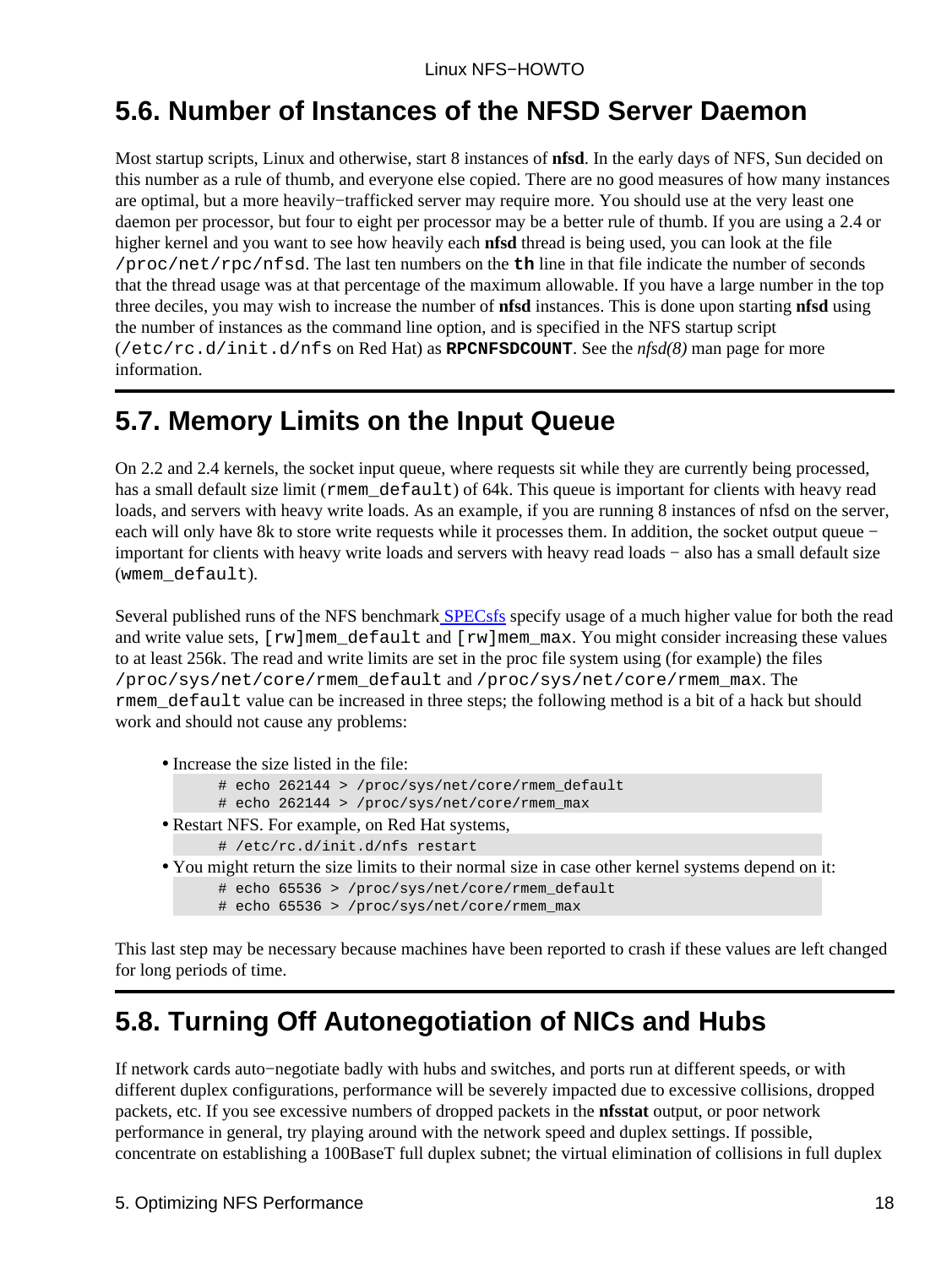## <span id="page-20-0"></span>**5.6. Number of Instances of the NFSD Server Daemon**

Most startup scripts, Linux and otherwise, start 8 instances of **nfsd**. In the early days of NFS, Sun decided on this number as a rule of thumb, and everyone else copied. There are no good measures of how many instances are optimal, but a more heavily−trafficked server may require more. You should use at the very least one daemon per processor, but four to eight per processor may be a better rule of thumb. If you are using a 2.4 or higher kernel and you want to see how heavily each **nfsd** thread is being used, you can look at the file /proc/net/rpc/nfsd. The last ten numbers on the **th** line in that file indicate the number of seconds that the thread usage was at that percentage of the maximum allowable. If you have a large number in the top three deciles, you may wish to increase the number of **nfsd** instances. This is done upon starting **nfsd** using the number of instances as the command line option, and is specified in the NFS startup script (/etc/rc.d/init.d/nfs on Red Hat) as **RPCNFSDCOUNT**. See the *nfsd(8)* man page for more information.

## <span id="page-20-1"></span>**5.7. Memory Limits on the Input Queue**

On 2.2 and 2.4 kernels, the socket input queue, where requests sit while they are currently being processed, has a small default size limit (rmem\_default) of 64k. This queue is important for clients with heavy read loads, and servers with heavy write loads. As an example, if you are running 8 instances of nfsd on the server, each will only have 8k to store write requests while it processes them. In addition, the socket output queue − important for clients with heavy write loads and servers with heavy read loads − also has a small default size (wmem default).

Several published runs of the NFS benchmark [SPECsfs](http://www.spec.org/osg/sfs97/) specify usage of a much higher value for both the read and write value sets,  $[xw]$ mem\_default and  $[xw]$ mem\_max. You might consider increasing these values to at least 256k. The read and write limits are set in the proc file system using (for example) the files /proc/sys/net/core/rmem\_default and /proc/sys/net/core/rmem\_max. The rmem\_default value can be increased in three steps; the following method is a bit of a hack but should work and should not cause any problems:

- Increase the size listed in the file:
	- # echo 262144 > /proc/sys/net/core/rmem\_default
	- # echo 262144 > /proc/sys/net/core/rmem\_max
- Restart NFS. For example, on Red Hat systems, # /etc/rc.d/init.d/nfs restart
- You might return the size limits to their normal size in case other kernel systems depend on it:
	- # echo 65536 > /proc/sys/net/core/rmem\_default
	- # echo 65536 > /proc/sys/net/core/rmem\_max

This last step may be necessary because machines have been reported to crash if these values are left changed for long periods of time.

# <span id="page-20-2"></span>**5.8. Turning Off Autonegotiation of NICs and Hubs**

If network cards auto−negotiate badly with hubs and switches, and ports run at different speeds, or with different duplex configurations, performance will be severely impacted due to excessive collisions, dropped packets, etc. If you see excessive numbers of dropped packets in the **nfsstat** output, or poor network performance in general, try playing around with the network speed and duplex settings. If possible, concentrate on establishing a 100BaseT full duplex subnet; the virtual elimination of collisions in full duplex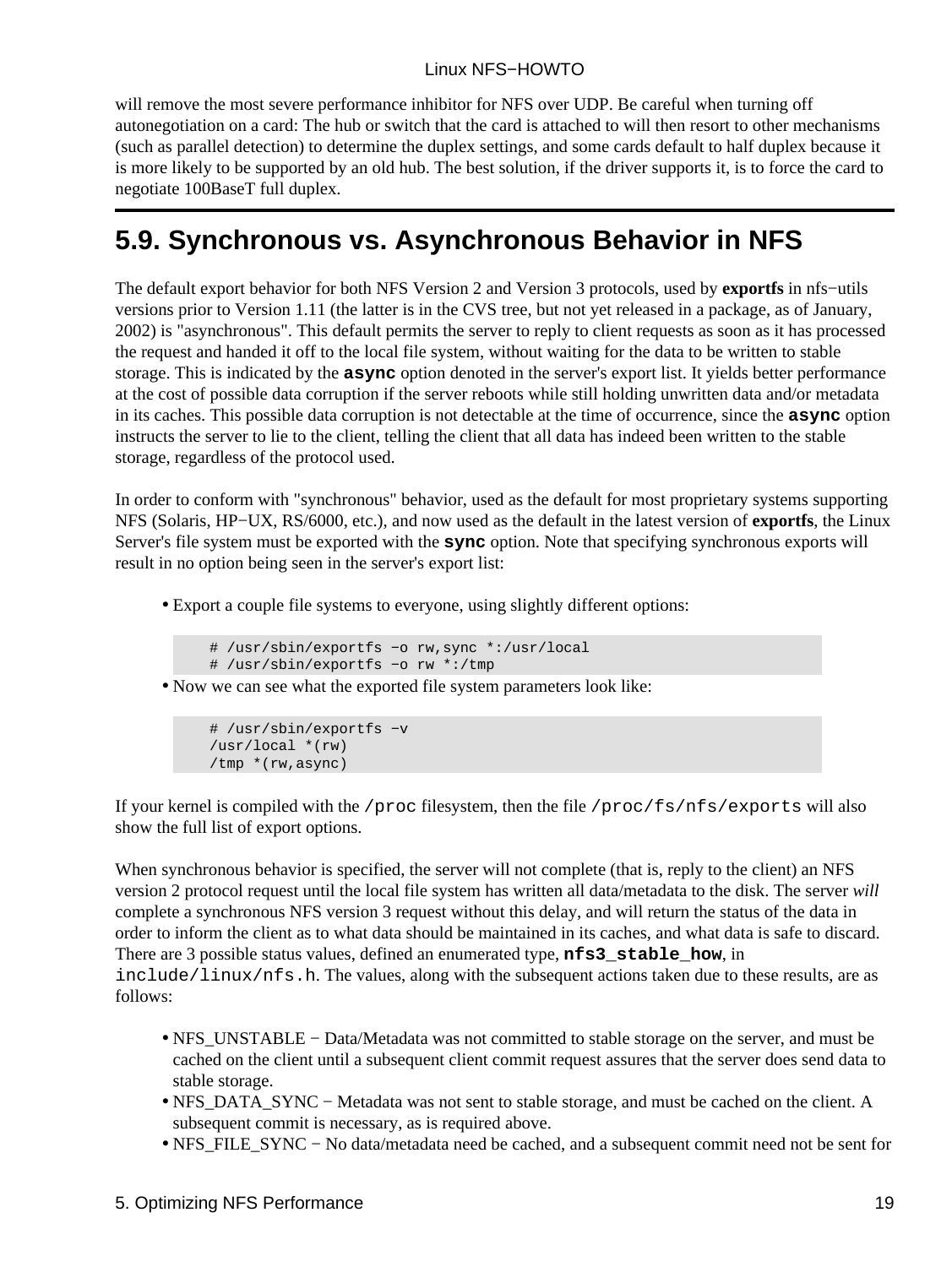will remove the most severe performance inhibitor for NFS over UDP. Be careful when turning off autonegotiation on a card: The hub or switch that the card is attached to will then resort to other mechanisms (such as parallel detection) to determine the duplex settings, and some cards default to half duplex because it is more likely to be supported by an old hub. The best solution, if the driver supports it, is to force the card to negotiate 100BaseT full duplex.

## <span id="page-21-0"></span>**5.9. Synchronous vs. Asynchronous Behavior in NFS**

The default export behavior for both NFS Version 2 and Version 3 protocols, used by **exportfs** in nfs−utils versions prior to Version 1.11 (the latter is in the CVS tree, but not yet released in a package, as of January, 2002) is "asynchronous". This default permits the server to reply to client requests as soon as it has processed the request and handed it off to the local file system, without waiting for the data to be written to stable storage. This is indicated by the **async** option denoted in the server's export list. It yields better performance at the cost of possible data corruption if the server reboots while still holding unwritten data and/or metadata in its caches. This possible data corruption is not detectable at the time of occurrence, since the **async** option instructs the server to lie to the client, telling the client that all data has indeed been written to the stable storage, regardless of the protocol used.

In order to conform with "synchronous" behavior, used as the default for most proprietary systems supporting NFS (Solaris, HP−UX, RS/6000, etc.), and now used as the default in the latest version of **exportfs**, the Linux Server's file system must be exported with the **sync** option. Note that specifying synchronous exports will result in no option being seen in the server's export list:

Export a couple file systems to everyone, using slightly different options: •

```
 # /usr/sbin/exportfs −o rw,sync *:/usr/local
 # /usr/sbin/exportfs −o rw *:/tmp
```
• Now we can see what the exported file system parameters look like:

```
 # /usr/sbin/exportfs −v
 /usr/local *(rw)
 /tmp *(rw,async)
```
If your kernel is compiled with the /proc filesystem, then the file /proc/fs/nfs/exports will also show the full list of export options.

When synchronous behavior is specified, the server will not complete (that is, reply to the client) an NFS version 2 protocol request until the local file system has written all data/metadata to the disk. The server *will* complete a synchronous NFS version 3 request without this delay, and will return the status of the data in order to inform the client as to what data should be maintained in its caches, and what data is safe to discard. There are 3 possible status values, defined an enumerated type, **nfs3\_stable\_how**, in include/linux/nfs.h. The values, along with the subsequent actions taken due to these results, are as follows:

- NFS\_UNSTABLE − Data/Metadata was not committed to stable storage on the server, and must be cached on the client until a subsequent client commit request assures that the server does send data to stable storage.
- NFS\_DATA\_SYNC − Metadata was not sent to stable storage, and must be cached on the client. A subsequent commit is necessary, as is required above.
- NFS\_FILE\_SYNC − No data/metadata need be cached, and a subsequent commit need not be sent for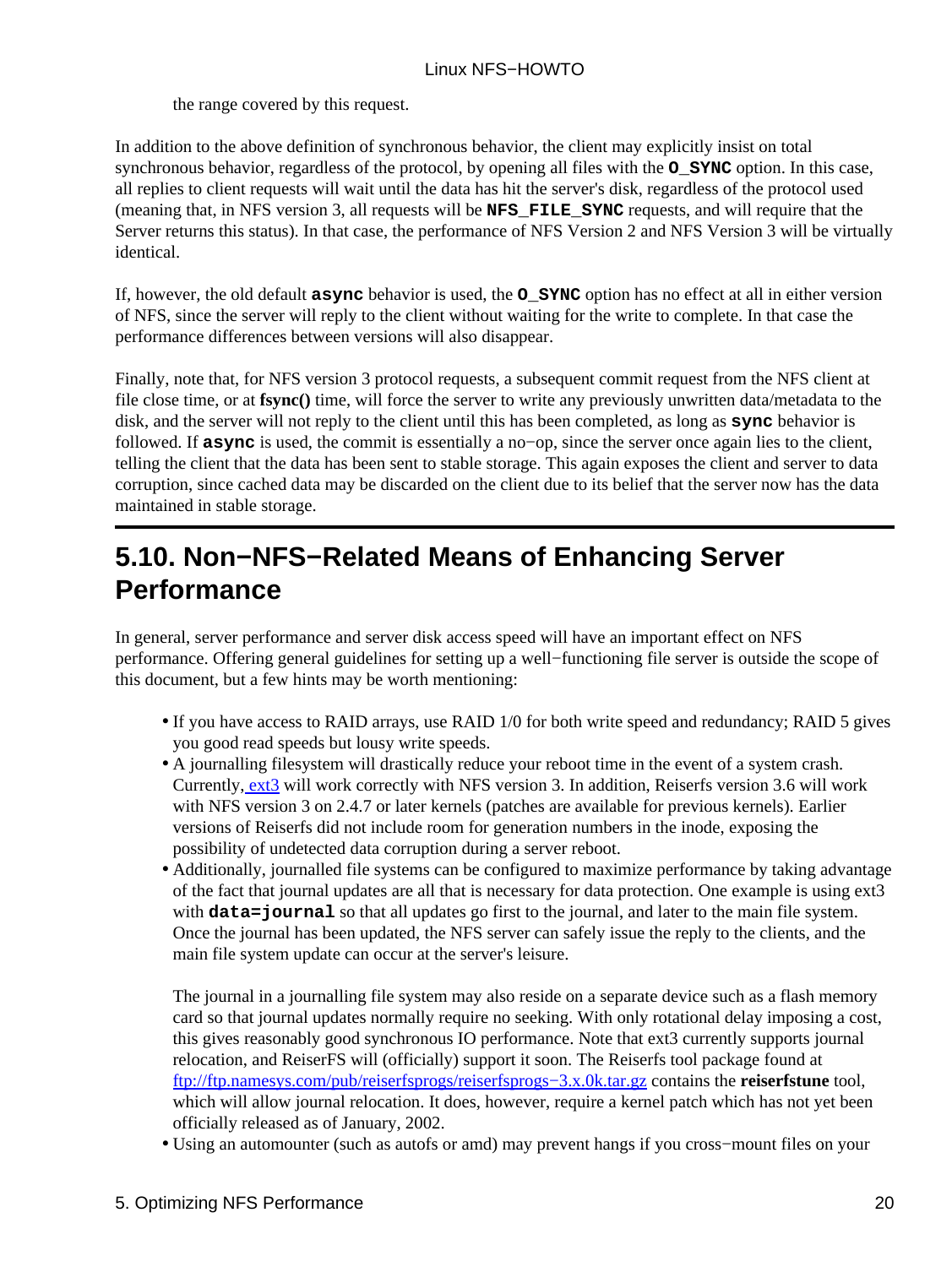the range covered by this request.

In addition to the above definition of synchronous behavior, the client may explicitly insist on total synchronous behavior, regardless of the protocol, by opening all files with the **O\_SYNC** option. In this case, all replies to client requests will wait until the data has hit the server's disk, regardless of the protocol used (meaning that, in NFS version 3, all requests will be **NFS\_FILE\_SYNC** requests, and will require that the Server returns this status). In that case, the performance of NFS Version 2 and NFS Version 3 will be virtually identical.

If, however, the old default **async** behavior is used, the **O\_SYNC** option has no effect at all in either version of NFS, since the server will reply to the client without waiting for the write to complete. In that case the performance differences between versions will also disappear.

Finally, note that, for NFS version 3 protocol requests, a subsequent commit request from the NFS client at file close time, or at **fsync()** time, will force the server to write any previously unwritten data/metadata to the disk, and the server will not reply to the client until this has been completed, as long as **sync** behavior is followed. If **async** is used, the commit is essentially a no−op, since the server once again lies to the client, telling the client that the data has been sent to stable storage. This again exposes the client and server to data corruption, since cached data may be discarded on the client due to its belief that the server now has the data maintained in stable storage.

## <span id="page-22-0"></span>**5.10. Non−NFS−Related Means of Enhancing Server Performance**

In general, server performance and server disk access speed will have an important effect on NFS performance. Offering general guidelines for setting up a well−functioning file server is outside the scope of this document, but a few hints may be worth mentioning:

- If you have access to RAID arrays, use RAID 1/0 for both write speed and redundancy; RAID 5 gives you good read speeds but lousy write speeds.
- A journalling filesystem will drastically reduce your reboot time in the event of a system crash. Currently, [ext3](ftp://ftp.uk.linux.org/pub/linux/sct/fs/jfs/) will work correctly with NFS version 3. In addition, Reiserfs version 3.6 will work with NFS version 3 on 2.4.7 or later kernels (patches are available for previous kernels). Earlier versions of Reiserfs did not include room for generation numbers in the inode, exposing the possibility of undetected data corruption during a server reboot.
- Additionally, journalled file systems can be configured to maximize performance by taking advantage of the fact that journal updates are all that is necessary for data protection. One example is using ext3 with **data=journal** so that all updates go first to the journal, and later to the main file system. Once the journal has been updated, the NFS server can safely issue the reply to the clients, and the main file system update can occur at the server's leisure.

The journal in a journalling file system may also reside on a separate device such as a flash memory card so that journal updates normally require no seeking. With only rotational delay imposing a cost, this gives reasonably good synchronous IO performance. Note that ext3 currently supports journal relocation, and ReiserFS will (officially) support it soon. The Reiserfs tool package found at [ftp://ftp.namesys.com/pub/reiserfsprogs/reiserfsprogs−3.x.0k.tar.gz](ftp://ftp.namesys.com/pub/reiserfsprogs/reiserfsprogs-3.x.0k.tar.gz) contains the **reiserfstune** tool, which will allow journal relocation. It does, however, require a kernel patch which has not yet been officially released as of January, 2002.

• Using an automounter (such as autofs or amd) may prevent hangs if you cross−mount files on your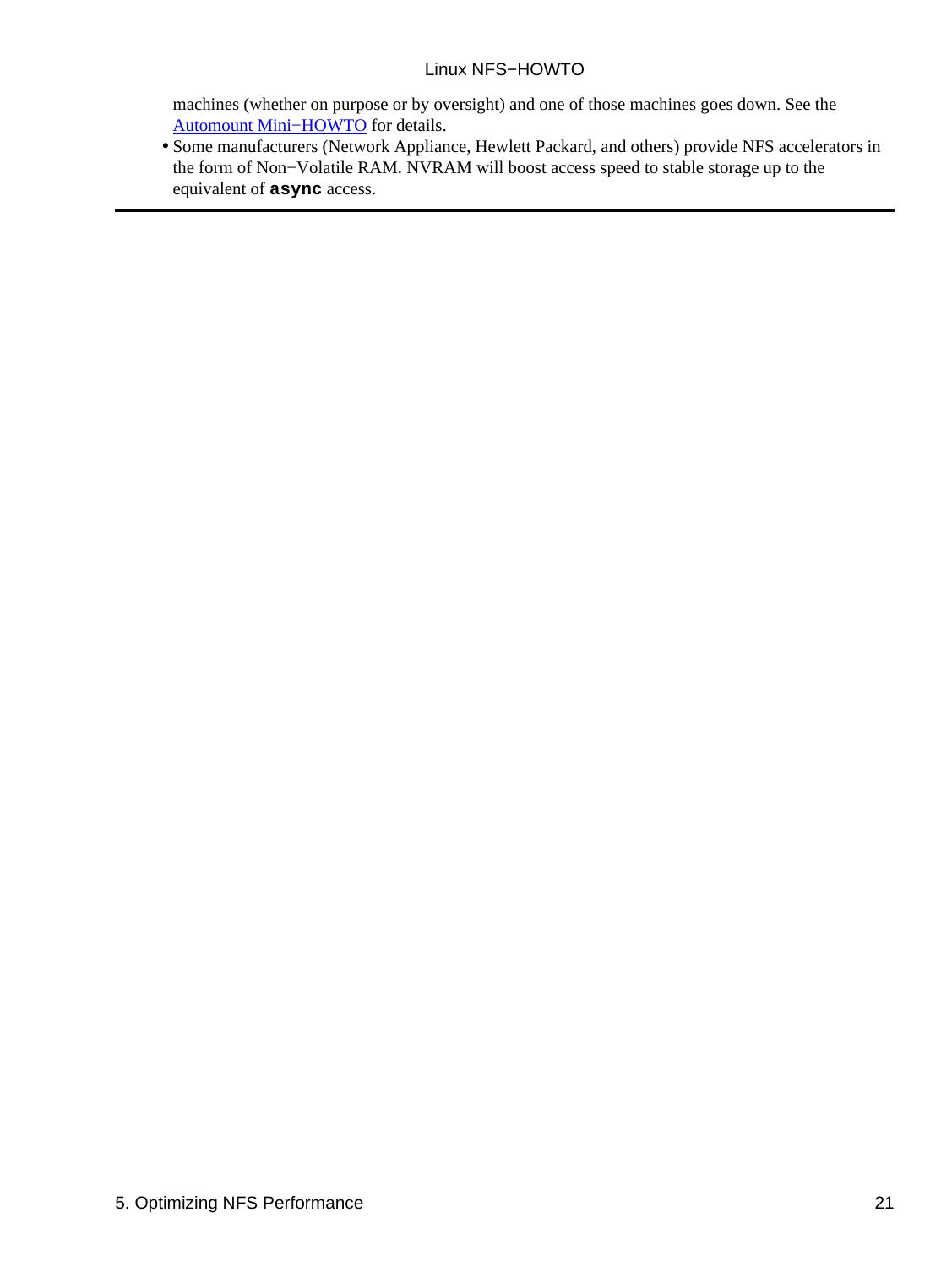machines (whether on purpose or by oversight) and one of those machines goes down. See the [Automount Mini−HOWTO](http://www.linuxdoc.org/HOWTO/mini/Automount.html) for details.

• Some manufacturers (Network Appliance, Hewlett Packard, and others) provide NFS accelerators in the form of Non−Volatile RAM. NVRAM will boost access speed to stable storage up to the equivalent of **async** access.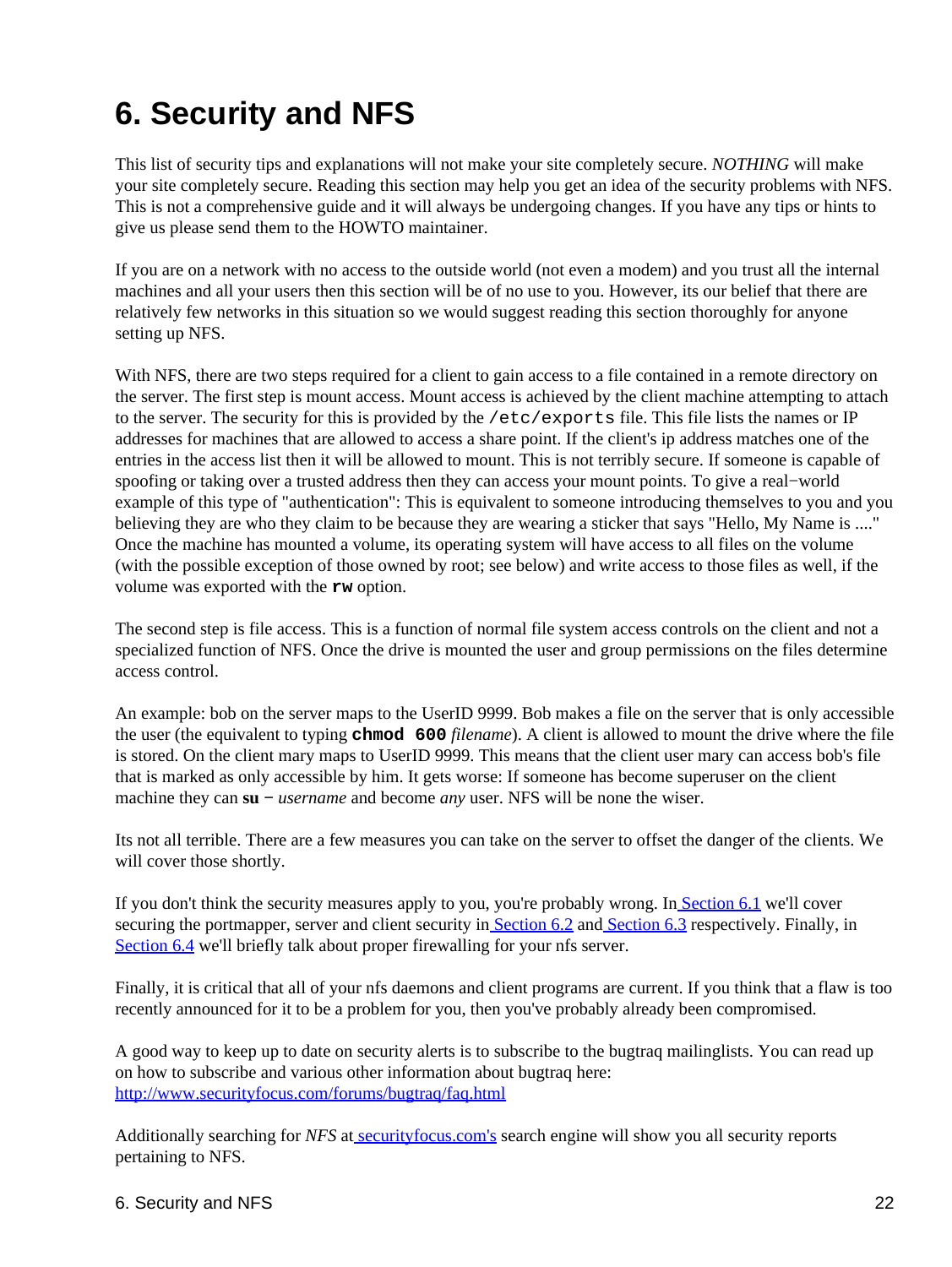# <span id="page-24-0"></span>**6. Security and NFS**

This list of security tips and explanations will not make your site completely secure. *NOTHING* will make your site completely secure. Reading this section may help you get an idea of the security problems with NFS. This is not a comprehensive guide and it will always be undergoing changes. If you have any tips or hints to give us please send them to the HOWTO maintainer.

If you are on a network with no access to the outside world (not even a modem) and you trust all the internal machines and all your users then this section will be of no use to you. However, its our belief that there are relatively few networks in this situation so we would suggest reading this section thoroughly for anyone setting up NFS.

With NFS, there are two steps required for a client to gain access to a file contained in a remote directory on the server. The first step is mount access. Mount access is achieved by the client machine attempting to attach to the server. The security for this is provided by the /etc/exports file. This file lists the names or IP addresses for machines that are allowed to access a share point. If the client's ip address matches one of the entries in the access list then it will be allowed to mount. This is not terribly secure. If someone is capable of spoofing or taking over a trusted address then they can access your mount points. To give a real−world example of this type of "authentication": This is equivalent to someone introducing themselves to you and you believing they are who they claim to be because they are wearing a sticker that says "Hello, My Name is ...." Once the machine has mounted a volume, its operating system will have access to all files on the volume (with the possible exception of those owned by root; see below) and write access to those files as well, if the volume was exported with the **rw** option.

The second step is file access. This is a function of normal file system access controls on the client and not a specialized function of NFS. Once the drive is mounted the user and group permissions on the files determine access control.

An example: bob on the server maps to the UserID 9999. Bob makes a file on the server that is only accessible the user (the equivalent to typing **chmod 600** *filename*). A client is allowed to mount the drive where the file is stored. On the client mary maps to UserID 9999. This means that the client user mary can access bob's file that is marked as only accessible by him. It gets worse: If someone has become superuser on the client machine they can su − *username* and become *any* user. NFS will be none the wiser.

Its not all terrible. There are a few measures you can take on the server to offset the danger of the clients. We will cover those shortly.

If you don't think the security measures apply to you, you're probably wrong. I[n Section 6.1](#page-25-0) we'll cover securing the portmapper, server and client security i[n Section 6.2](#page-26-0) and [Section 6.3](#page-27-0) respectively. Finally, in [Section 6.4](#page-28-1) we'll briefly talk about proper firewalling for your nfs server.

Finally, it is critical that all of your nfs daemons and client programs are current. If you think that a flaw is too recently announced for it to be a problem for you, then you've probably already been compromised.

A good way to keep up to date on security alerts is to subscribe to the bugtraq mailinglists. You can read up on how to subscribe and various other information about bugtraq here: <http://www.securityfocus.com/forums/bugtraq/faq.html>

Additionally searching for *NFS* a[t securityfocus.com's](http://www.securityfocus.com) search engine will show you all security reports pertaining to NFS.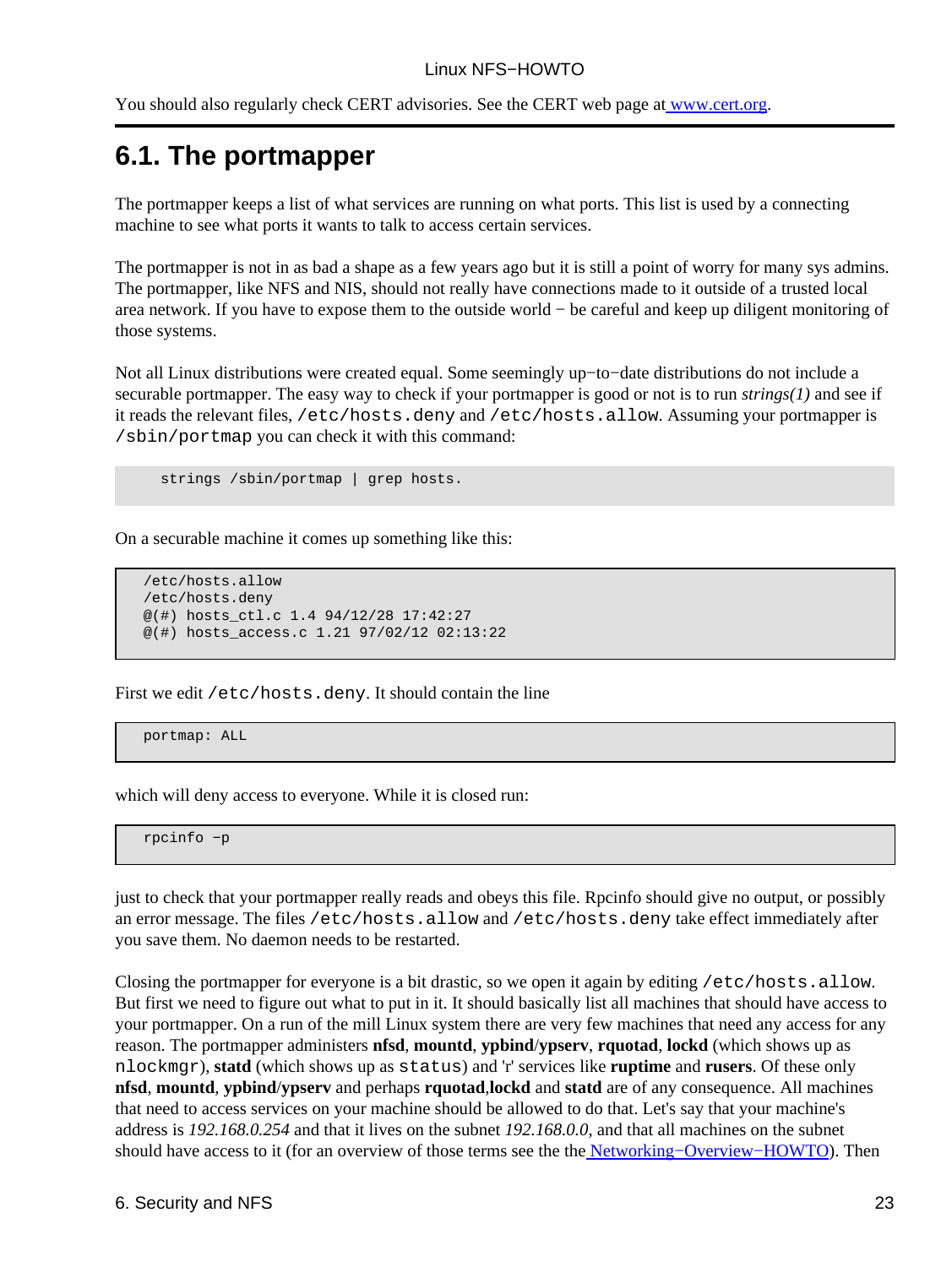You should also regularly check CERT advisories. See the CERT web page a[t www.cert.org.](http://www.cert.org)

## <span id="page-25-0"></span>**6.1. The portmapper**

The portmapper keeps a list of what services are running on what ports. This list is used by a connecting machine to see what ports it wants to talk to access certain services.

The portmapper is not in as bad a shape as a few years ago but it is still a point of worry for many sys admins. The portmapper, like NFS and NIS, should not really have connections made to it outside of a trusted local area network. If you have to expose them to the outside world − be careful and keep up diligent monitoring of those systems.

Not all Linux distributions were created equal. Some seemingly up−to−date distributions do not include a securable portmapper. The easy way to check if your portmapper is good or not is to run *strings(1)* and see if it reads the relevant files, /etc/hosts.deny and /etc/hosts.allow. Assuming your portmapper is /sbin/portmap you can check it with this command:

strings /sbin/portmap | grep hosts.

On a securable machine it comes up something like this:

```
 /etc/hosts.allow
 /etc/hosts.deny
 @(#) hosts_ctl.c 1.4 94/12/28 17:42:27
 @(#) hosts_access.c 1.21 97/02/12 02:13:22
```
First we edit /etc/hosts.deny. It should contain the line

portmap: ALL

which will deny access to everyone. While it is closed run:

rpcinfo −p

just to check that your portmapper really reads and obeys this file. Rpcinfo should give no output, or possibly an error message. The files /etc/hosts.allow and /etc/hosts.deny take effect immediately after you save them. No daemon needs to be restarted.

Closing the portmapper for everyone is a bit drastic, so we open it again by editing /etc/hosts.allow. But first we need to figure out what to put in it. It should basically list all machines that should have access to your portmapper. On a run of the mill Linux system there are very few machines that need any access for any reason. The portmapper administers **nfsd**, **mountd**, **ypbind**/**ypserv**, **rquotad**, **lockd** (which shows up as nlockmgr), **statd** (which shows up as status) and 'r' services like **ruptime** and **rusers**. Of these only **nfsd**, **mountd**, **ypbind**/**ypserv** and perhaps **rquotad**,**lockd** and **statd** are of any consequence. All machines that need to access services on your machine should be allowed to do that. Let's say that your machine's address is *192.168.0.254* and that it lives on the subnet *192.168.0.0*, and that all machines on the subnet should have access to it (for an overview of those terms see the th[e Networking−Overview−HOWTO](http://www.linuxdoc.org/HOWTO/Networking-Overview-HOWTO.html)). Then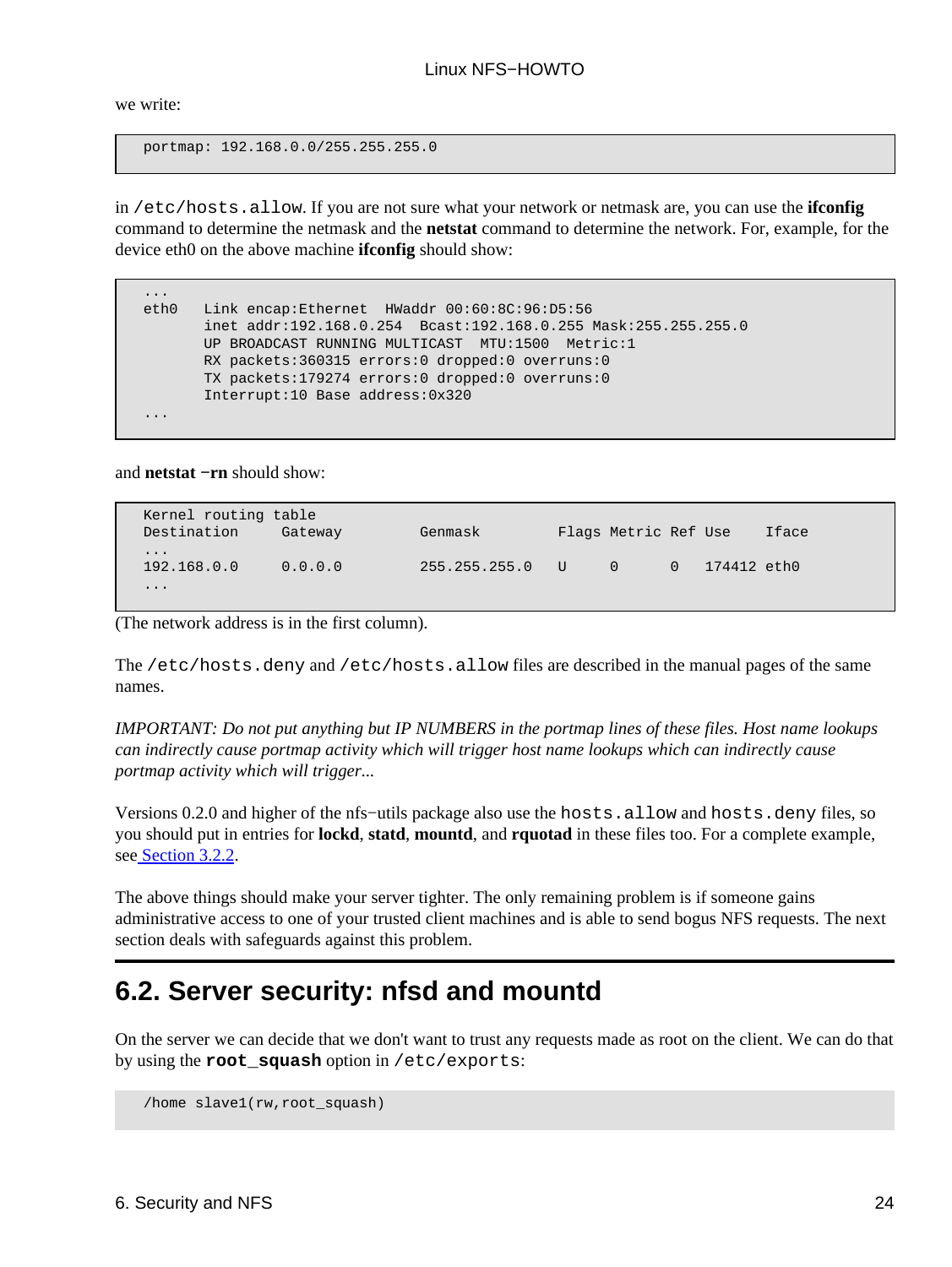we write:

portmap: 192.168.0.0/255.255.255.0

in /etc/hosts.allow. If you are not sure what your network or netmask are, you can use the **ifconfig** command to determine the netmask and the **netstat** command to determine the network. For, example, for the device eth0 on the above machine **ifconfig** should show:

| $\cdots$ |                                                                |
|----------|----------------------------------------------------------------|
| eth0     | Link encap:Ethernet HWaddr 00:60:8C:96:D5:56                   |
|          | inet addr:192.168.0.254 Bcast:192.168.0.255 Mask:255.255.255.0 |
|          | UP BROADCAST RUNNING MULTICAST MTU:1500 Metric:1               |
|          | RX packets:360315 errors:0 dropped:0 overruns:0                |
|          | TX packets:179274 errors:0 dropped:0 overruns:0                |
|          | Interrupt:10 Base address:0x320                                |
| $\cdots$ |                                                                |

and **netstat −rn** should show:

| Kernel routing table<br>Destination | Gateway | Genmask       |   | Flags Metric Ref Use |          |             | Iface |
|-------------------------------------|---------|---------------|---|----------------------|----------|-------------|-------|
| $\cdots$<br>192.168.0.0<br>$\cdots$ | 0.0.0.0 | 255.255.255.0 | U | $\Omega$             | $\Omega$ | 174412 eth0 |       |

(The network address is in the first column).

The /etc/hosts.deny and /etc/hosts.allow files are described in the manual pages of the same names.

*IMPORTANT: Do not put anything but IP NUMBERS in the portmap lines of these files. Host name lookups can indirectly cause portmap activity which will trigger host name lookups which can indirectly cause portmap activity which will trigger...*

Versions 0.2.0 and higher of the nfs−utils package also use the hosts.allow and hosts.deny files, so you should put in entries for **lockd**, **statd**, **mountd**, and **rquotad** in these files too. For a complete example, se[e Section 3.2.2](#page-9-0).

The above things should make your server tighter. The only remaining problem is if someone gains administrative access to one of your trusted client machines and is able to send bogus NFS requests. The next section deals with safeguards against this problem.

## <span id="page-26-0"></span>**6.2. Server security: nfsd and mountd**

On the server we can decide that we don't want to trust any requests made as root on the client. We can do that by using the **root\_squash** option in /etc/exports:

/home slave1(rw,root\_squash)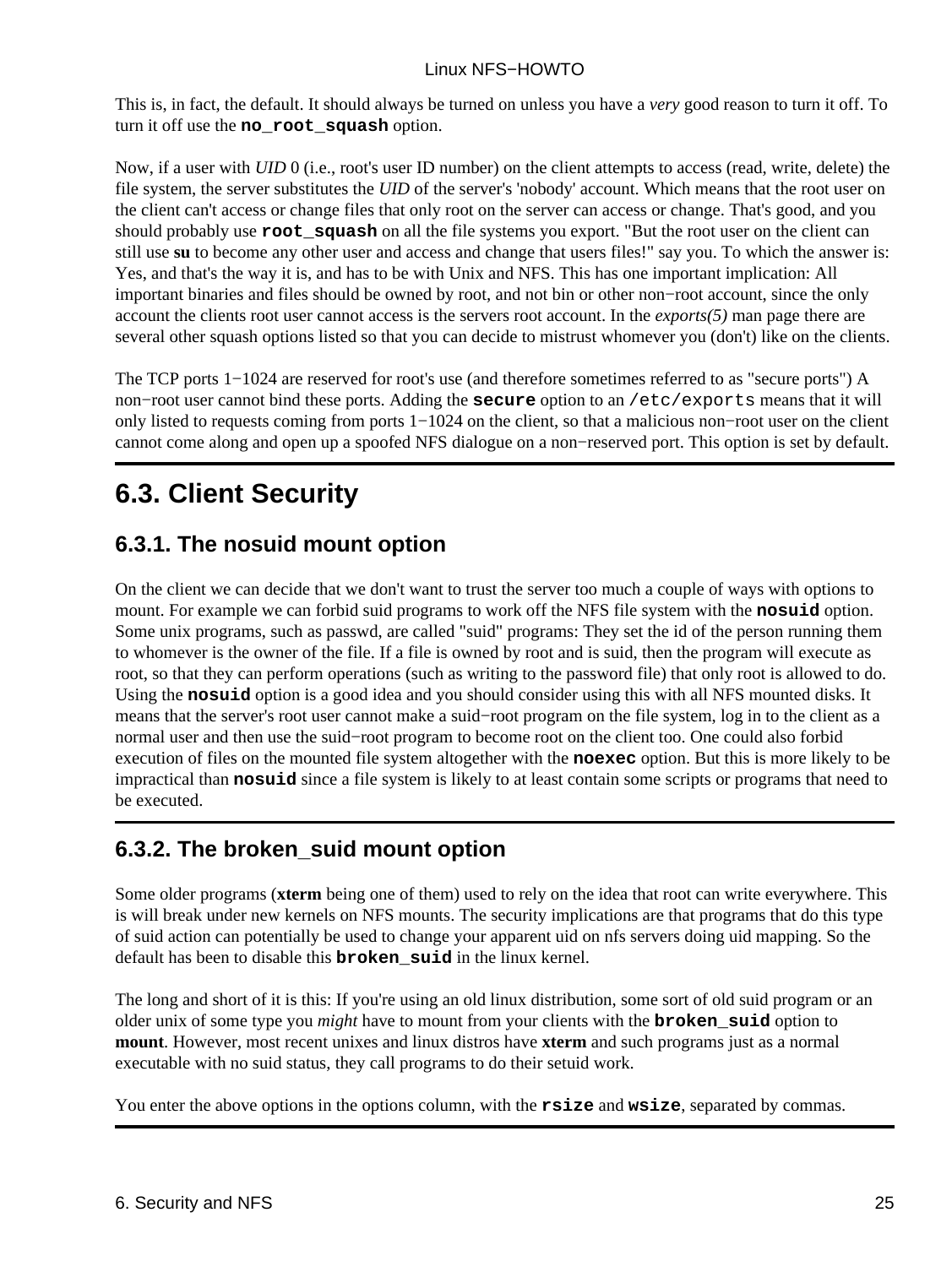This is, in fact, the default. It should always be turned on unless you have a *very* good reason to turn it off. To turn it off use the **no\_root\_squash** option.

Now, if a user with *UID* 0 (i.e., root's user ID number) on the client attempts to access (read, write, delete) the file system, the server substitutes the *UID* of the server's 'nobody' account. Which means that the root user on the client can't access or change files that only root on the server can access or change. That's good, and you should probably use **root\_squash** on all the file systems you export. "But the root user on the client can still use **su** to become any other user and access and change that users files!" say you. To which the answer is: Yes, and that's the way it is, and has to be with Unix and NFS. This has one important implication: All important binaries and files should be owned by root, and not bin or other non−root account, since the only account the clients root user cannot access is the servers root account. In the *exports(5)* man page there are several other squash options listed so that you can decide to mistrust whomever you (don't) like on the clients.

The TCP ports 1−1024 are reserved for root's use (and therefore sometimes referred to as "secure ports") A non−root user cannot bind these ports. Adding the **secure** option to an /etc/exports means that it will only listed to requests coming from ports 1−1024 on the client, so that a malicious non−root user on the client cannot come along and open up a spoofed NFS dialogue on a non−reserved port. This option is set by default.

## <span id="page-27-0"></span>**6.3. Client Security**

## <span id="page-27-1"></span>**6.3.1. The nosuid mount option**

On the client we can decide that we don't want to trust the server too much a couple of ways with options to mount. For example we can forbid suid programs to work off the NFS file system with the **nosuid** option. Some unix programs, such as passwd, are called "suid" programs: They set the id of the person running them to whomever is the owner of the file. If a file is owned by root and is suid, then the program will execute as root, so that they can perform operations (such as writing to the password file) that only root is allowed to do. Using the **nosuid** option is a good idea and you should consider using this with all NFS mounted disks. It means that the server's root user cannot make a suid−root program on the file system, log in to the client as a normal user and then use the suid–root program to become root on the client too. One could also forbid execution of files on the mounted file system altogether with the **noexec** option. But this is more likely to be impractical than **nosuid** since a file system is likely to at least contain some scripts or programs that need to be executed.

## <span id="page-27-2"></span>**6.3.2. The broken\_suid mount option**

Some older programs (**xterm** being one of them) used to rely on the idea that root can write everywhere. This is will break under new kernels on NFS mounts. The security implications are that programs that do this type of suid action can potentially be used to change your apparent uid on nfs servers doing uid mapping. So the default has been to disable this **broken\_suid** in the linux kernel.

The long and short of it is this: If you're using an old linux distribution, some sort of old suid program or an older unix of some type you *might* have to mount from your clients with the **broken\_suid** option to **mount**. However, most recent unixes and linux distros have **xterm** and such programs just as a normal executable with no suid status, they call programs to do their setuid work.

You enter the above options in the options column, with the **rsize** and **wsize**, separated by commas.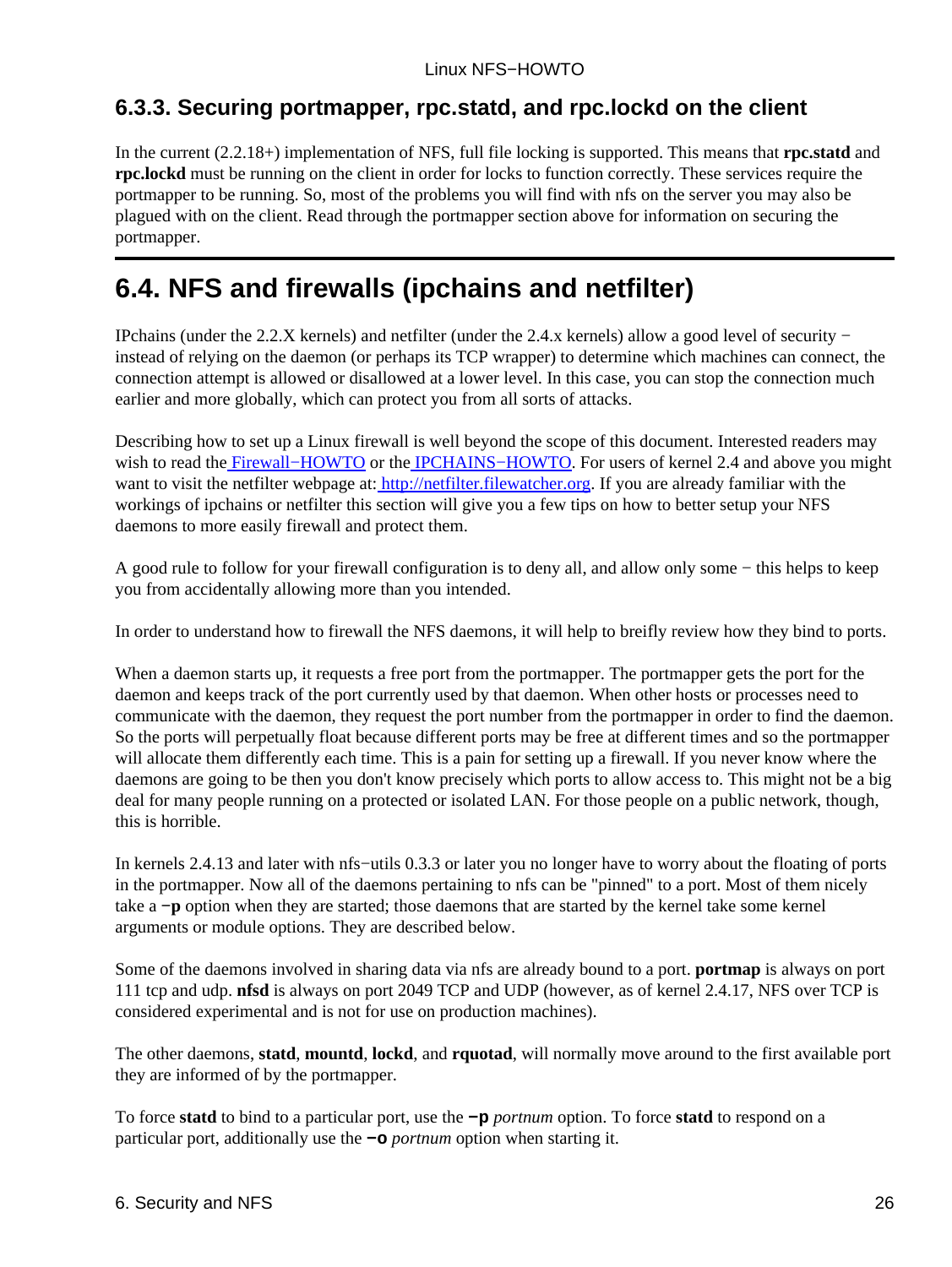## <span id="page-28-0"></span>**6.3.3. Securing portmapper, rpc.statd, and rpc.lockd on the client**

In the current (2.2.18+) implementation of NFS, full file locking is supported. This means that **rpc.statd** and **rpc.lockd** must be running on the client in order for locks to function correctly. These services require the portmapper to be running. So, most of the problems you will find with nfs on the server you may also be plagued with on the client. Read through the portmapper section above for information on securing the portmapper.

## <span id="page-28-1"></span>**6.4. NFS and firewalls (ipchains and netfilter)**

IPchains (under the 2.2.X kernels) and netfilter (under the 2.4.x kernels) allow a good level of security − instead of relying on the daemon (or perhaps its TCP wrapper) to determine which machines can connect, the connection attempt is allowed or disallowed at a lower level. In this case, you can stop the connection much earlier and more globally, which can protect you from all sorts of attacks.

Describing how to set up a Linux firewall is well beyond the scope of this document. Interested readers may wish to read the Firewall–HOWTO or the IPCHAINS–HOWTO. For users of kernel 2.4 and above you might want to visit the netfilter webpage at:<http://netfilter.filewatcher.org>. If you are already familiar with the workings of ipchains or netfilter this section will give you a few tips on how to better setup your NFS daemons to more easily firewall and protect them.

A good rule to follow for your firewall configuration is to deny all, and allow only some − this helps to keep you from accidentally allowing more than you intended.

In order to understand how to firewall the NFS daemons, it will help to breifly review how they bind to ports.

When a daemon starts up, it requests a free port from the portmapper. The portmapper gets the port for the daemon and keeps track of the port currently used by that daemon. When other hosts or processes need to communicate with the daemon, they request the port number from the portmapper in order to find the daemon. So the ports will perpetually float because different ports may be free at different times and so the portmapper will allocate them differently each time. This is a pain for setting up a firewall. If you never know where the daemons are going to be then you don't know precisely which ports to allow access to. This might not be a big deal for many people running on a protected or isolated LAN. For those people on a public network, though, this is horrible.

In kernels 2.4.13 and later with nfs−utils 0.3.3 or later you no longer have to worry about the floating of ports in the portmapper. Now all of the daemons pertaining to nfs can be "pinned" to a port. Most of them nicely take a **−p** option when they are started; those daemons that are started by the kernel take some kernel arguments or module options. They are described below.

Some of the daemons involved in sharing data via nfs are already bound to a port. **portmap** is always on port 111 tcp and udp. **nfsd** is always on port 2049 TCP and UDP (however, as of kernel 2.4.17, NFS over TCP is considered experimental and is not for use on production machines).

The other daemons, **statd**, **mountd**, **lockd**, and **rquotad**, will normally move around to the first available port they are informed of by the portmapper.

To force **statd** to bind to a particular port, use the **−p** *portnum* option. To force **statd** to respond on a particular port, additionally use the **−o** *portnum* option when starting it.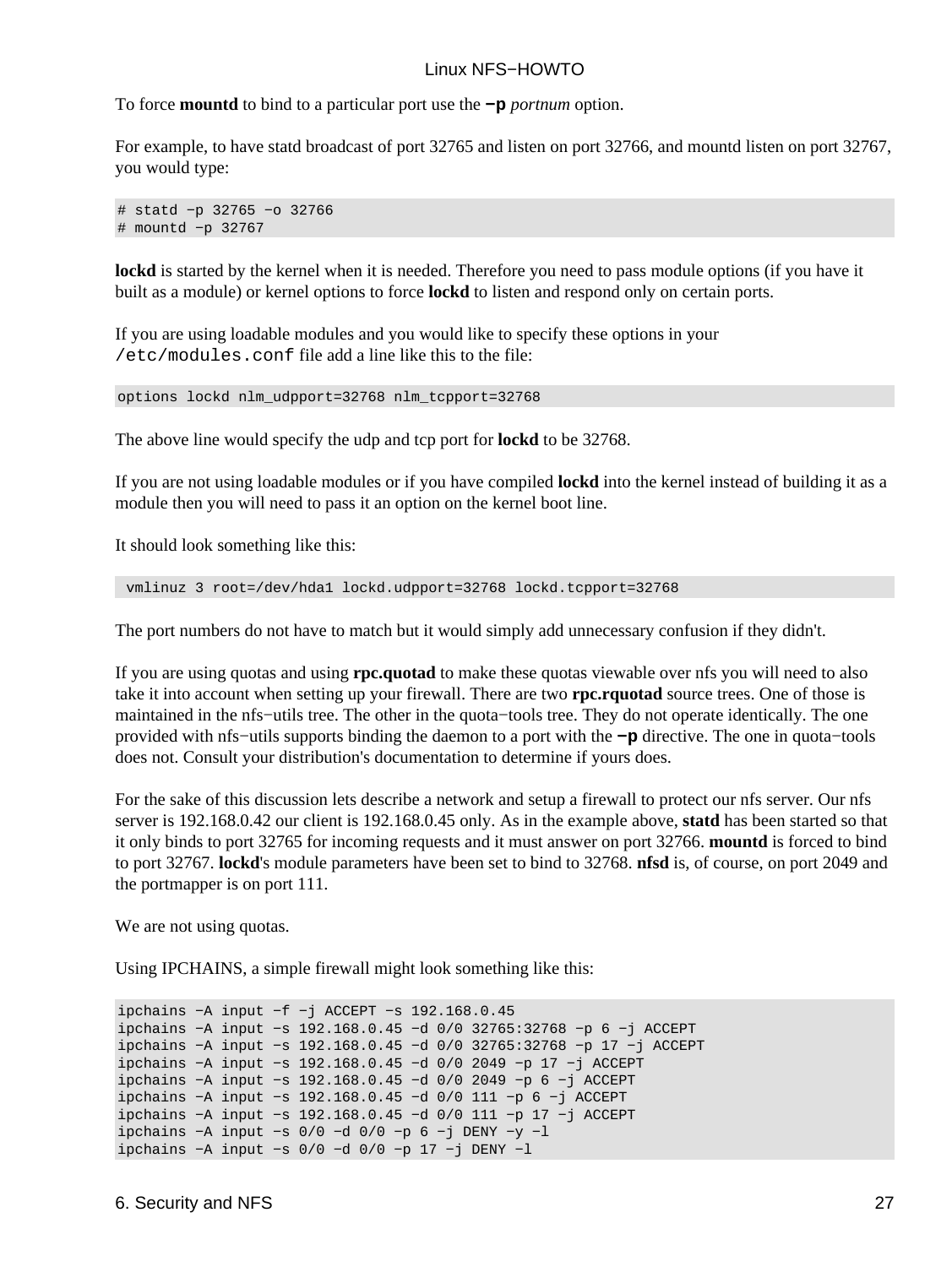To force **mountd** to bind to a particular port use the **−p** *portnum* option.

For example, to have statd broadcast of port 32765 and listen on port 32766, and mountd listen on port 32767, you would type:

# statd −p 32765 −o 32766 # mountd −p 32767

**lockd** is started by the kernel when it is needed. Therefore you need to pass module options (if you have it built as a module) or kernel options to force **lockd** to listen and respond only on certain ports.

If you are using loadable modules and you would like to specify these options in your /etc/modules.conf file add a line like this to the file:

options lockd nlm\_udpport=32768 nlm\_tcpport=32768

The above line would specify the udp and tcp port for **lockd** to be 32768.

If you are not using loadable modules or if you have compiled **lockd** into the kernel instead of building it as a module then you will need to pass it an option on the kernel boot line.

It should look something like this:

vmlinuz 3 root=/dev/hda1 lockd.udpport=32768 lockd.tcpport=32768

The port numbers do not have to match but it would simply add unnecessary confusion if they didn't.

If you are using quotas and using **rpc.quotad** to make these quotas viewable over nfs you will need to also take it into account when setting up your firewall. There are two **rpc.rquotad** source trees. One of those is maintained in the nfs−utils tree. The other in the quota−tools tree. They do not operate identically. The one provided with nfs−utils supports binding the daemon to a port with the **−p** directive. The one in quota−tools does not. Consult your distribution's documentation to determine if yours does.

For the sake of this discussion lets describe a network and setup a firewall to protect our nfs server. Our nfs server is 192.168.0.42 our client is 192.168.0.45 only. As in the example above, **statd** has been started so that it only binds to port 32765 for incoming requests and it must answer on port 32766. **mountd** is forced to bind to port 32767. **lockd**'s module parameters have been set to bind to 32768. **nfsd** is, of course, on port 2049 and the portmapper is on port 111.

We are not using quotas.

Using IPCHAINS, a simple firewall might look something like this:

```
ipchains −A input −f −j ACCEPT −s 192.168.0.45
ipchains −A input −s 192.168.0.45 −d 0/0 32765:32768 −p 6 −j ACCEPT
ipchains −A input −s 192.168.0.45 −d 0/0 32765:32768 −p 17 −j ACCEPT
ipchains −A input −s 192.168.0.45 −d 0/0 2049 −p 17 −j ACCEPT
ipchains −A input −s 192.168.0.45 −d 0/0 2049 −p 6 −j ACCEPT
ipchains −A input −s 192.168.0.45 −d 0/0 111 −p 6 −j ACCEPT
ipchains −A input −s 192.168.0.45 −d 0/0 111 −p 17 −j ACCEPT
ipchains −A input −s 0/0 −d 0/0 −p 6 −j DENY −y −l
ipchains −A input −s 0/0 −d 0/0 −p 17 −j DENY −l
```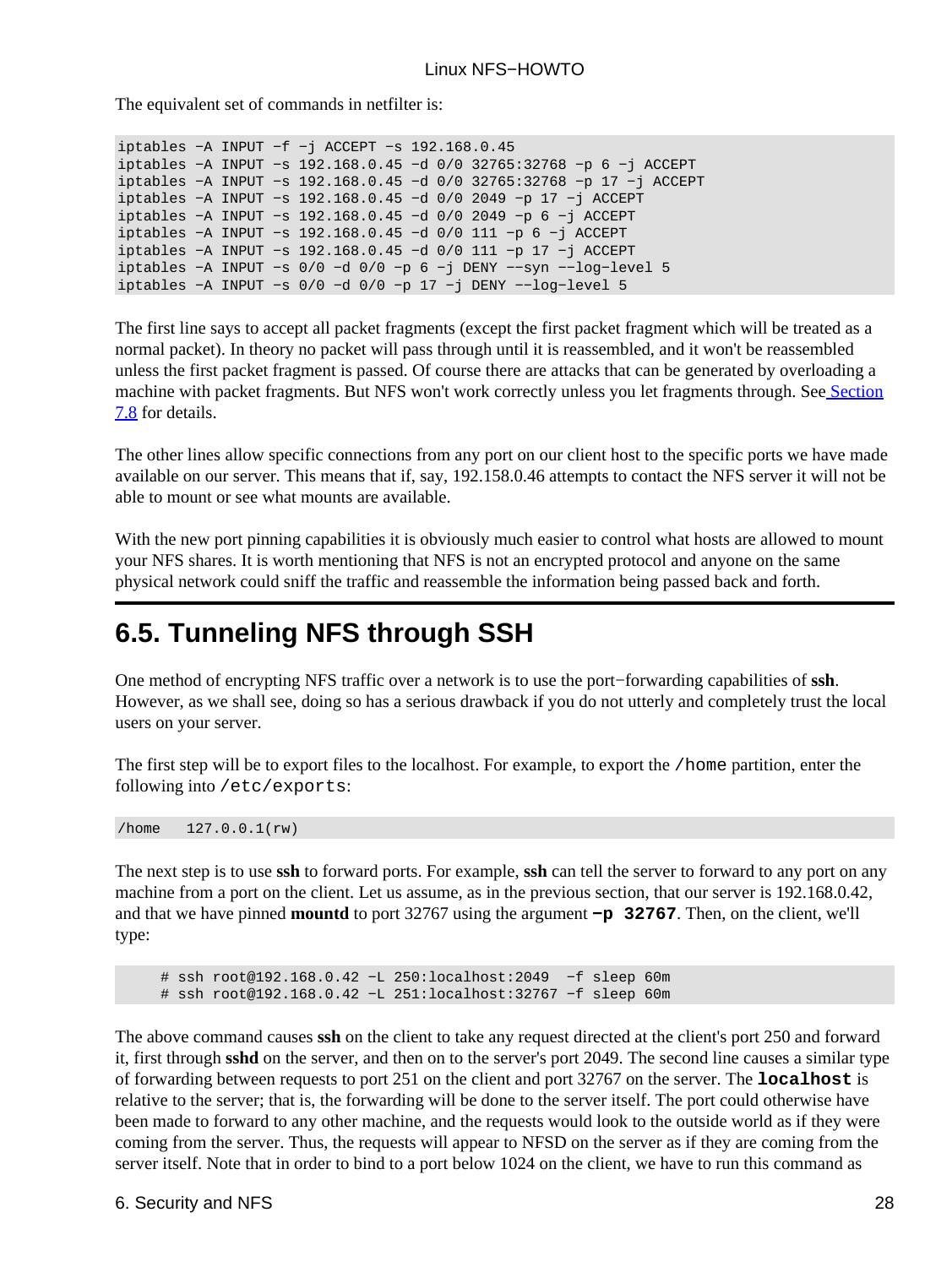The equivalent set of commands in netfilter is:

```
iptables −A INPUT −f −j ACCEPT −s 192.168.0.45
iptables −A INPUT −s 192.168.0.45 −d 0/0 32765:32768 −p 6 −j ACCEPT
iptables −A INPUT −s 192.168.0.45 −d 0/0 32765:32768 −p 17 −j ACCEPT
iptables −A INPUT −s 192.168.0.45 −d 0/0 2049 −p 17 −j ACCEPT
iptables −A INPUT −s 192.168.0.45 −d 0/0 2049 −p 6 −j ACCEPT
iptables −A INPUT −s 192.168.0.45 −d 0/0 111 −p 6 −j ACCEPT
iptables −A INPUT −s 192.168.0.45 −d 0/0 111 −p 17 −j ACCEPT
iptables −A INPUT −s 0/0 −d 0/0 −p 6 −j DENY −−syn −−log−level 5
iptables −A INPUT −s 0/0 −d 0/0 −p 17 −j DENY −−log−level 5
```
The first line says to accept all packet fragments (except the first packet fragment which will be treated as a normal packet). In theory no packet will pass through until it is reassembled, and it won't be reassembled unless the first packet fragment is passed. Of course there are attacks that can be generated by overloading a machine with packet fragments. But NFS won't work correctly unless you let fragments through. Se[e Section](#page-36-1) [7.8](#page-36-1) for details.

The other lines allow specific connections from any port on our client host to the specific ports we have made available on our server. This means that if, say, 192.158.0.46 attempts to contact the NFS server it will not be able to mount or see what mounts are available.

With the new port pinning capabilities it is obviously much easier to control what hosts are allowed to mount your NFS shares. It is worth mentioning that NFS is not an encrypted protocol and anyone on the same physical network could sniff the traffic and reassemble the information being passed back and forth.

## <span id="page-30-0"></span>**6.5. Tunneling NFS through SSH**

One method of encrypting NFS traffic over a network is to use the port−forwarding capabilities of **ssh**. However, as we shall see, doing so has a serious drawback if you do not utterly and completely trust the local users on your server.

The first step will be to export files to the localhost. For example, to export the /home partition, enter the following into /etc/exports:

/home 127.0.0.1(rw)

The next step is to use **ssh** to forward ports. For example, **ssh** can tell the server to forward to any port on any machine from a port on the client. Let us assume, as in the previous section, that our server is 192.168.0.42, and that we have pinned **mountd** to port 32767 using the argument **−p 32767**. Then, on the client, we'll type:

 # ssh root@192.168.0.42 −L 250:localhost:2049 −f sleep 60m # ssh root@192.168.0.42 −L 251:localhost:32767 −f sleep 60m

The above command causes **ssh** on the client to take any request directed at the client's port 250 and forward it, first through **sshd** on the server, and then on to the server's port 2049. The second line causes a similar type of forwarding between requests to port 251 on the client and port 32767 on the server. The **localhost** is relative to the server; that is, the forwarding will be done to the server itself. The port could otherwise have been made to forward to any other machine, and the requests would look to the outside world as if they were coming from the server. Thus, the requests will appear to NFSD on the server as if they are coming from the server itself. Note that in order to bind to a port below 1024 on the client, we have to run this command as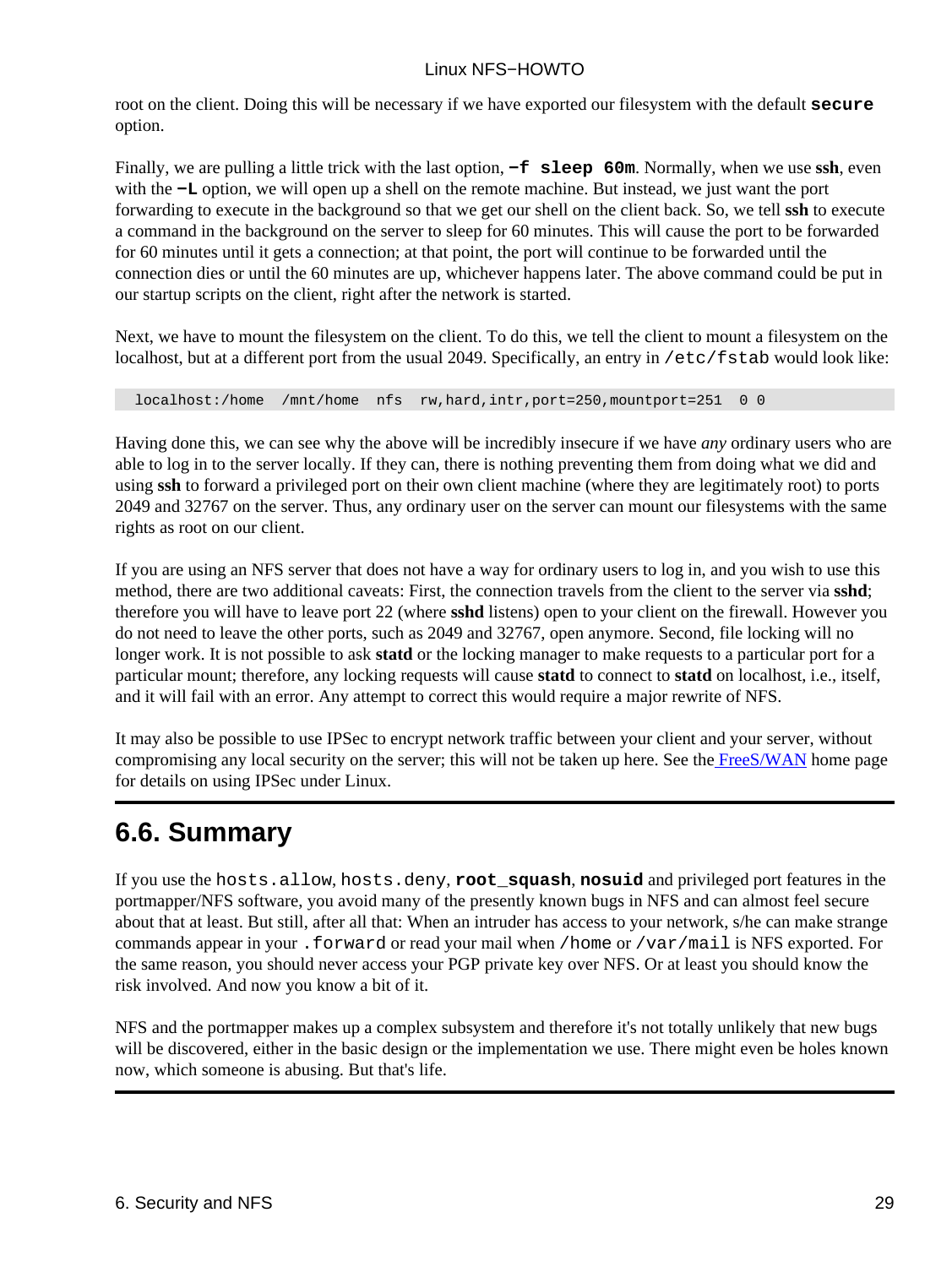root on the client. Doing this will be necessary if we have exported our filesystem with the default **secure** option.

Finally, we are pulling a little trick with the last option, **−f sleep 60m**. Normally, when we use **ssh**, even with the **−L** option, we will open up a shell on the remote machine. But instead, we just want the port forwarding to execute in the background so that we get our shell on the client back. So, we tell **ssh** to execute a command in the background on the server to sleep for 60 minutes. This will cause the port to be forwarded for 60 minutes until it gets a connection; at that point, the port will continue to be forwarded until the connection dies or until the 60 minutes are up, whichever happens later. The above command could be put in our startup scripts on the client, right after the network is started.

Next, we have to mount the filesystem on the client. To do this, we tell the client to mount a filesystem on the localhost, but at a different port from the usual 2049. Specifically, an entry in /etc/fstab would look like:

localhost:/home /mnt/home nfs rw,hard,intr,port=250,mountport=251 0 0

Having done this, we can see why the above will be incredibly insecure if we have *any* ordinary users who are able to log in to the server locally. If they can, there is nothing preventing them from doing what we did and using **ssh** to forward a privileged port on their own client machine (where they are legitimately root) to ports 2049 and 32767 on the server. Thus, any ordinary user on the server can mount our filesystems with the same rights as root on our client.

If you are using an NFS server that does not have a way for ordinary users to log in, and you wish to use this method, there are two additional caveats: First, the connection travels from the client to the server via **sshd**; therefore you will have to leave port 22 (where **sshd** listens) open to your client on the firewall. However you do not need to leave the other ports, such as 2049 and 32767, open anymore. Second, file locking will no longer work. It is not possible to ask **statd** or the locking manager to make requests to a particular port for a particular mount; therefore, any locking requests will cause **statd** to connect to **statd** on localhost, i.e., itself, and it will fail with an error. Any attempt to correct this would require a major rewrite of NFS.

It may also be possible to use IPSec to encrypt network traffic between your client and your server, without compromising any local security on the server; this will not be taken up here. See the [FreeS/WAN](http://www.freeswan.org/) home page for details on using IPSec under Linux.

## <span id="page-31-0"></span>**6.6. Summary**

If you use the hosts.allow, hosts.deny, **root\_squash**, **nosuid** and privileged port features in the portmapper/NFS software, you avoid many of the presently known bugs in NFS and can almost feel secure about that at least. But still, after all that: When an intruder has access to your network, s/he can make strange commands appear in your .forward or read your mail when /home or /var/mail is NFS exported. For the same reason, you should never access your PGP private key over NFS. Or at least you should know the risk involved. And now you know a bit of it.

NFS and the portmapper makes up a complex subsystem and therefore it's not totally unlikely that new bugs will be discovered, either in the basic design or the implementation we use. There might even be holes known now, which someone is abusing. But that's life.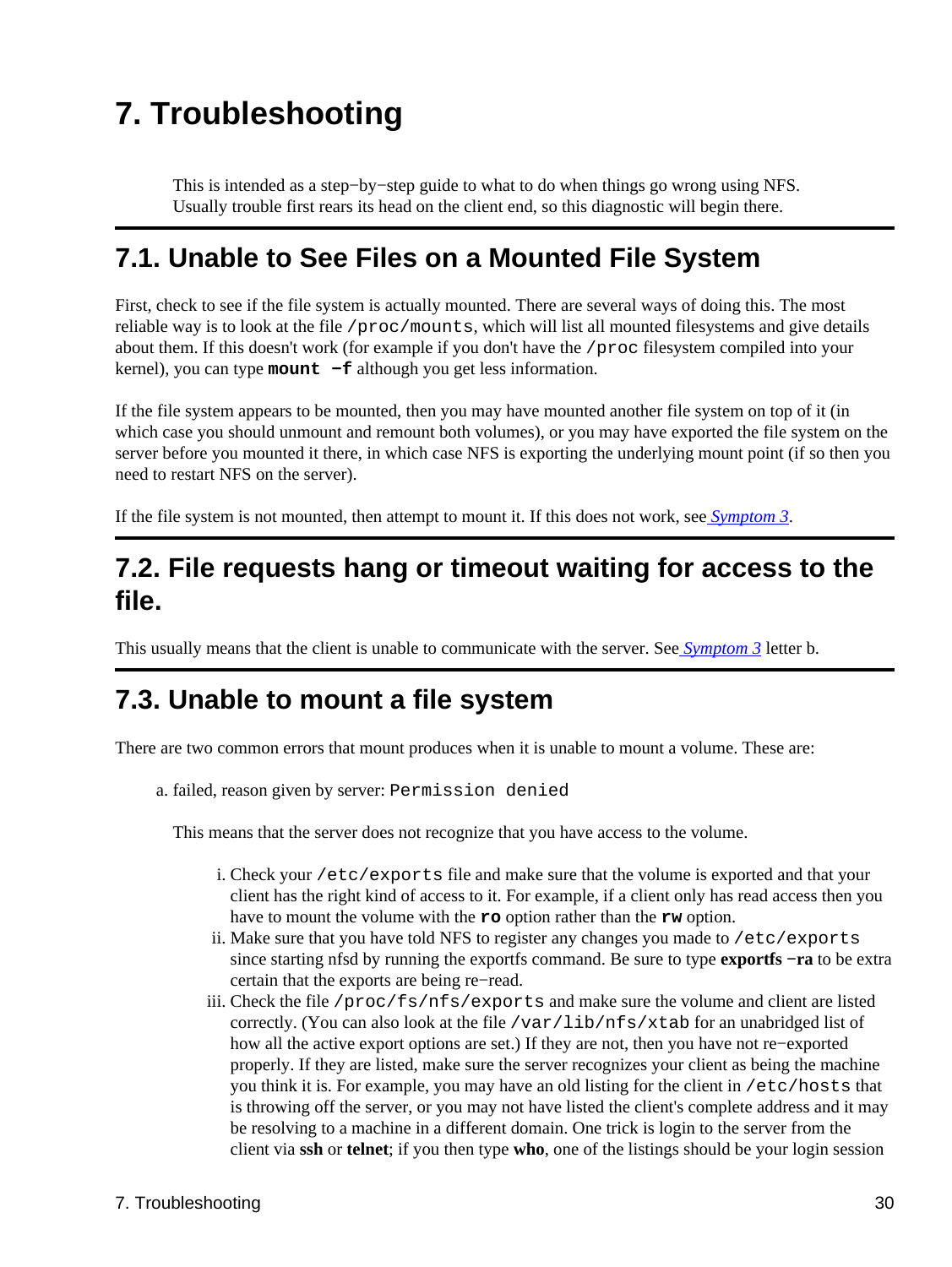# <span id="page-32-0"></span>**7. Troubleshooting**

This is intended as a step−by−step guide to what to do when things go wrong using NFS. Usually trouble first rears its head on the client end, so this diagnostic will begin there.

## <span id="page-32-1"></span>**7.1. Unable to See Files on a Mounted File System**

First, check to see if the file system is actually mounted. There are several ways of doing this. The most reliable way is to look at the file /proc/mounts, which will list all mounted filesystems and give details about them. If this doesn't work (for example if you don't have the /proc filesystem compiled into your kernel), you can type **mount −f** although you get less information.

If the file system appears to be mounted, then you may have mounted another file system on top of it (in which case you should unmount and remount both volumes), or you may have exported the file system on the server before you mounted it there, in which case NFS is exporting the underlying mount point (if so then you need to restart NFS on the server).

If the file system is not mounted, then attempt to mount it. If this does not work, see *[Symptom 3](#page-32-3)*.

## <span id="page-32-2"></span>**7.2. File requests hang or timeout waiting for access to the file.**

This usually means that the client is unable to communicate with the server. See *[Symptom 3](#page-32-3)* letter b.

## <span id="page-32-3"></span>**7.3. Unable to mount a file system**

There are two common errors that mount produces when it is unable to mount a volume. These are:

a. failed, reason given by server: Permission denied

This means that the server does not recognize that you have access to the volume.

- Check your /etc/exports file and make sure that the volume is exported and that your i. client has the right kind of access to it. For example, if a client only has read access then you have to mount the volume with the **ro** option rather than the **rw** option.
- ii. Make sure that you have told NFS to register any changes you made to /etc/exports since starting nfsd by running the exportfs command. Be sure to type **exportfs −ra** to be extra certain that the exports are being re−read.
- iii. Check the file /proc/fs/nfs/exports and make sure the volume and client are listed correctly. (You can also look at the file /var/lib/nfs/xtab for an unabridged list of how all the active export options are set.) If they are not, then you have not re−exported properly. If they are listed, make sure the server recognizes your client as being the machine you think it is. For example, you may have an old listing for the client in /etc/hosts that is throwing off the server, or you may not have listed the client's complete address and it may be resolving to a machine in a different domain. One trick is login to the server from the client via **ssh** or **telnet**; if you then type **who**, one of the listings should be your login session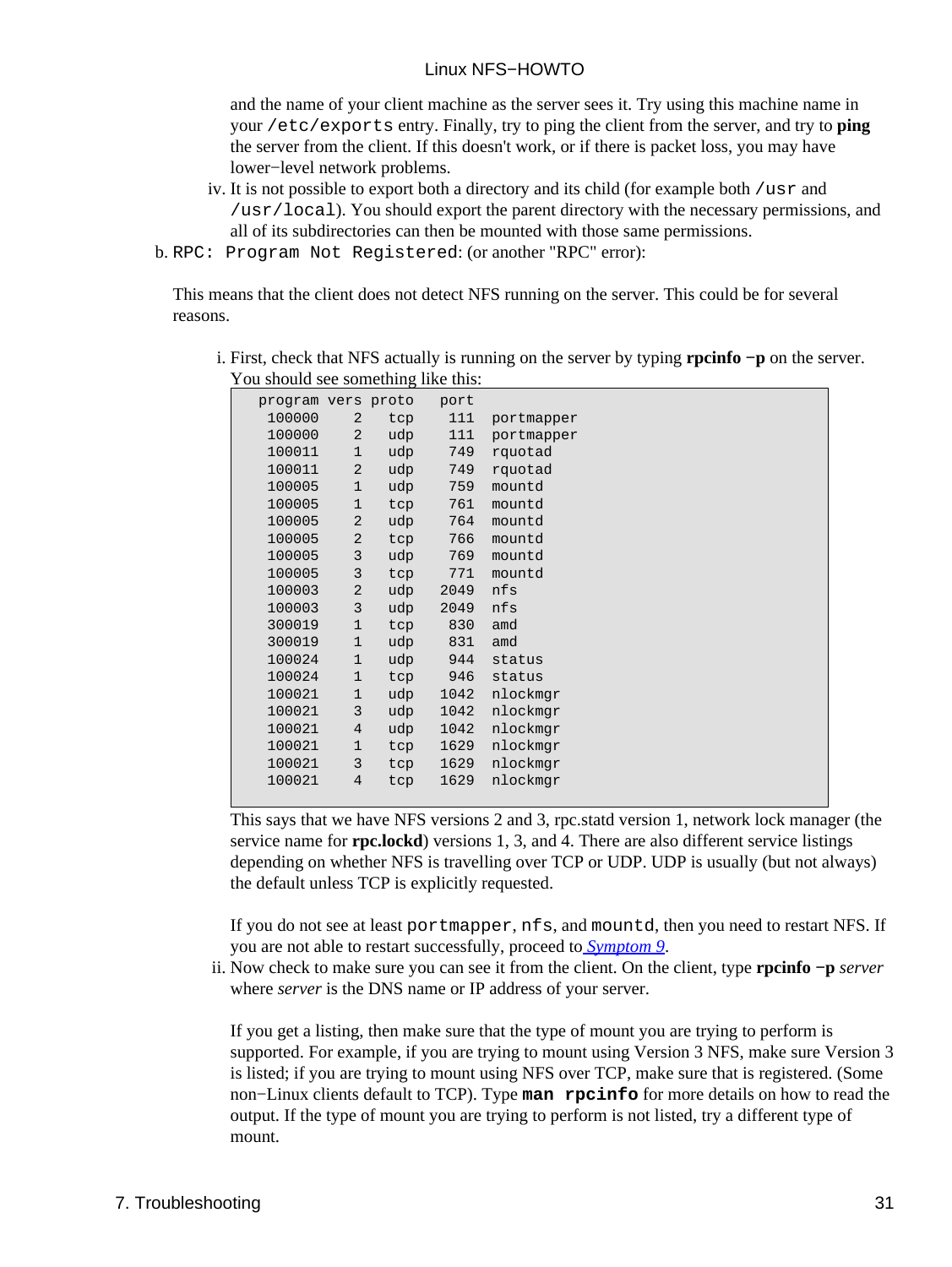and the name of your client machine as the server sees it. Try using this machine name in your /etc/exports entry. Finally, try to ping the client from the server, and try to **ping** the server from the client. If this doesn't work, or if there is packet loss, you may have lower−level network problems.

- iv. It is not possible to export both a directory and its child (for example both /usr and /usr/local). You should export the parent directory with the necessary permissions, and all of its subdirectories can then be mounted with those same permissions.
- b. RPC: Program Not Registered: (or another "RPC" error):

This means that the client does not detect NFS running on the server. This could be for several reasons.

| ou should see something the this. |                |     |      |            |
|-----------------------------------|----------------|-----|------|------------|
| program vers proto                |                |     | port |            |
| 100000                            | $\overline{a}$ | tcp | 111  | portmapper |
| 100000                            | 2              | udp | 111  | portmapper |
| 100011                            | $\mathbf 1$    | udp | 749  | rquotad    |
| 100011                            | 2              | udp | 749  | rquotad    |
| 100005                            | $\mathbf 1$    | udp | 759  | mountd     |
| 100005                            | $\mathbf 1$    | tcp | 761  | mountd     |
| 100005                            | $\overline{a}$ | udp | 764  | mountd     |
| 100005                            | $\overline{a}$ | tcp | 766  | mountd     |
| 100005                            | 3              | udp | 769  | mountd     |
| 100005                            | 3              | tcp | 771  | mountd     |
| 100003                            | $\sqrt{2}$     | udp | 2049 | nfs        |
| 100003                            | $\mathsf 3$    | udp | 2049 | nfs        |
| 300019                            | $\mathbf 1$    | tcp | 830  | amd        |
| 300019                            | $\mathbf 1$    | udp | 831  | amd        |
| 100024                            | $\mathbf 1$    | udp | 944  | status     |
| 100024                            | $\mathbf{1}$   | tcp | 946  | status     |
| 100021                            | $\mathbf 1$    | udp | 1042 | nlockmgr   |
| 100021                            | 3              | udp | 1042 | nlockmqr   |
| 100021                            | $\overline{4}$ | udp | 1042 | nlockmqr   |
| 100021                            | $\mathbf 1$    | tcp | 1629 | nlockmqr   |
| 100021                            | 3              | tcp | 1629 | nlockmqr   |
| 100021                            | $\overline{4}$ | tcp | 1629 | nlockmqr   |
|                                   |                |     |      |            |

First, check that NFS actually is running on the server by typing **rpcinfo −p** on the server. i. You should see something like this:

This says that we have NFS versions 2 and 3, rpc.statd version 1, network lock manager (the service name for **rpc.lockd**) versions 1, 3, and 4. There are also different service listings depending on whether NFS is travelling over TCP or UDP. UDP is usually (but not always) the default unless TCP is explicitly requested.

If you do not see at least portmapper, nfs, and mountd, then you need to restart NFS. If you are not able to restart successfully, proceed to *[Symptom 9](#page-36-2)*.

ii. Now check to make sure you can see it from the client. On the client, type **rpcinfo** -**p** *server* where *server* is the DNS name or IP address of your server.

If you get a listing, then make sure that the type of mount you are trying to perform is supported. For example, if you are trying to mount using Version 3 NFS, make sure Version 3 is listed; if you are trying to mount using NFS over TCP, make sure that is registered. (Some non−Linux clients default to TCP). Type **man rpcinfo** for more details on how to read the output. If the type of mount you are trying to perform is not listed, try a different type of mount.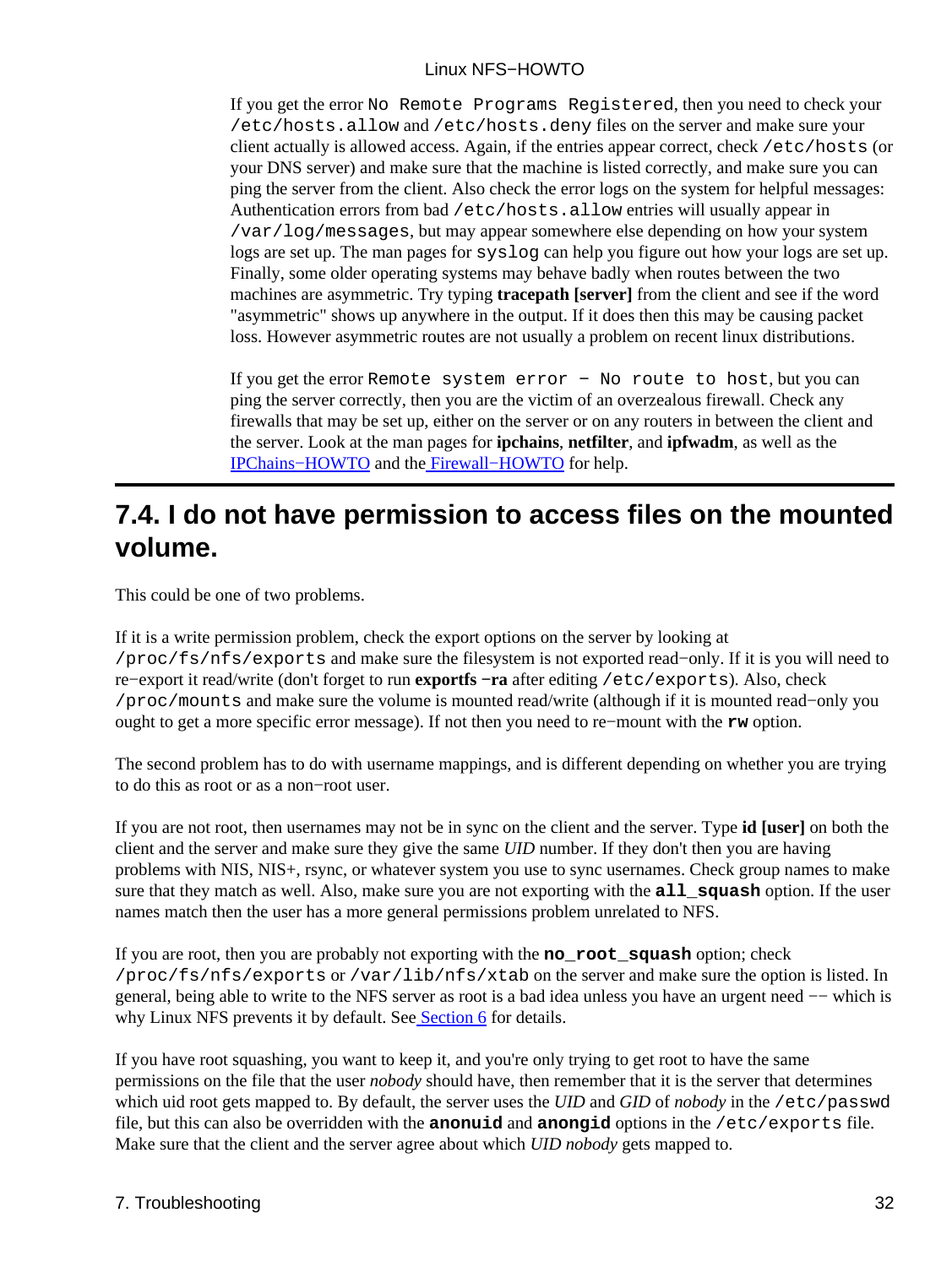If you get the error No Remote Programs Registered, then you need to check your /etc/hosts.allow and /etc/hosts.deny files on the server and make sure your client actually is allowed access. Again, if the entries appear correct, check /etc/hosts (or your DNS server) and make sure that the machine is listed correctly, and make sure you can ping the server from the client. Also check the error logs on the system for helpful messages: Authentication errors from bad /etc/hosts.allow entries will usually appear in /var/log/messages, but may appear somewhere else depending on how your system logs are set up. The man pages for syslog can help you figure out how your logs are set up. Finally, some older operating systems may behave badly when routes between the two machines are asymmetric. Try typing **tracepath [server]** from the client and see if the word "asymmetric" shows up anywhere in the output. If it does then this may be causing packet loss. However asymmetric routes are not usually a problem on recent linux distributions.

If you get the error Remote system error − No route to host, but you can ping the server correctly, then you are the victim of an overzealous firewall. Check any firewalls that may be set up, either on the server or on any routers in between the client and the server. Look at the man pages for **ipchains**, **netfilter**, and **ipfwadm**, as well as the [IPChains−HOWTO](http://www.linuxdoc.org/HOWTO/IPCHAINS-HOWTO.html) and th[e Firewall−HOWTO](http://www.linuxdoc.org/HOWTO/Firewall-HOWTO.html) for help.

## <span id="page-34-0"></span>**7.4. I do not have permission to access files on the mounted volume.**

This could be one of two problems.

If it is a write permission problem, check the export options on the server by looking at /proc/fs/nfs/exports and make sure the filesystem is not exported read−only. If it is you will need to re−export it read/write (don't forget to run **exportfs −ra** after editing /etc/exports). Also, check /proc/mounts and make sure the volume is mounted read/write (although if it is mounted read−only you ought to get a more specific error message). If not then you need to re−mount with the **rw** option.

The second problem has to do with username mappings, and is different depending on whether you are trying to do this as root or as a non−root user.

If you are not root, then usernames may not be in sync on the client and the server. Type **id [user]** on both the client and the server and make sure they give the same *UID* number. If they don't then you are having problems with NIS, NIS+, rsync, or whatever system you use to sync usernames. Check group names to make sure that they match as well. Also, make sure you are not exporting with the **all\_squash** option. If the user names match then the user has a more general permissions problem unrelated to NFS.

If you are root, then you are probably not exporting with the **no\_root\_squash** option; check /proc/fs/nfs/exports or /var/lib/nfs/xtab on the server and make sure the option is listed. In general, being able to write to the NFS server as root is a bad idea unless you have an urgent need –– which is why Linux NFS prevents it by default. Se[e Section 6](#page-24-0) for details.

If you have root squashing, you want to keep it, and you're only trying to get root to have the same permissions on the file that the user *nobody* should have, then remember that it is the server that determines which uid root gets mapped to. By default, the server uses the *UID* and *GID* of *nobody* in the /etc/passwd file, but this can also be overridden with the **anonuid** and **anongid** options in the /etc/exports file. Make sure that the client and the server agree about which *UID nobody* gets mapped to.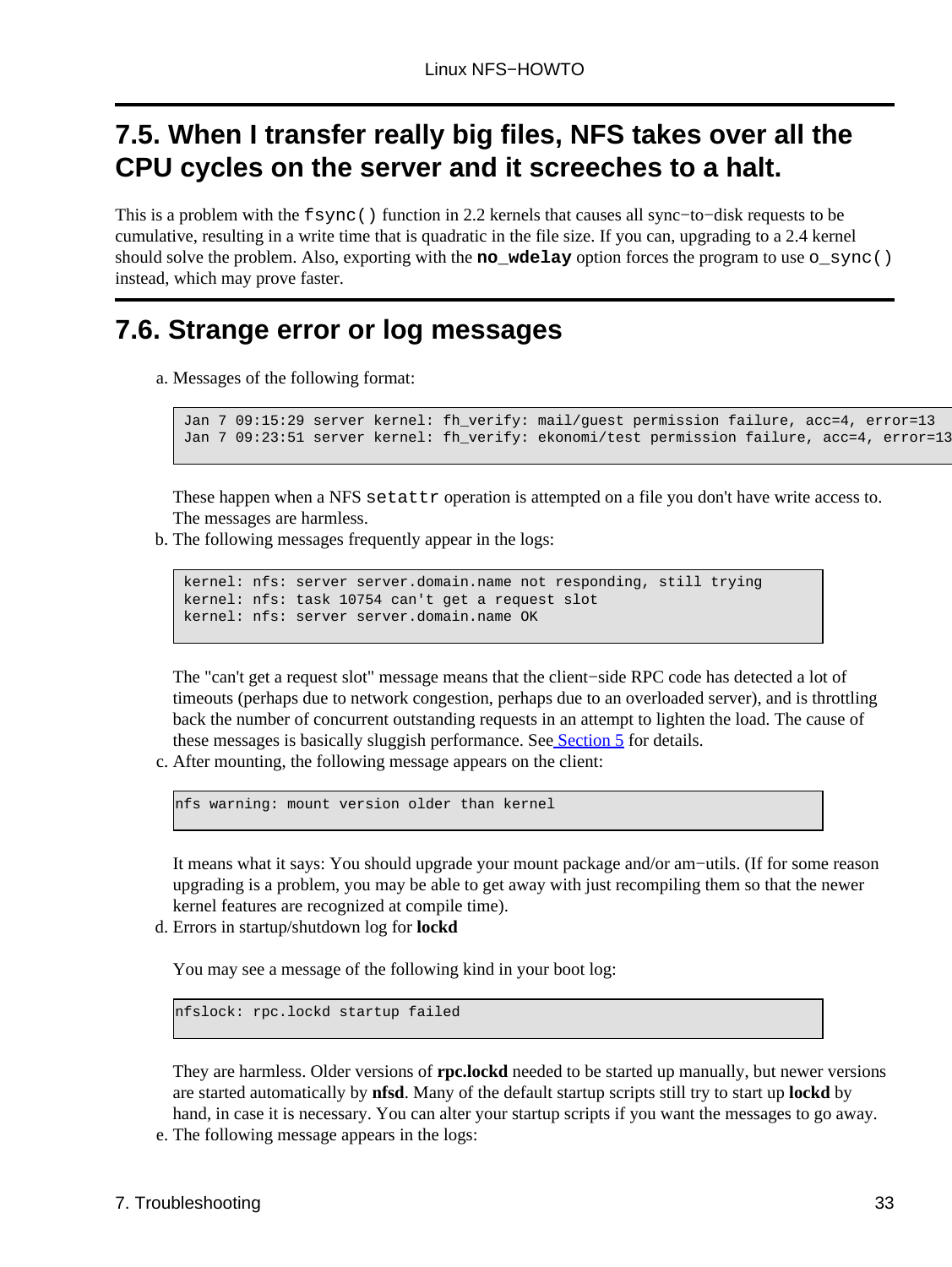## <span id="page-35-0"></span>**7.5. When I transfer really big files, NFS takes over all the CPU cycles on the server and it screeches to a halt.**

This is a problem with the fsync() function in 2.2 kernels that causes all sync−to−disk requests to be cumulative, resulting in a write time that is quadratic in the file size. If you can, upgrading to a 2.4 kernel should solve the problem. Also, exporting with the **no** wdelay option forces the program to use  $\circ$  sync() instead, which may prove faster.

## <span id="page-35-1"></span>**7.6. Strange error or log messages**

a. Messages of the following format:

```
 Jan 7 09:15:29 server kernel: fh_verify: mail/guest permission failure, acc=4, error=13
Jan 7 09:23:51 server kernel: fh_verify: ekonomi/test permission failure, acc=4, error=13
```
These happen when a NFS setattr operation is attempted on a file you don't have write access to. The messages are harmless.

b. The following messages frequently appear in the logs:

```
 kernel: nfs: server server.domain.name not responding, still trying
 kernel: nfs: task 10754 can't get a request slot
 kernel: nfs: server server.domain.name OK
```
The "can't get a request slot" message means that the client−side RPC code has detected a lot of timeouts (perhaps due to network congestion, perhaps due to an overloaded server), and is throttling back the number of concurrent outstanding requests in an attempt to lighten the load. The cause of these messages is basically sluggish performance. See [Section 5](#page-16-0) for details.

c. After mounting, the following message appears on the client:

nfs warning: mount version older than kernel

It means what it says: You should upgrade your mount package and/or am−utils. (If for some reason upgrading is a problem, you may be able to get away with just recompiling them so that the newer kernel features are recognized at compile time).

Errors in startup/shutdown log for **lockd** d.

You may see a message of the following kind in your boot log:

nfslock: rpc.lockd startup failed

They are harmless. Older versions of **rpc.lockd** needed to be started up manually, but newer versions are started automatically by **nfsd**. Many of the default startup scripts still try to start up **lockd** by hand, in case it is necessary. You can alter your startup scripts if you want the messages to go away.

e. The following message appears in the logs: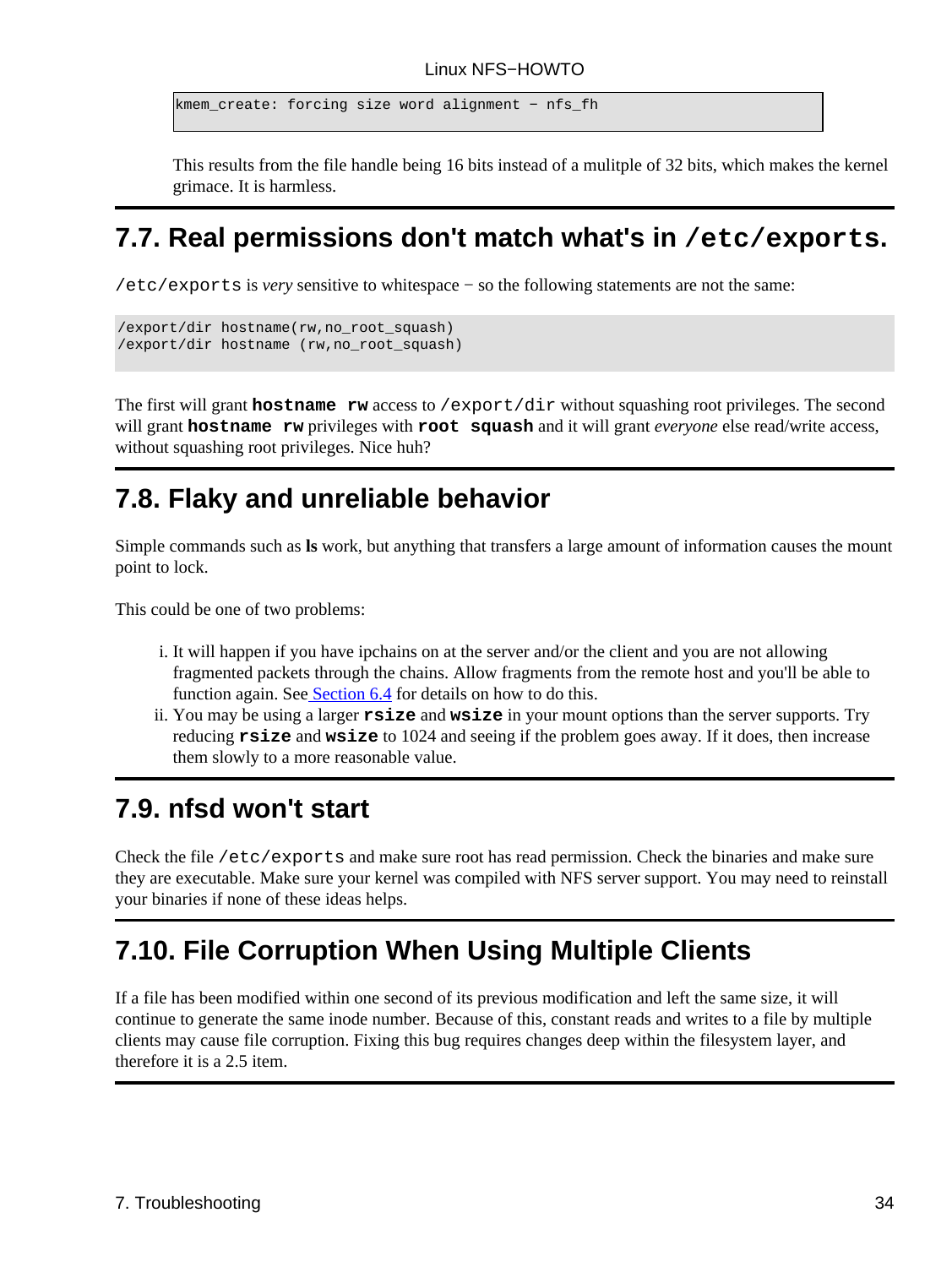kmem\_create: forcing size word alignment − nfs\_fh

This results from the file handle being 16 bits instead of a mulitple of 32 bits, which makes the kernel grimace. It is harmless.

## <span id="page-36-0"></span>**7.7. Real permissions don't match what's in /etc/exports.**

/etc/exports is *very* sensitive to whitespace − so the following statements are not the same:

```
/export/dir hostname(rw,no_root_squash) 
/export/dir hostname (rw,no_root_squash)
```
The first will grant **hostname** rw access to /export/dir without squashing root privileges. The second will grant **hostname rw** privileges with **root squash** and it will grant *everyone* else read/write access, without squashing root privileges. Nice huh?

## <span id="page-36-1"></span>**7.8. Flaky and unreliable behavior**

Simple commands such as **ls** work, but anything that transfers a large amount of information causes the mount point to lock.

This could be one of two problems:

- i. It will happen if you have ipchains on at the server and/or the client and you are not allowing fragmented packets through the chains. Allow fragments from the remote host and you'll be able to function again. See [Section 6.4](#page-28-1) for details on how to do this.
- ii. You may be using a larger **rsize** and wsize in your mount options than the server supports. Try reducing **rsize** and **wsize** to 1024 and seeing if the problem goes away. If it does, then increase them slowly to a more reasonable value.

## <span id="page-36-2"></span>**7.9. nfsd won't start**

Check the file /etc/exports and make sure root has read permission. Check the binaries and make sure they are executable. Make sure your kernel was compiled with NFS server support. You may need to reinstall your binaries if none of these ideas helps.

# <span id="page-36-3"></span>**7.10. File Corruption When Using Multiple Clients**

If a file has been modified within one second of its previous modification and left the same size, it will continue to generate the same inode number. Because of this, constant reads and writes to a file by multiple clients may cause file corruption. Fixing this bug requires changes deep within the filesystem layer, and therefore it is a 2.5 item.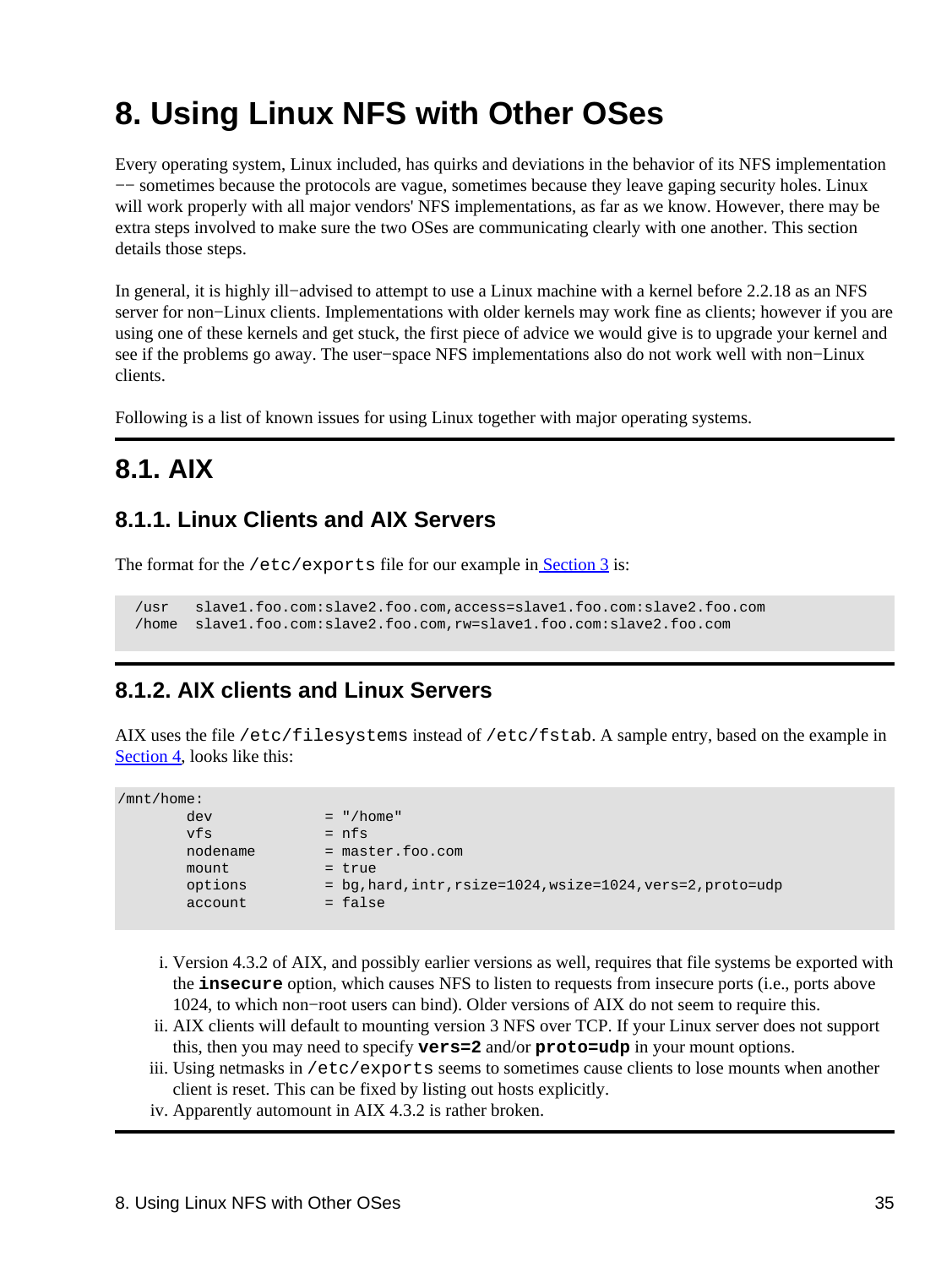# <span id="page-37-0"></span>**8. Using Linux NFS with Other OSes**

Every operating system, Linux included, has quirks and deviations in the behavior of its NFS implementation −− sometimes because the protocols are vague, sometimes because they leave gaping security holes. Linux will work properly with all major vendors' NFS implementations, as far as we know. However, there may be extra steps involved to make sure the two OSes are communicating clearly with one another. This section details those steps.

In general, it is highly ill−advised to attempt to use a Linux machine with a kernel before 2.2.18 as an NFS server for non−Linux clients. Implementations with older kernels may work fine as clients; however if you are using one of these kernels and get stuck, the first piece of advice we would give is to upgrade your kernel and see if the problems go away. The user−space NFS implementations also do not work well with non−Linux clients.

Following is a list of known issues for using Linux together with major operating systems.

## <span id="page-37-1"></span>**8.1. AIX**

### <span id="page-37-2"></span>**8.1.1. Linux Clients and AIX Servers**

The format for the /etc/exports file for our example in [Section 3](#page-7-0) is:

 /usr slave1.foo.com:slave2.foo.com,access=slave1.foo.com:slave2.foo.com /home slave1.foo.com:slave2.foo.com,rw=slave1.foo.com:slave2.foo.com

### <span id="page-37-3"></span>**8.1.2. AIX clients and Linux Servers**

AIX uses the file /etc/filesystems instead of /etc/fstab. A sample entry, based on the example in [Section 4](#page-14-0), looks like this:

| /mnt/home: |                                                             |
|------------|-------------------------------------------------------------|
| dev        | $=$ "/home"                                                 |
| vfs        | $= nfs$                                                     |
| nodename   | $=$ master. foo. com                                        |
| mount      | $=$ true                                                    |
| options    | = bq, hard, intr, rsize=1024, wsize=1024, vers=2, proto=udp |
| account    | $=$ false                                                   |
|            |                                                             |

- i. Version 4.3.2 of AIX, and possibly earlier versions as well, requires that file systems be exported with the **insecure** option, which causes NFS to listen to requests from insecure ports (i.e., ports above 1024, to which non−root users can bind). Older versions of AIX do not seem to require this.
- ii. AIX clients will default to mounting version 3 NFS over TCP. If your Linux server does not support this, then you may need to specify **vers=2** and/or **proto=udp** in your mount options.
- iii. Using netmasks in /etc/exports seems to sometimes cause clients to lose mounts when another client is reset. This can be fixed by listing out hosts explicitly.
- iv. Apparently automount in AIX 4.3.2 is rather broken.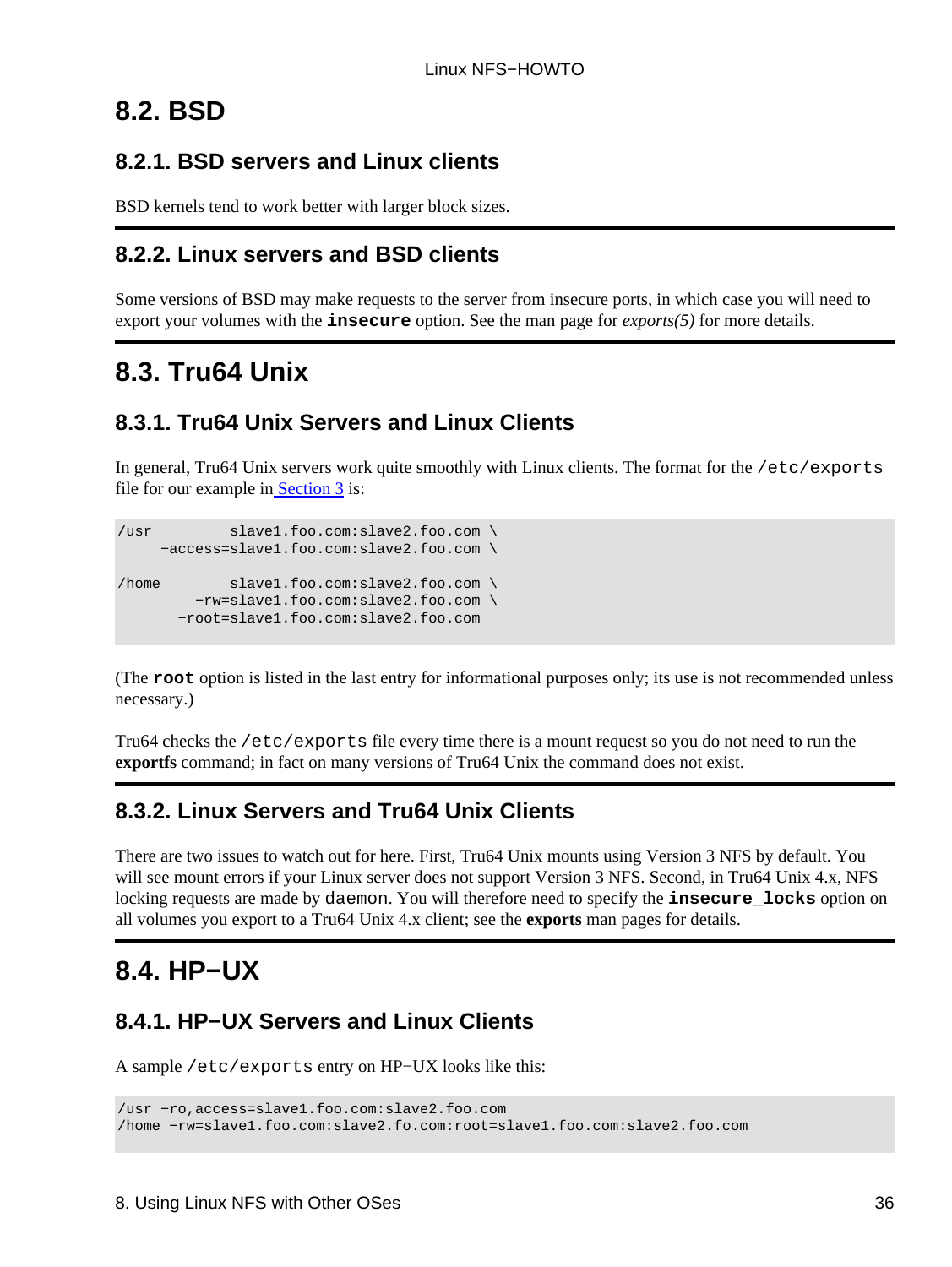## <span id="page-38-0"></span>**8.2. BSD**

### <span id="page-38-1"></span>**8.2.1. BSD servers and Linux clients**

BSD kernels tend to work better with larger block sizes.

### <span id="page-38-2"></span>**8.2.2. Linux servers and BSD clients**

Some versions of BSD may make requests to the server from insecure ports, in which case you will need to export your volumes with the **insecure** option. See the man page for *exports(5)* for more details.

## <span id="page-38-3"></span>**8.3. Tru64 Unix**

### <span id="page-38-4"></span>**8.3.1. Tru64 Unix Servers and Linux Clients**

In general, Tru64 Unix servers work quite smoothly with Linux clients. The format for the /etc/exports file for our example in Section  $\overline{3}$  is:

```
/usr slave1.foo.com:slave2.foo.com \
     −access=slave1.foo.com:slave2.foo.com \
/home slave1.foo.com:slave2.foo.com \
         −rw=slave1.foo.com:slave2.foo.com \
       −root=slave1.foo.com:slave2.foo.com
```
(The **root** option is listed in the last entry for informational purposes only; its use is not recommended unless necessary.)

Tru64 checks the /etc/exports file every time there is a mount request so you do not need to run the **exportfs** command; in fact on many versions of Tru64 Unix the command does not exist.

## <span id="page-38-5"></span>**8.3.2. Linux Servers and Tru64 Unix Clients**

There are two issues to watch out for here. First, Tru64 Unix mounts using Version 3 NFS by default. You will see mount errors if your Linux server does not support Version 3 NFS. Second, in Tru64 Unix 4.x, NFS locking requests are made by daemon. You will therefore need to specify the **insecure\_locks** option on all volumes you export to a Tru64 Unix 4.x client; see the **exports** man pages for details.

## <span id="page-38-6"></span>**8.4. HP−UX**

## <span id="page-38-7"></span>**8.4.1. HP−UX Servers and Linux Clients**

A sample /etc/exports entry on HP−UX looks like this:

/usr −ro,access=slave1.foo.com:slave2.foo.com /home −rw=slave1.foo.com:slave2.fo.com:root=slave1.foo.com:slave2.foo.com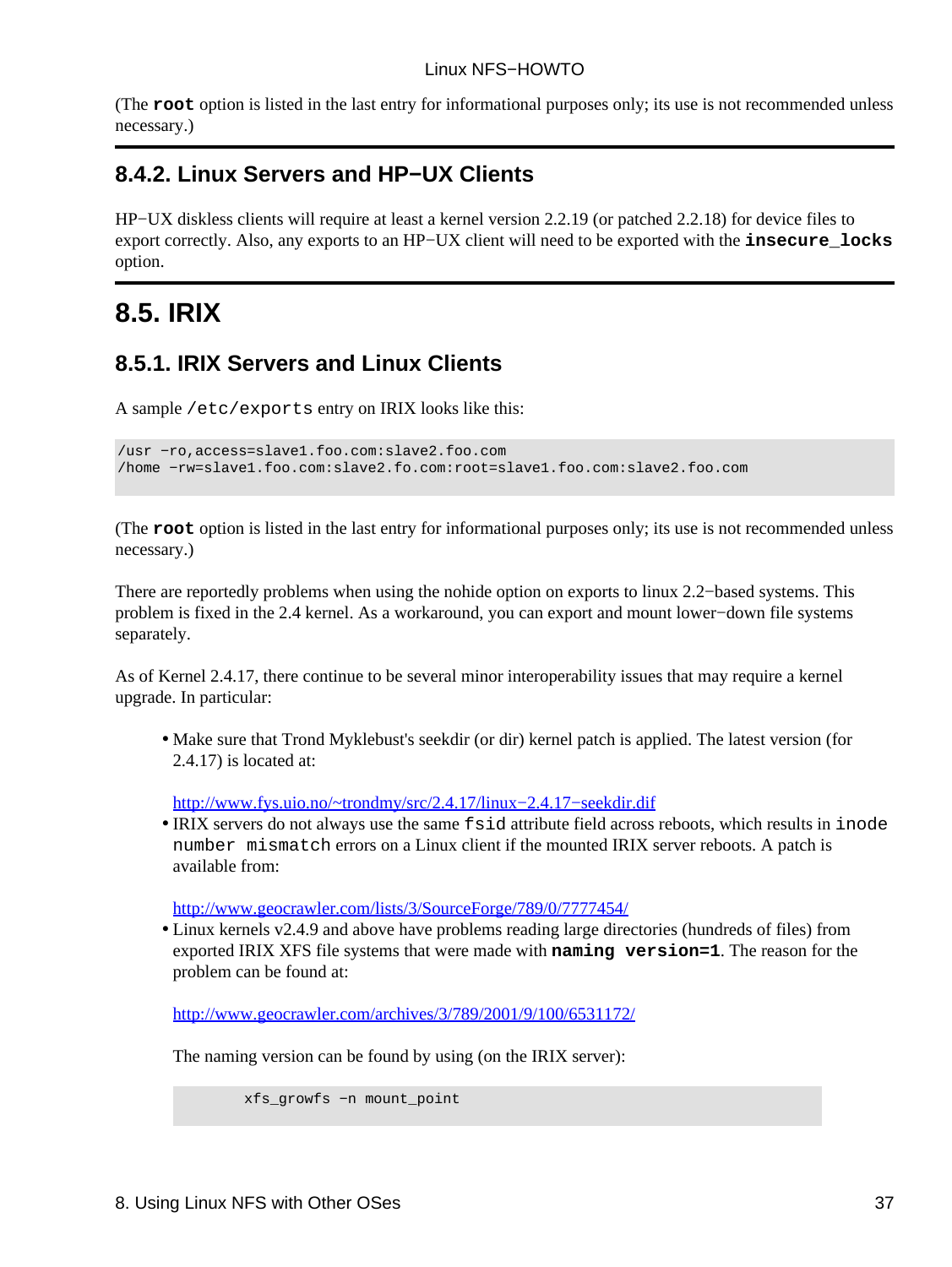(The **root** option is listed in the last entry for informational purposes only; its use is not recommended unless necessary.)

### <span id="page-39-0"></span>**8.4.2. Linux Servers and HP−UX Clients**

HP−UX diskless clients will require at least a kernel version 2.2.19 (or patched 2.2.18) for device files to export correctly. Also, any exports to an HP−UX client will need to be exported with the **insecure\_locks** option.

## <span id="page-39-1"></span>**8.5. IRIX**

### <span id="page-39-2"></span>**8.5.1. IRIX Servers and Linux Clients**

A sample /etc/exports entry on IRIX looks like this:

```
/usr −ro,access=slave1.foo.com:slave2.foo.com
/home −rw=slave1.foo.com:slave2.fo.com:root=slave1.foo.com:slave2.foo.com
```
(The **root** option is listed in the last entry for informational purposes only; its use is not recommended unless necessary.)

There are reportedly problems when using the nohide option on exports to linux 2.2−based systems. This problem is fixed in the 2.4 kernel. As a workaround, you can export and mount lower−down file systems separately.

As of Kernel 2.4.17, there continue to be several minor interoperability issues that may require a kernel upgrade. In particular:

• Make sure that Trond Myklebust's seekdir (or dir) kernel patch is applied. The latest version (for 2.4.17) is located at:

[http://www.fys.uio.no/~trondmy/src/2.4.17/linux−2.4.17−seekdir.dif](http://www.fys.uio.no/~trondmy/src/2.4.17/linux-2.4.17-seekdir.dif)

IRIX servers do not always use the same fsid attribute field across reboots, which results in inode • number mismatch errors on a Linux client if the mounted IRIX server reboots. A patch is available from:

<http://www.geocrawler.com/lists/3/SourceForge/789/0/7777454/>

• Linux kernels v2.4.9 and above have problems reading large directories (hundreds of files) from exported IRIX XFS file systems that were made with **naming version=1**. The reason for the problem can be found at:

<http://www.geocrawler.com/archives/3/789/2001/9/100/6531172/>

The naming version can be found by using (on the IRIX server):

```
 xfs_growfs −n mount_point
```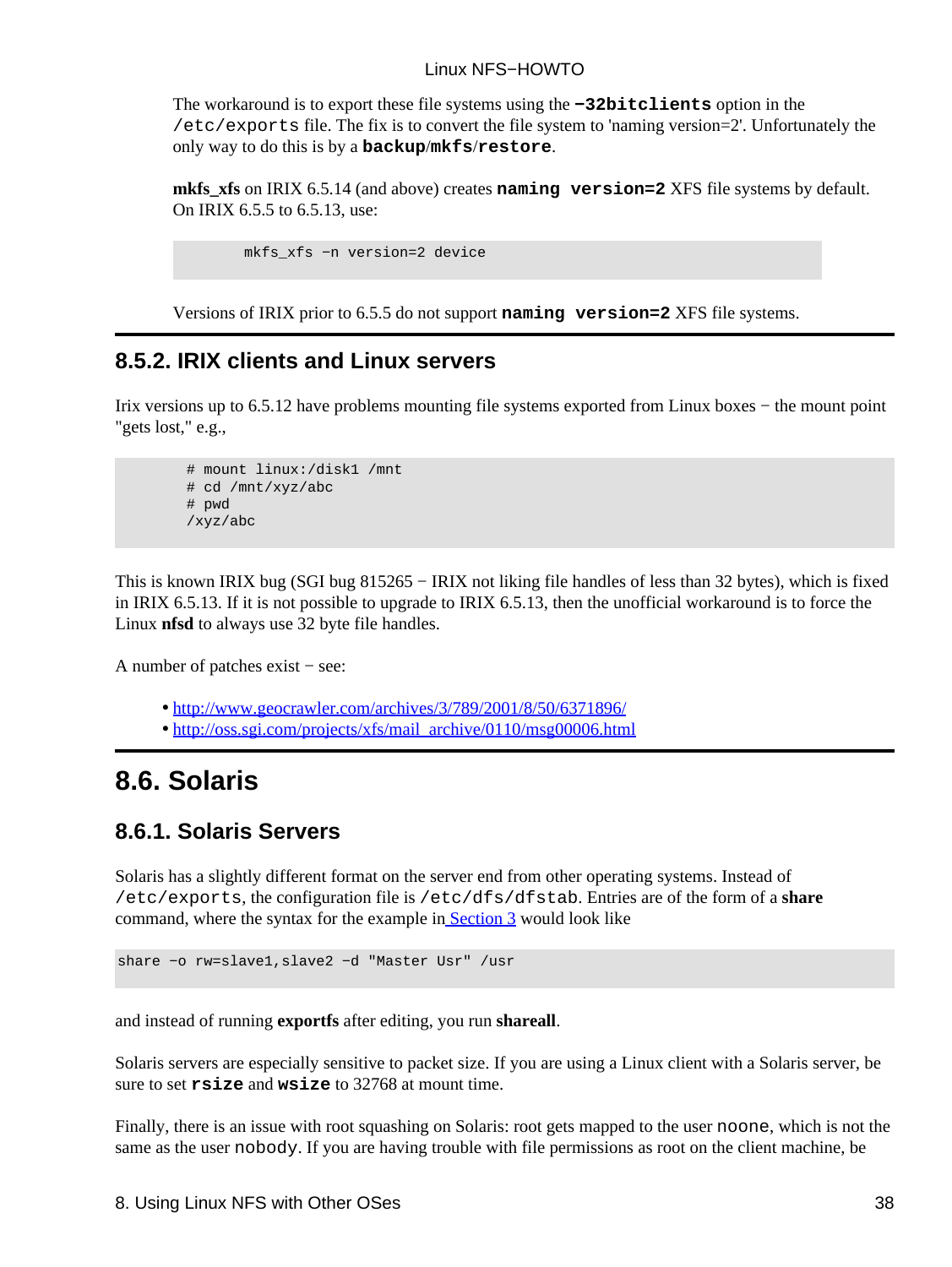The workaround is to export these file systems using the **−32bitclients** option in the /etc/exports file. The fix is to convert the file system to 'naming version=2'. Unfortunately the only way to do this is by a **backup**/**mkfs**/**restore**.

**mkfs\_xfs** on IRIX 6.5.14 (and above) creates **naming version=2** XFS file systems by default. On IRIX 6.5.5 to 6.5.13, use:

```
 mkfs_xfs −n version=2 device
```
Versions of IRIX prior to 6.5.5 do not support **naming version=2** XFS file systems.

### <span id="page-40-0"></span>**8.5.2. IRIX clients and Linux servers**

Irix versions up to 6.5.12 have problems mounting file systems exported from Linux boxes − the mount point "gets lost," e.g.,

```
 # mount linux:/disk1 /mnt
 # cd /mnt/xyz/abc
 # pwd
 /xyz/abc
```
This is known IRIX bug (SGI bug 815265 − IRIX not liking file handles of less than 32 bytes), which is fixed in IRIX 6.5.13. If it is not possible to upgrade to IRIX 6.5.13, then the unofficial workaround is to force the Linux **nfsd** to always use 32 byte file handles.

A number of patches exist − see:

- <http://www.geocrawler.com/archives/3/789/2001/8/50/6371896/>
- [http://oss.sgi.com/projects/xfs/mail\\_archive/0110/msg00006.html](http://oss.sgi.com/projects/xfs/mail_archive/0110/msg00006.html)

## <span id="page-40-1"></span>**8.6. Solaris**

### <span id="page-40-2"></span>**8.6.1. Solaris Servers**

Solaris has a slightly different format on the server end from other operating systems. Instead of /etc/exports, the configuration file is /etc/dfs/dfstab. Entries are of the form of a **share** command, where the syntax for the example i[n Section 3](#page-7-0) would look like

share −o rw=slave1,slave2 −d "Master Usr" /usr

and instead of running **exportfs** after editing, you run **shareall**.

Solaris servers are especially sensitive to packet size. If you are using a Linux client with a Solaris server, be sure to set **rsize** and **wsize** to 32768 at mount time.

Finally, there is an issue with root squashing on Solaris: root gets mapped to the user noone, which is not the same as the user nobody. If you are having trouble with file permissions as root on the client machine, be